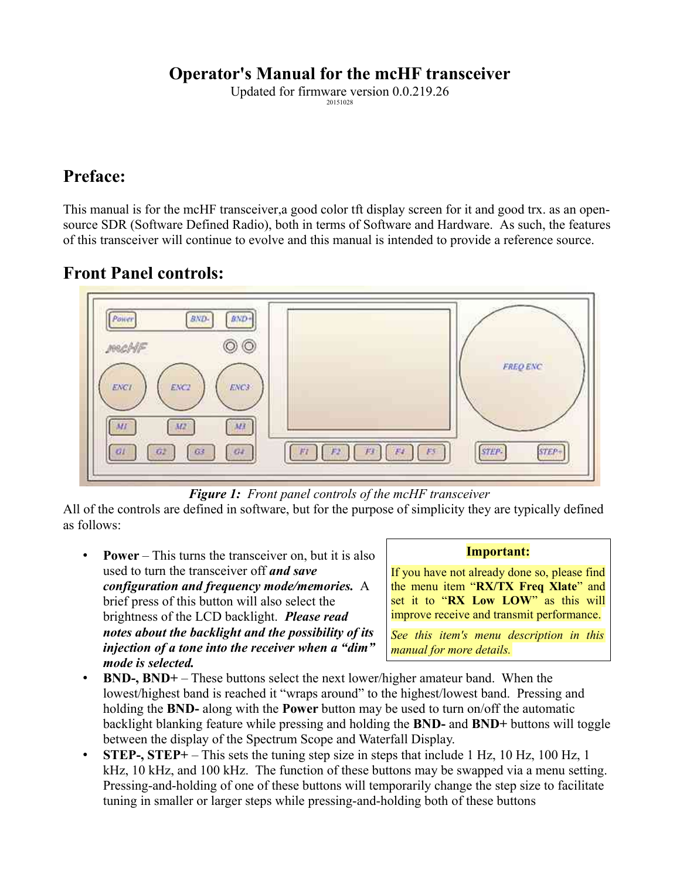# **Operator's Manual for the mcHF transceiver**

Updated for firmware version 0.0.219.26 20151028

# **Preface:**

This manual is for the mcHF transceiver, a good color tft display screen for it and good trx. as an opensource SDR (Software Defined Radio), both in terms of Software and Hardware. As such, the features of this transceiver will continue to evolve and this manual is intended to provide a reference source.

# **Front Panel controls:**



*Figure 1: Front panel controls of the mcHF transceiver*

All of the controls are defined in software, but for the purpose of simplicity they are typically defined as follows:

• **Power** – This turns the transceiver on, but it is also used to turn the transceiver off *and save configuration and frequency mode/memories.* A brief press of this button will also select the brightness of the LCD backlight. *Please read notes about the backlight and the possibility of its injection of a tone into the receiver when a "dim" mode is selected.*

#### **Important:**

If you have not already done so, please find the menu item "**RX/TX Freq Xlate**" and set it to "**RX Low LOW**" as this will improve receive and transmit performance.

*See this item's menu description in this manual for more details.*

- **BND-, BND+** These buttons select the next lower/higher amateur band. When the lowest/highest band is reached it "wraps around" to the highest/lowest band. Pressing and holding the **BND-** along with the **Power** button may be used to turn on/off the automatic backlight blanking feature while pressing and holding the **BND-** and **BND+** buttons will toggle between the display of the Spectrum Scope and Waterfall Display.
- **STEP-, STEP+**  This sets the tuning step size in steps that include 1 Hz, 10 Hz, 100 Hz, 1 kHz, 10 kHz, and 100 kHz. The function of these buttons may be swapped via a menu setting. Pressing-and-holding of one of these buttons will temporarily change the step size to facilitate tuning in smaller or larger steps while pressing-and-holding both of these buttons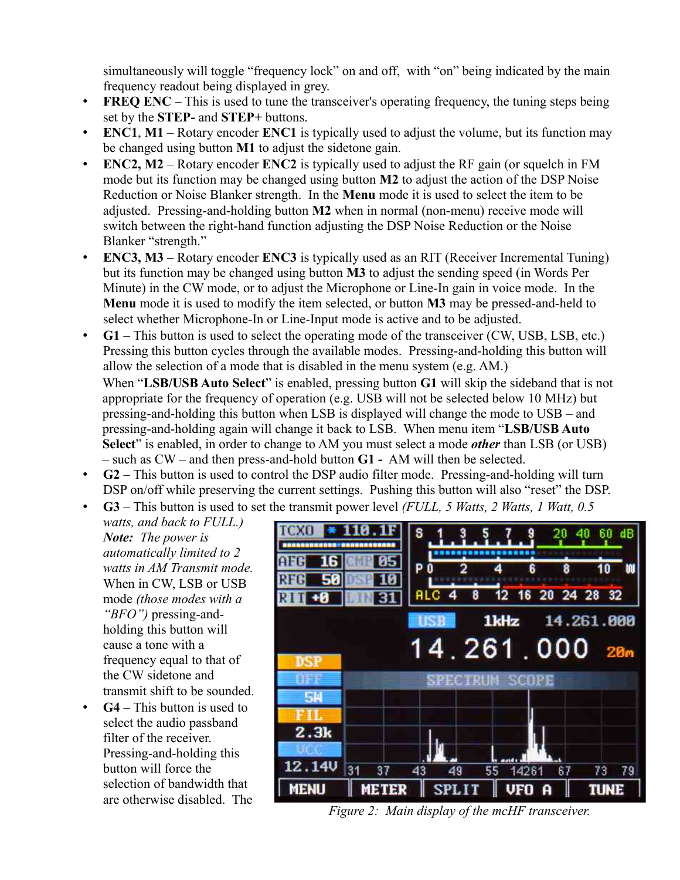simultaneously will toggle "frequency lock" on and off, with "on" being indicated by the main frequency readout being displayed in grey.

- **FREQ ENC** This is used to tune the transceiver's operating frequency, the tuning steps being set by the **STEP-** and **STEP+** buttons.
- **ENC1**, **M1** Rotary encoder **ENC1** is typically used to adjust the volume, but its function may be changed using button **M1** to adjust the sidetone gain.
- **ENC2, M2** Rotary encoder **ENC2** is typically used to adjust the RF gain (or squelch in FM mode but its function may be changed using button **M2** to adjust the action of the DSP Noise Reduction or Noise Blanker strength. In the **Menu** mode it is used to select the item to be adjusted. Pressing-and-holding button **M2** when in normal (non-menu) receive mode will switch between the right-hand function adjusting the DSP Noise Reduction or the Noise Blanker "strength."
- **ENC3, M3**  Rotary encoder **ENC3** is typically used as an RIT (Receiver Incremental Tuning) but its function may be changed using button **M3** to adjust the sending speed (in Words Per Minute) in the CW mode, or to adjust the Microphone or Line-In gain in voice mode. In the **Menu** mode it is used to modify the item selected, or button **M3** may be pressed-and-held to select whether Microphone-In or Line-Input mode is active and to be adjusted.
- **G1** This button is used to select the operating mode of the transceiver (CW, USB, LSB, etc.) Pressing this button cycles through the available modes. Pressing-and-holding this button will allow the selection of a mode that is disabled in the menu system (e.g. AM.) When "**LSB/USB Auto Select**" is enabled, pressing button **G1** will skip the sideband that is not appropriate for the frequency of operation (e.g. USB will not be selected below 10 MHz) but pressing-and-holding this button when LSB is displayed will change the mode to USB – and pressing-and-holding again will change it back to LSB. When menu item "**LSB/USB Auto Select**" is enabled, in order to change to AM you must select a mode *other* than LSB (or USB)
	- such as CW and then press-and-hold button **G1** AM will then be selected.
- **G2**  This button is used to control the DSP audio filter mode. Pressing-and-holding will turn DSP on/off while preserving the current settings. Pushing this button will also "reset" the DSP.
- **G3** This button is used to set the transmit power level *(FULL, 5 Watts, 2 Watts, 1 Watt, 0.5 watts, and back to FULL.)*

*Note: The power is automatically limited to 2 watts in AM Transmit mode.*  When in CW, LSB or USB mode *(those modes with a "BFO")* pressing-andholding this button will cause a tone with a frequency equal to that of the CW sidetone and transmit shift to be sounded.

• **G4** – This button is used to select the audio passband filter of the receiver. Pressing-and-holding this button will force the selection of bandwidth that are otherwise disabled. The



*Figure 2: Main display of the mcHF transceiver.*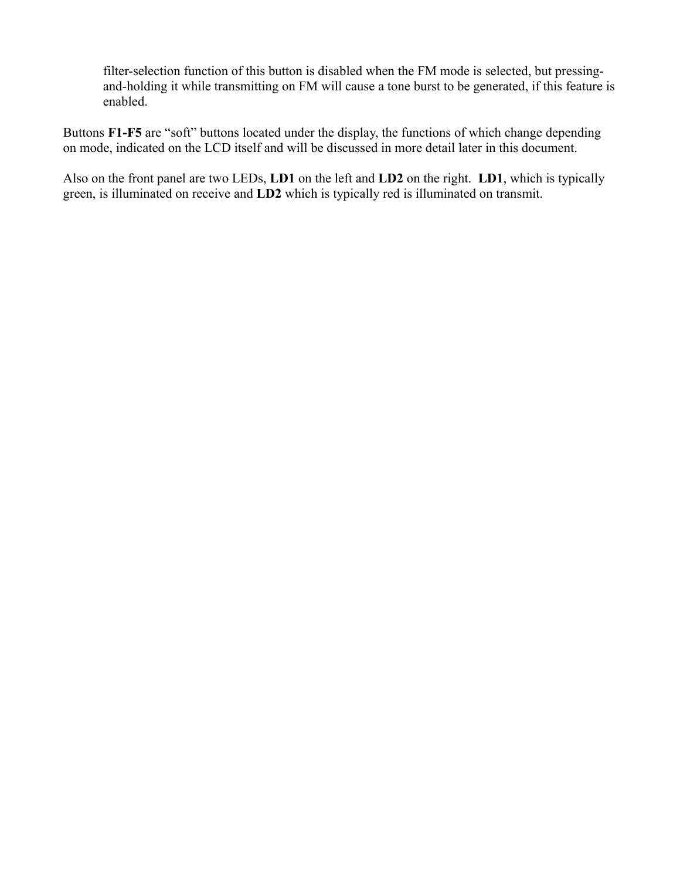filter-selection function of this button is disabled when the FM mode is selected, but pressingand-holding it while transmitting on FM will cause a tone burst to be generated, if this feature is enabled.

Buttons **F1-F5** are "soft" buttons located under the display, the functions of which change depending on mode, indicated on the LCD itself and will be discussed in more detail later in this document.

Also on the front panel are two LEDs, **LD1** on the left and **LD2** on the right. **LD1**, which is typically green, is illuminated on receive and **LD2** which is typically red is illuminated on transmit.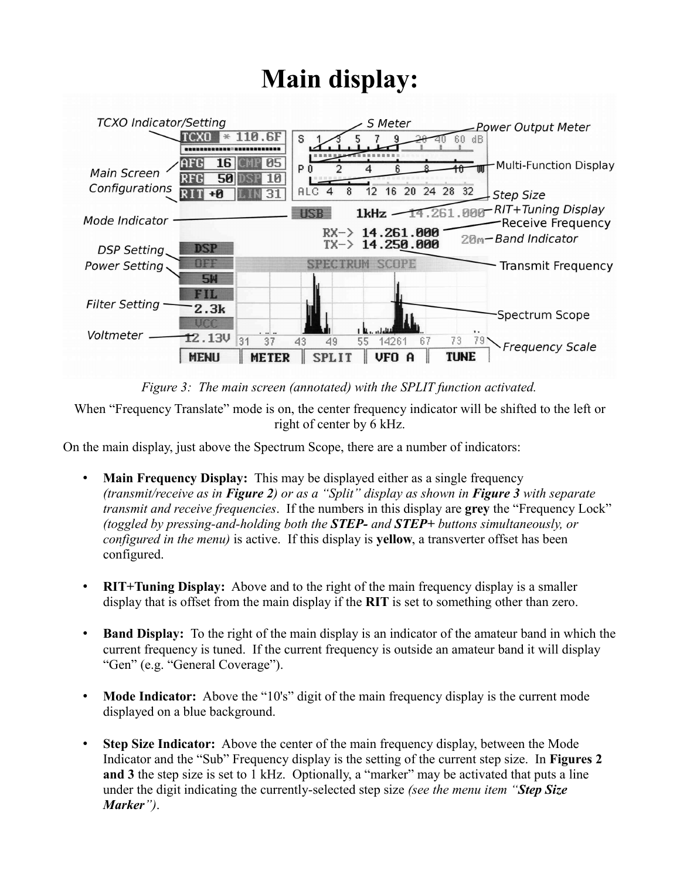# **Main display:**



*Figure 3: The main screen (annotated) with the SPLIT function activated.*

When "Frequency Translate" mode is on, the center frequency indicator will be shifted to the left or right of center by 6 kHz.

On the main display, just above the Spectrum Scope, there are a number of indicators:

- **Main Frequency Display:** This may be displayed either as a single frequency *(transmit/receive as in Figure 2) or as a "Split" display as shown in Figure 3 with separate transmit and receive frequencies*. If the numbers in this display are **grey** the "Frequency Lock" *(toggled by pressing-and-holding both the STEP- and STEP+ buttons simultaneously, or configured in the menu)* is active. If this display is **yellow**, a transverter offset has been configured.
- **RIT+Tuning Display:** Above and to the right of the main frequency display is a smaller display that is offset from the main display if the **RIT** is set to something other than zero.
- **Band Display:** To the right of the main display is an indicator of the amateur band in which the current frequency is tuned. If the current frequency is outside an amateur band it will display "Gen" (e.g. "General Coverage").
- **Mode Indicator:** Above the "10's" digit of the main frequency display is the current mode displayed on a blue background.
- **Step Size Indicator:** Above the center of the main frequency display, between the Mode Indicator and the "Sub" Frequency display is the setting of the current step size. In **Figures 2**  and 3 the step size is set to 1 kHz. Optionally, a "marker" may be activated that puts a line under the digit indicating the currently-selected step size *(see the menu item "Step Size Marker")*.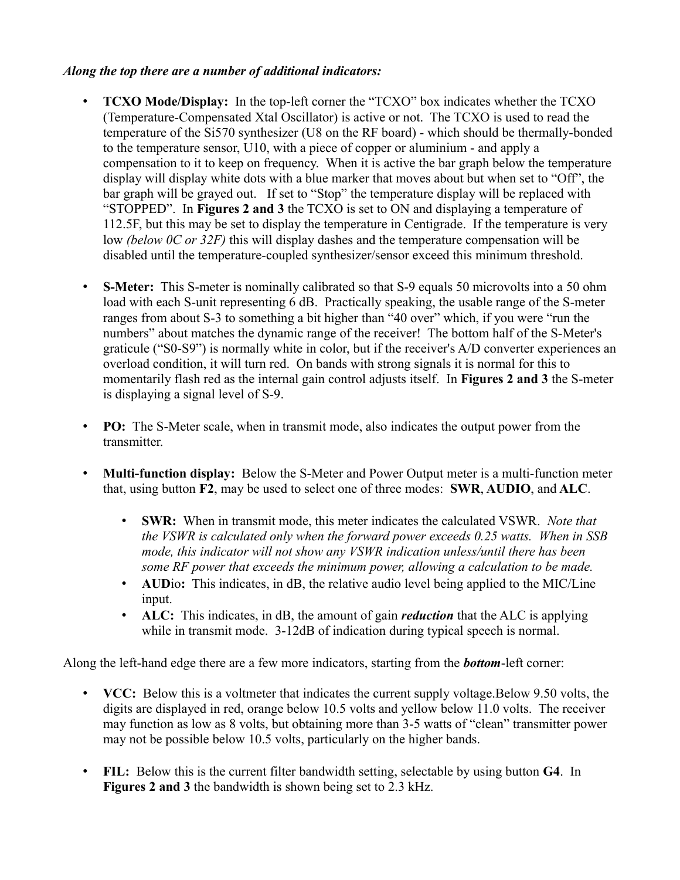#### *Along the top there are a number of additional indicators:*

- **TCXO Mode/Display:** In the top-left corner the "TCXO" box indicates whether the TCXO (Temperature-Compensated Xtal Oscillator) is active or not. The TCXO is used to read the temperature of the Si570 synthesizer (U8 on the RF board) - which should be thermally-bonded to the temperature sensor, U10, with a piece of copper or aluminium - and apply a compensation to it to keep on frequency. When it is active the bar graph below the temperature display will display white dots with a blue marker that moves about but when set to "Off", the bar graph will be grayed out. If set to "Stop" the temperature display will be replaced with "STOPPED". In **Figures 2 and 3** the TCXO is set to ON and displaying a temperature of 112.5F, but this may be set to display the temperature in Centigrade. If the temperature is very low *(below 0C or 32F)* this will display dashes and the temperature compensation will be disabled until the temperature-coupled synthesizer/sensor exceed this minimum threshold.
- **S-Meter:** This S-meter is nominally calibrated so that S-9 equals 50 microvolts into a 50 ohm load with each S-unit representing 6 dB. Practically speaking, the usable range of the S-meter ranges from about S-3 to something a bit higher than "40 over" which, if you were "run the numbers" about matches the dynamic range of the receiver! The bottom half of the S-Meter's graticule ("S0-S9") is normally white in color, but if the receiver's A/D converter experiences an overload condition, it will turn red. On bands with strong signals it is normal for this to momentarily flash red as the internal gain control adjusts itself. In **Figures 2 and 3** the S-meter is displaying a signal level of S-9.
- **PO:** The S-Meter scale, when in transmit mode, also indicates the output power from the transmitter.
- **Multi-function display:** Below the S-Meter and Power Output meter is a multi-function meter that, using button **F2**, may be used to select one of three modes: **SWR**, **AUDIO**, and **ALC**.
	- **SWR:** When in transmit mode, this meter indicates the calculated VSWR. *Note that the VSWR is calculated only when the forward power exceeds 0.25 watts. When in SSB mode, this indicator will not show any VSWR indication unless/until there has been some RF power that exceeds the minimum power, allowing a calculation to be made.*
	- **AUD**io**:** This indicates, in dB, the relative audio level being applied to the MIC/Line input.
	- **ALC:** This indicates, in dB, the amount of gain *reduction* that the ALC is applying while in transmit mode. 3-12dB of indication during typical speech is normal.

Along the left-hand edge there are a few more indicators, starting from the *bottom*-left corner:

- **VCC:** Below this is a voltmeter that indicates the current supply voltage.Below 9.50 volts, the digits are displayed in red, orange below 10.5 volts and yellow below 11.0 volts. The receiver may function as low as 8 volts, but obtaining more than 3-5 watts of "clean" transmitter power may not be possible below 10.5 volts, particularly on the higher bands.
- **FIL:** Below this is the current filter bandwidth setting, selectable by using button **G4**. In **Figures 2 and 3** the bandwidth is shown being set to 2.3 kHz.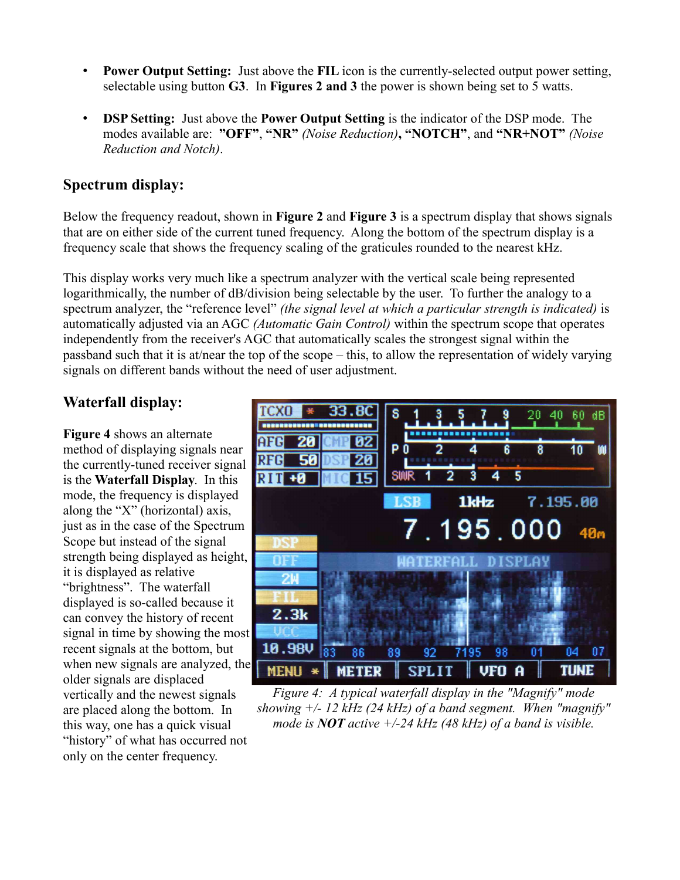- **Power Output Setting:** Just above the **FIL** icon is the currently-selected output power setting, selectable using button **G3**. In **Figures 2 and 3** the power is shown being set to 5 watts.
- **DSP Setting:** Just above the **Power Output Setting** is the indicator of the DSP mode. The modes available are: **"OFF"**, **"NR"** *(Noise Reduction)***, "NOTCH"**, and **"NR+NOT"** *(Noise Reduction and Notch)*.

#### **Spectrum display:**

Below the frequency readout, shown in **Figure 2** and **Figure 3** is a spectrum display that shows signals that are on either side of the current tuned frequency. Along the bottom of the spectrum display is a frequency scale that shows the frequency scaling of the graticules rounded to the nearest kHz.

This display works very much like a spectrum analyzer with the vertical scale being represented logarithmically, the number of dB/division being selectable by the user. To further the analogy to a spectrum analyzer, the "reference level" *(the signal level at which a particular strength is indicated)* is automatically adjusted via an AGC *(Automatic Gain Control)* within the spectrum scope that operates independently from the receiver's AGC that automatically scales the strongest signal within the passband such that it is at/near the top of the scope – this, to allow the representation of widely varying signals on different bands without the need of user adjustment.

# **Waterfall display:**

**Figure 4** shows an alternate method of displaying signals near the currently-tuned receiver signal is the **Waterfall Display**. In this mode, the frequency is displayed along the "X" (horizontal) axis, just as in the case of the Spectrum Scope but instead of the signal strength being displayed as height, it is displayed as relative "brightness". The waterfall displayed is so-called because it can convey the history of recent signal in time by showing the most recent signals at the bottom, but when new signals are analyzed, the older signals are displaced vertically and the newest signals are placed along the bottom. In this way, one has a quick visual "history" of what has occurred not only on the center frequency.



*Figure 4: A typical waterfall display in the "Magnify" mode showing +/- 12 kHz (24 kHz) of a band segment. When "magnify" mode is NOT active +/-24 kHz (48 kHz) of a band is visible.*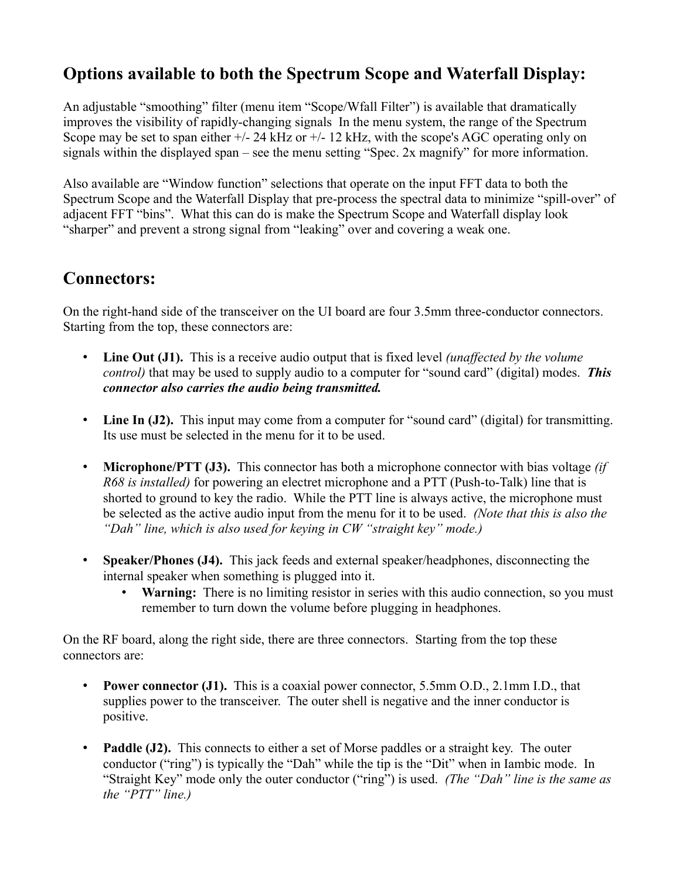# **Options available to both the Spectrum Scope and Waterfall Display:**

An adjustable "smoothing" filter (menu item "Scope/Wfall Filter") is available that dramatically improves the visibility of rapidly-changing signals In the menu system, the range of the Spectrum Scope may be set to span either  $+/$ - 24 kHz or  $+/-$  12 kHz, with the scope's AGC operating only on signals within the displayed span – see the menu setting "Spec. 2x magnify" for more information.

Also available are "Window function" selections that operate on the input FFT data to both the Spectrum Scope and the Waterfall Display that pre-process the spectral data to minimize "spill-over" of adjacent FFT "bins". What this can do is make the Spectrum Scope and Waterfall display look "sharper" and prevent a strong signal from "leaking" over and covering a weak one.

# **Connectors:**

On the right-hand side of the transceiver on the UI board are four 3.5mm three-conductor connectors. Starting from the top, these connectors are:

- **Line Out (J1).** This is a receive audio output that is fixed level *(unaffected by the volume control)* that may be used to supply audio to a computer for "sound card" (digital) modes. *This connector also carries the audio being transmitted.*
- Line In (J2). This input may come from a computer for "sound card" (digital) for transmitting. Its use must be selected in the menu for it to be used.
- **Microphone/PTT (J3).** This connector has both a microphone connector with bias voltage *(if R68 is installed)* for powering an electret microphone and a PTT (Push-to-Talk) line that is shorted to ground to key the radio. While the PTT line is always active, the microphone must be selected as the active audio input from the menu for it to be used. *(Note that this is also the "Dah" line, which is also used for keying in CW "straight key" mode.)*
- **Speaker/Phones (J4).** This jack feeds and external speaker/headphones, disconnecting the internal speaker when something is plugged into it.
	- **Warning:** There is no limiting resistor in series with this audio connection, so you must remember to turn down the volume before plugging in headphones.

On the RF board, along the right side, there are three connectors. Starting from the top these connectors are:

- **Power connector (J1).** This is a coaxial power connector, 5.5mm O.D., 2.1mm I.D., that supplies power to the transceiver. The outer shell is negative and the inner conductor is positive.
- **Paddle (J2).** This connects to either a set of Morse paddles or a straight key. The outer conductor ("ring") is typically the "Dah" while the tip is the "Dit" when in Iambic mode. In "Straight Key" mode only the outer conductor ("ring") is used. *(The "Dah" line is the same as the "PTT" line.)*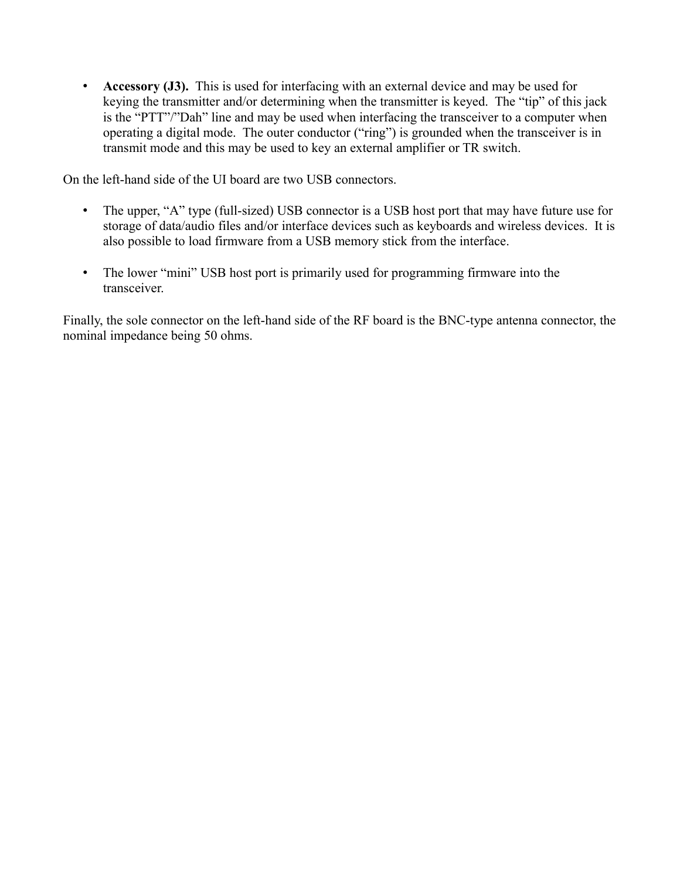• **Accessory (J3).** This is used for interfacing with an external device and may be used for keying the transmitter and/or determining when the transmitter is keyed. The "tip" of this jack is the "PTT"/"Dah" line and may be used when interfacing the transceiver to a computer when operating a digital mode. The outer conductor ("ring") is grounded when the transceiver is in transmit mode and this may be used to key an external amplifier or TR switch.

On the left-hand side of the UI board are two USB connectors.

- The upper, "A" type (full-sized) USB connector is a USB host port that may have future use for storage of data/audio files and/or interface devices such as keyboards and wireless devices. It is also possible to load firmware from a USB memory stick from the interface.
- The lower "mini" USB host port is primarily used for programming firmware into the transceiver.

Finally, the sole connector on the left-hand side of the RF board is the BNC-type antenna connector, the nominal impedance being 50 ohms.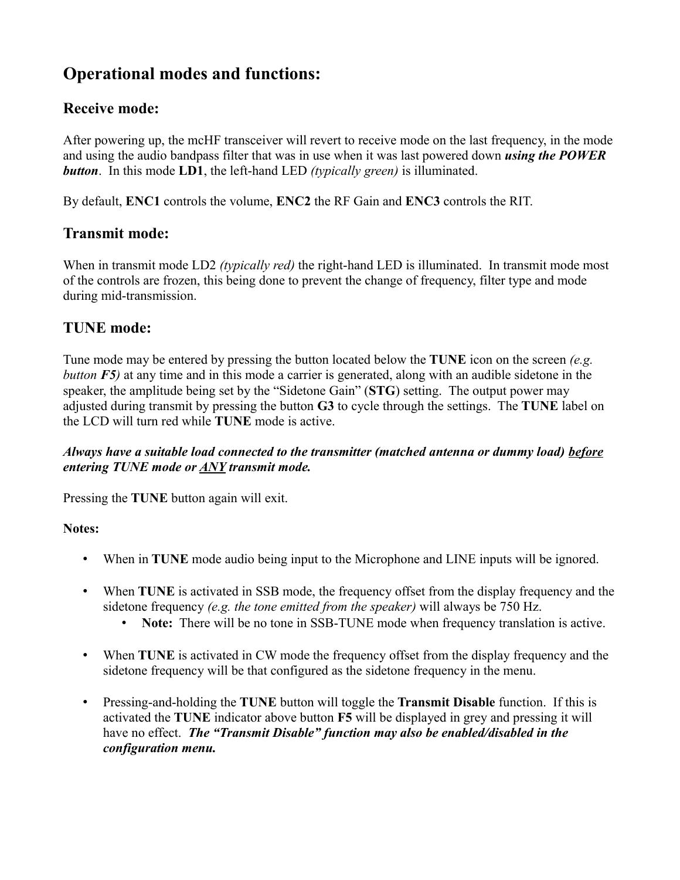# **Operational modes and functions:**

# **Receive mode:**

After powering up, the mcHF transceiver will revert to receive mode on the last frequency, in the mode and using the audio bandpass filter that was in use when it was last powered down *using the POWER button*. In this mode **LD1**, the left-hand LED *(typically green)* is illuminated.

By default, **ENC1** controls the volume, **ENC2** the RF Gain and **ENC3** controls the RIT.

# **Transmit mode:**

When in transmit mode LD2 *(typically red)* the right-hand LED is illuminated. In transmit mode most of the controls are frozen, this being done to prevent the change of frequency, filter type and mode during mid-transmission.

# **TUNE mode:**

Tune mode may be entered by pressing the button located below the **TUNE** icon on the screen *(e.g. button F5)* at any time and in this mode a carrier is generated, along with an audible sidetone in the speaker, the amplitude being set by the "Sidetone Gain" (**STG**) setting. The output power may adjusted during transmit by pressing the button **G3** to cycle through the settings. The **TUNE** label on the LCD will turn red while **TUNE** mode is active.

#### *Always have a suitable load connected to the transmitter (matched antenna or dummy load) before entering TUNE mode or ANY transmit mode.*

Pressing the **TUNE** button again will exit.

#### **Notes:**

- When in **TUNE** mode audio being input to the Microphone and LINE inputs will be ignored.
- When **TUNE** is activated in SSB mode, the frequency offset from the display frequency and the sidetone frequency *(e.g. the tone emitted from the speaker)* will always be 750 Hz.
	- **Note:** There will be no tone in SSB-TUNE mode when frequency translation is active.
- When **TUNE** is activated in CW mode the frequency offset from the display frequency and the sidetone frequency will be that configured as the sidetone frequency in the menu.
- Pressing-and-holding the **TUNE** button will toggle the **Transmit Disable** function. If this is activated the **TUNE** indicator above button **F5** will be displayed in grey and pressing it will have no effect. *The "Transmit Disable" function may also be enabled/disabled in the configuration menu.*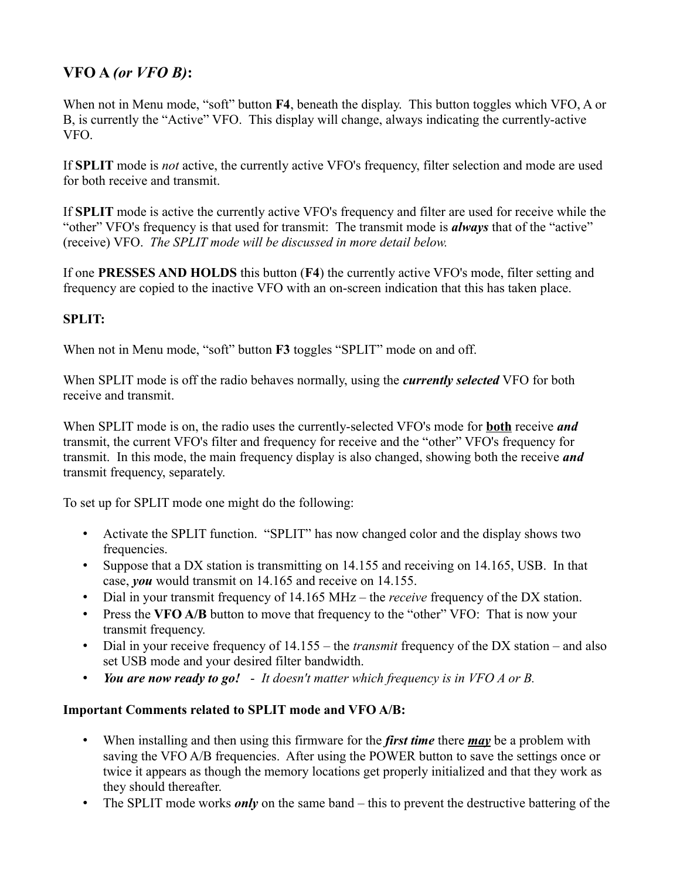# **VFO A** *(or VFO B)***:**

When not in Menu mode, "soft" button **F4**, beneath the display. This button toggles which VFO, A or B, is currently the "Active" VFO. This display will change, always indicating the currently-active VFO.

If **SPLIT** mode is *not* active, the currently active VFO's frequency, filter selection and mode are used for both receive and transmit.

If **SPLIT** mode is active the currently active VFO's frequency and filter are used for receive while the "other" VFO's frequency is that used for transmit: The transmit mode is *always* that of the "active" (receive) VFO. *The SPLIT mode will be discussed in more detail below.*

If one **PRESSES AND HOLDS** this button (**F4**) the currently active VFO's mode, filter setting and frequency are copied to the inactive VFO with an on-screen indication that this has taken place.

#### **SPLIT:**

When not in Menu mode, "soft" button **F3** toggles "SPLIT" mode on and off.

When SPLIT mode is off the radio behaves normally, using the *currently selected* VFO for both receive and transmit.

When SPLIT mode is on, the radio uses the currently-selected VFO's mode for **both** receive *and* transmit, the current VFO's filter and frequency for receive and the "other" VFO's frequency for transmit. In this mode, the main frequency display is also changed, showing both the receive *and* transmit frequency, separately.

To set up for SPLIT mode one might do the following:

- Activate the SPLIT function. "SPLIT" has now changed color and the display shows two frequencies.
- Suppose that a DX station is transmitting on 14.155 and receiving on 14.165, USB. In that case, *you* would transmit on 14.165 and receive on 14.155.
- Dial in your transmit frequency of 14.165 MHz the *receive* frequency of the DX station.
- Press the **VFO A/B** button to move that frequency to the "other" VFO: That is now your transmit frequency.
- Dial in your receive frequency of 14.155 the *transmit* frequency of the DX station and also set USB mode and your desired filter bandwidth.
- *You are now ready to go! It doesn't matter which frequency is in VFO A or B.*

#### **Important Comments related to SPLIT mode and VFO A/B:**

- When installing and then using this firmware for the *first time* there *may* be a problem with saving the VFO A/B frequencies. After using the POWER button to save the settings once or twice it appears as though the memory locations get properly initialized and that they work as they should thereafter.
- The SPLIT mode works *only* on the same band this to prevent the destructive battering of the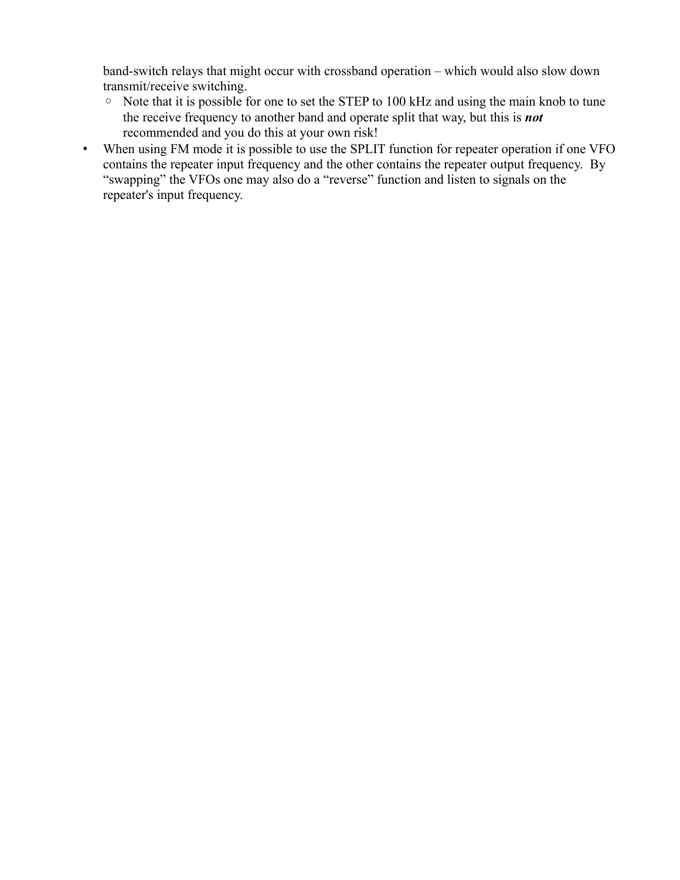band-switch relays that might occur with crossband operation – which would also slow down transmit/receive switching.

- Note that it is possible for one to set the STEP to 100 kHz and using the main knob to tune the receive frequency to another band and operate split that way, but this is *not* recommended and you do this at your own risk!
- When using FM mode it is possible to use the SPLIT function for repeater operation if one VFO contains the repeater input frequency and the other contains the repeater output frequency. By "swapping" the VFOs one may also do a "reverse" function and listen to signals on the repeater's input frequency.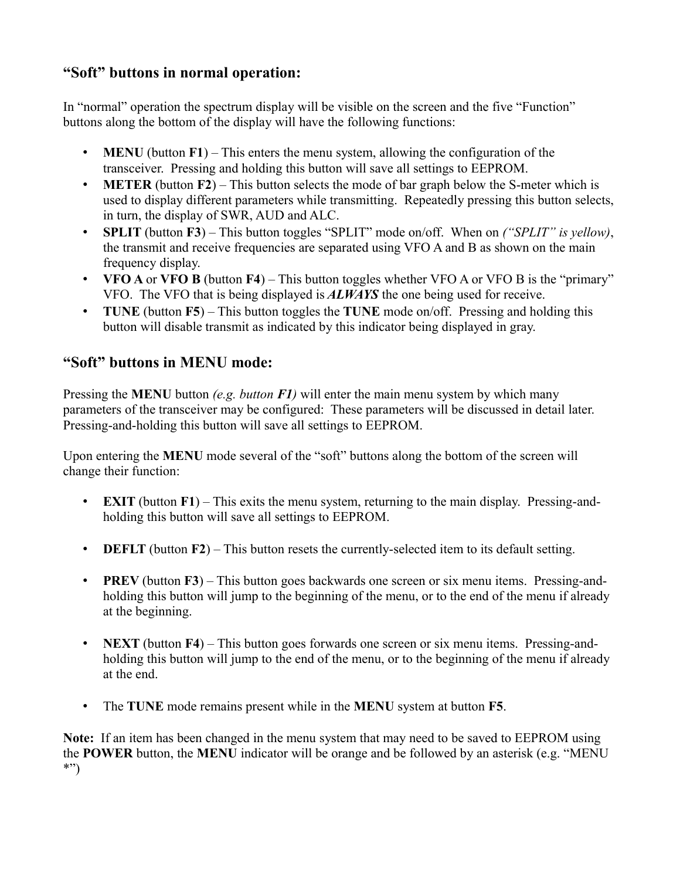# **"Soft" buttons in normal operation:**

In "normal" operation the spectrum display will be visible on the screen and the five "Function" buttons along the bottom of the display will have the following functions:

- **MENU** (button **F1**) This enters the menu system, allowing the configuration of the transceiver. Pressing and holding this button will save all settings to EEPROM.
- **METER** (button **F2**) This button selects the mode of bar graph below the S-meter which is used to display different parameters while transmitting. Repeatedly pressing this button selects, in turn, the display of SWR, AUD and ALC.
- **SPLIT** (button **F3**) This button toggles "SPLIT" mode on/off. When on *("SPLIT" is yellow)*, the transmit and receive frequencies are separated using VFO A and B as shown on the main frequency display.
- **VFO A** or **VFO B** (button **F4**) This button toggles whether VFO A or VFO B is the "primary" VFO. The VFO that is being displayed is *ALWAYS* the one being used for receive.
- **TUNE** (button **F5**) This button toggles the **TUNE** mode on/off. Pressing and holding this button will disable transmit as indicated by this indicator being displayed in gray.

# **"Soft" buttons in MENU mode:**

Pressing the **MENU** button *(e.g. button F1)* will enter the main menu system by which many parameters of the transceiver may be configured: These parameters will be discussed in detail later. Pressing-and-holding this button will save all settings to EEPROM.

Upon entering the **MENU** mode several of the "soft" buttons along the bottom of the screen will change their function:

- **EXIT** (button **F1**) This exits the menu system, returning to the main display. Pressing-andholding this button will save all settings to EEPROM.
- **DEFLT** (button **F2**) This button resets the currently-selected item to its default setting.
- **PREV** (button **F3**) This button goes backwards one screen or six menu items. Pressing-andholding this button will jump to the beginning of the menu, or to the end of the menu if already at the beginning.
- **NEXT** (button **F4**) This button goes forwards one screen or six menu items. Pressing-andholding this button will jump to the end of the menu, or to the beginning of the menu if already at the end.
- The **TUNE** mode remains present while in the **MENU** system at button **F5**.

**Note:** If an item has been changed in the menu system that may need to be saved to EEPROM using the **POWER** button, the **MENU** indicator will be orange and be followed by an asterisk (e.g. "MENU \*")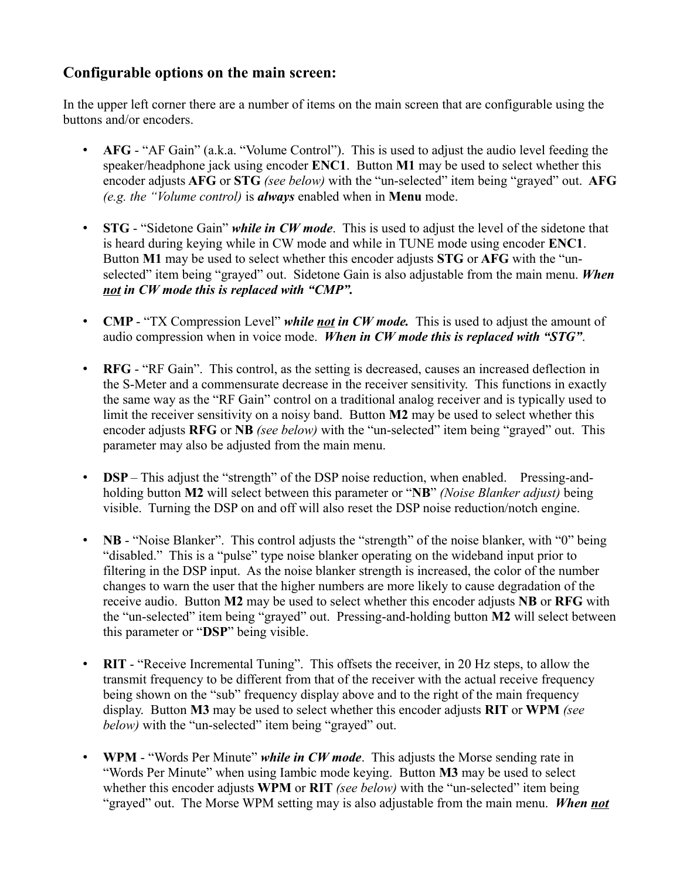# **Configurable options on the main screen:**

In the upper left corner there are a number of items on the main screen that are configurable using the buttons and/or encoders.

- **AFG** "AF Gain" (a.k.a. "Volume Control"). This is used to adjust the audio level feeding the speaker/headphone jack using encoder **ENC1**. Button **M1** may be used to select whether this encoder adjusts **AFG** or **STG** *(see below)* with the "un-selected" item being "grayed" out. **AFG** *(e.g. the "Volume control)* is *always* enabled when in **Menu** mode.
- **STG** "Sidetone Gain" *while in CW mode*. This is used to adjust the level of the sidetone that is heard during keying while in CW mode and while in TUNE mode using encoder **ENC1**. Button **M1** may be used to select whether this encoder adjusts **STG** or **AFG** with the "unselected" item being "grayed" out. Sidetone Gain is also adjustable from the main menu. *When not in CW mode this is replaced with "CMP".*
- **CMP** "TX Compression Level" *while not in CW mode.* This is used to adjust the amount of audio compression when in voice mode. *When in CW mode this is replaced with "STG"*.
- **RFG** "RF Gain". This control, as the setting is decreased, causes an increased deflection in the S-Meter and a commensurate decrease in the receiver sensitivity. This functions in exactly the same way as the "RF Gain" control on a traditional analog receiver and is typically used to limit the receiver sensitivity on a noisy band. Button **M2** may be used to select whether this encoder adjusts **RFG** or **NB** *(see below)* with the "un-selected" item being "grayed" out. This parameter may also be adjusted from the main menu.
- **DSP** This adjust the "strength" of the DSP noise reduction, when enabled. Pressing-andholding button **M2** will select between this parameter or "**NB**" *(Noise Blanker adjust)* being visible. Turning the DSP on and off will also reset the DSP noise reduction/notch engine.
- **NB** "Noise Blanker". This control adjusts the "strength" of the noise blanker, with "0" being "disabled." This is a "pulse" type noise blanker operating on the wideband input prior to filtering in the DSP input. As the noise blanker strength is increased, the color of the number changes to warn the user that the higher numbers are more likely to cause degradation of the receive audio. Button **M2** may be used to select whether this encoder adjusts **NB** or **RFG** with the "un-selected" item being "grayed" out. Pressing-and-holding button **M2** will select between this parameter or "**DSP**" being visible.
- **RIT** "Receive Incremental Tuning". This offsets the receiver, in 20 Hz steps, to allow the transmit frequency to be different from that of the receiver with the actual receive frequency being shown on the "sub" frequency display above and to the right of the main frequency display. Button **M3** may be used to select whether this encoder adjusts **RIT** or **WPM** *(see below*) with the "un-selected" item being "grayed" out.
- **WPM** "Words Per Minute" *while in CW mode*. This adjusts the Morse sending rate in "Words Per Minute" when using Iambic mode keying. Button **M3** may be used to select whether this encoder adjusts **WPM** or **RIT** *(see below)* with the "un-selected" item being "grayed" out. The Morse WPM setting may is also adjustable from the main menu. *When not*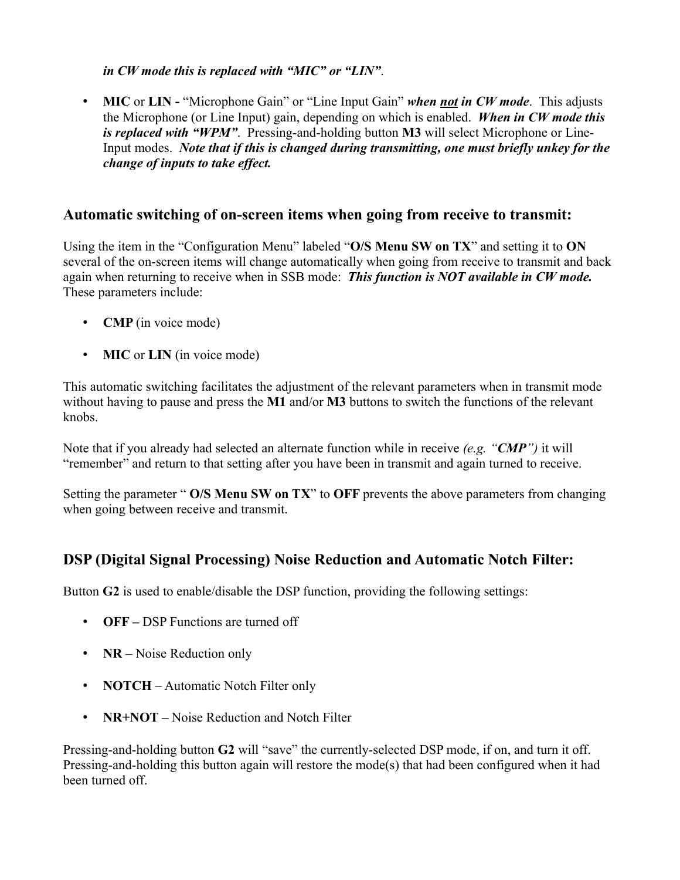*in CW mode this is replaced with "MIC" or "LIN"*.

• **MIC** or **LIN** - "Microphone Gain" or "Line Input Gain" *when not in CW mode*. This adjusts the Microphone (or Line Input) gain, depending on which is enabled. *When in CW mode this is replaced with "WPM"*. Pressing-and-holding button **M3** will select Microphone or Line-Input modes. *Note that if this is changed during transmitting, one must briefly unkey for the change of inputs to take effect.*

#### **Automatic switching of on-screen items when going from receive to transmit:**

Using the item in the "Configuration Menu" labeled "**O/S Menu SW on TX**" and setting it to **ON** several of the on-screen items will change automatically when going from receive to transmit and back again when returning to receive when in SSB mode: *This function is NOT available in CW mode.* These parameters include:

- **CMP** (in voice mode)
- **MIC** or **LIN** (in voice mode)

This automatic switching facilitates the adjustment of the relevant parameters when in transmit mode without having to pause and press the **M1** and/or **M3** buttons to switch the functions of the relevant knobs.

Note that if you already had selected an alternate function while in receive *(e.g. "CMP")* it will "remember" and return to that setting after you have been in transmit and again turned to receive.

Setting the parameter " **O/S Menu SW on TX**" to **OFF** prevents the above parameters from changing when going between receive and transmit.

# **DSP (Digital Signal Processing) Noise Reduction and Automatic Notch Filter:**

Button **G2** is used to enable/disable the DSP function, providing the following settings:

- **OFF** DSP Functions are turned off
- **NR** Noise Reduction only
- **NOTCH** Automatic Notch Filter only
- **NR+NOT** Noise Reduction and Notch Filter

Pressing-and-holding button **G2** will "save" the currently-selected DSP mode, if on, and turn it off. Pressing-and-holding this button again will restore the mode(s) that had been configured when it had been turned off.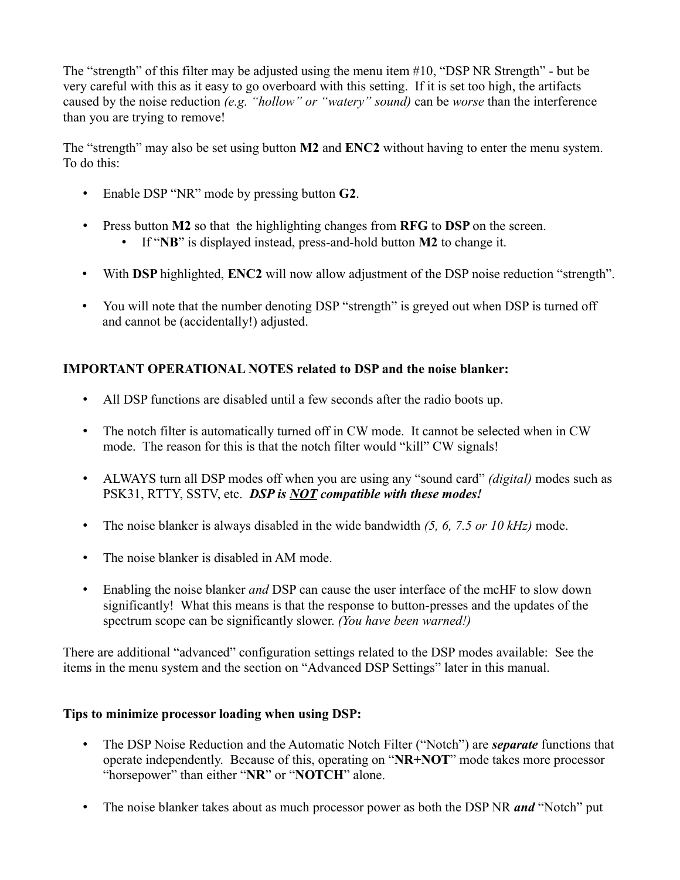The "strength" of this filter may be adjusted using the menu item #10, "DSP NR Strength" - but be very careful with this as it easy to go overboard with this setting. If it is set too high, the artifacts caused by the noise reduction *(e.g. "hollow" or "watery" sound)* can be *worse* than the interference than you are trying to remove!

The "strength" may also be set using button **M2** and **ENC2** without having to enter the menu system. To do this:

- Enable DSP "NR" mode by pressing button **G2**.
- Press button **M2** so that the highlighting changes from **RFG** to **DSP** on the screen.
	- If "**NB**" is displayed instead, press-and-hold button **M2** to change it.
- With **DSP** highlighted, **ENC2** will now allow adjustment of the DSP noise reduction "strength".
- You will note that the number denoting DSP "strength" is greyed out when DSP is turned off and cannot be (accidentally!) adjusted.

#### **IMPORTANT OPERATIONAL NOTES related to DSP and the noise blanker:**

- All DSP functions are disabled until a few seconds after the radio boots up.
- The notch filter is automatically turned off in CW mode. It cannot be selected when in CW mode. The reason for this is that the notch filter would "kill" CW signals!
- ALWAYS turn all DSP modes off when you are using any "sound card" *(digital)* modes such as PSK31, RTTY, SSTV, etc. *DSP is NOT compatible with these modes!*
- The noise blanker is always disabled in the wide bandwidth *(5, 6, 7.5 or 10 kHz)* mode.
- The noise blanker is disabled in AM mode.
- Enabling the noise blanker *and* DSP can cause the user interface of the mcHF to slow down significantly! What this means is that the response to button-presses and the updates of the spectrum scope can be significantly slower. *(You have been warned!)*

There are additional "advanced" configuration settings related to the DSP modes available: See the items in the menu system and the section on "Advanced DSP Settings" later in this manual.

#### **Tips to minimize processor loading when using DSP:**

- The DSP Noise Reduction and the Automatic Notch Filter ("Notch") are *separate* functions that operate independently. Because of this, operating on "**NR+NOT**" mode takes more processor "horsepower" than either "**NR**" or "**NOTCH**" alone.
- The noise blanker takes about as much processor power as both the DSP NR *and* "Notch" put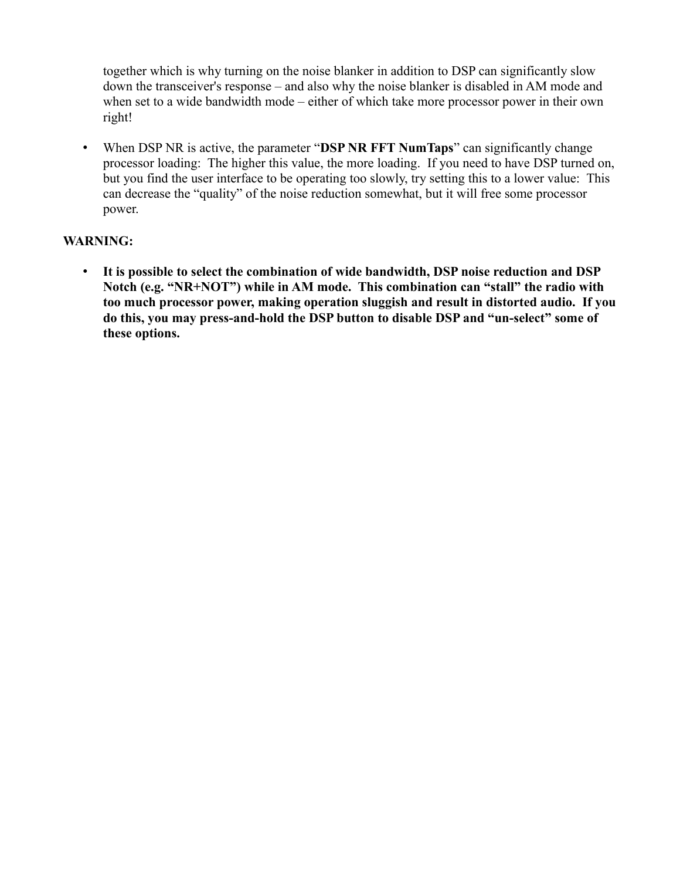together which is why turning on the noise blanker in addition to DSP can significantly slow down the transceiver's response – and also why the noise blanker is disabled in AM mode and when set to a wide bandwidth mode – either of which take more processor power in their own right!

• When DSP NR is active, the parameter "**DSP NR FFT NumTaps**" can significantly change processor loading: The higher this value, the more loading. If you need to have DSP turned on, but you find the user interface to be operating too slowly, try setting this to a lower value: This can decrease the "quality" of the noise reduction somewhat, but it will free some processor power.

#### **WARNING:**

• **It is possible to select the combination of wide bandwidth, DSP noise reduction and DSP Notch (e.g. "NR+NOT") while in AM mode. This combination can "stall" the radio with too much processor power, making operation sluggish and result in distorted audio. If you do this, you may press-and-hold the DSP button to disable DSP and "un-select" some of these options.**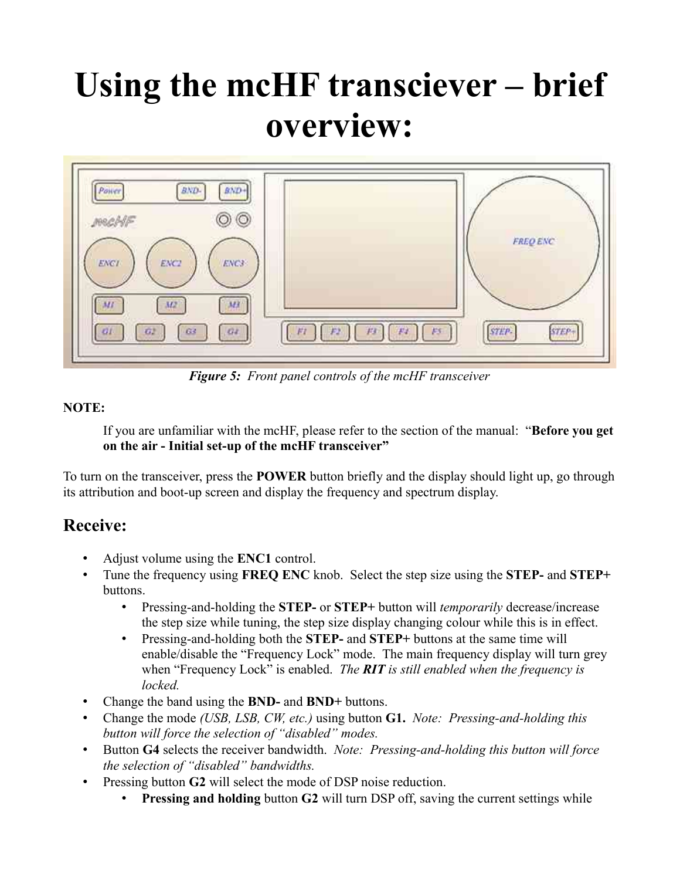# **Using the mcHF transciever – brief overview:**



*Figure 5: Front panel controls of the mcHF transceiver*

#### **NOTE:**

If you are unfamiliar with the mcHF, please refer to the section of the manual: "**Before you get on the air - Initial set-up of the mcHF transceiver"**

To turn on the transceiver, press the **POWER** button briefly and the display should light up, go through its attribution and boot-up screen and display the frequency and spectrum display.

# **Receive:**

- Adjust volume using the **ENC1** control.
- Tune the frequency using **FREQ ENC** knob. Select the step size using the **STEP-** and **STEP+** buttons.
	- Pressing-and-holding the **STEP-** or **STEP+** button will *temporarily* decrease/increase the step size while tuning, the step size display changing colour while this is in effect.
	- Pressing-and-holding both the **STEP-** and **STEP+** buttons at the same time will enable/disable the "Frequency Lock" mode. The main frequency display will turn grey when "Frequency Lock" is enabled. *The RIT is still enabled when the frequency is locked.*
- Change the band using the **BND-** and **BND+** buttons.
- Change the mode *(USB, LSB, CW, etc.)* using button **G1.** *Note: Pressing-and-holding this button will force the selection of "disabled" modes.*
- Button **G4** selects the receiver bandwidth. *Note: Pressing-and-holding this button will force the selection of "disabled" bandwidths.*
- Pressing button **G2** will select the mode of DSP noise reduction.
	- **Pressing and holding** button **G2** will turn DSP off, saving the current settings while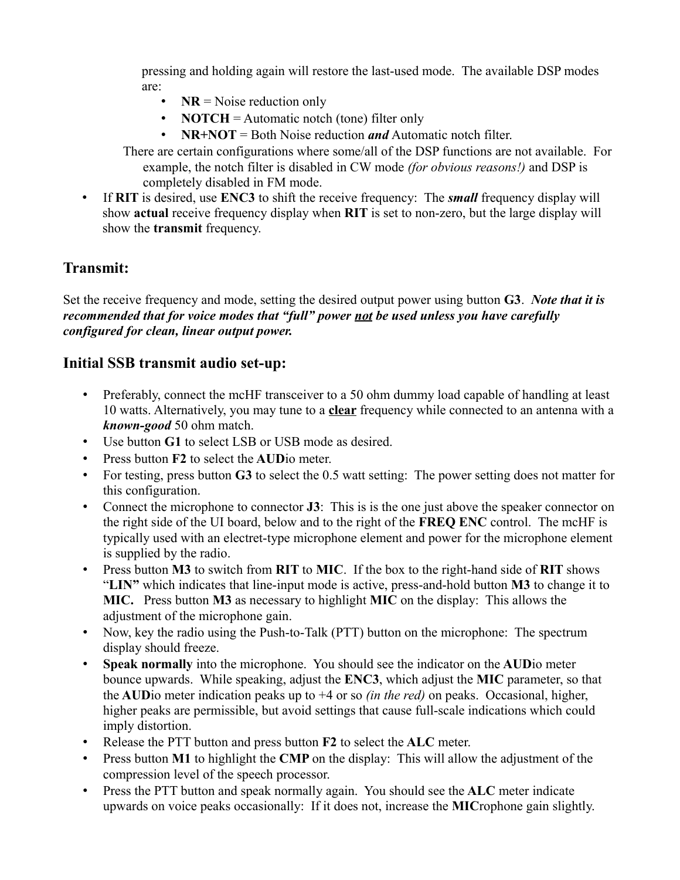pressing and holding again will restore the last-used mode. The available DSP modes are:

- **NR** = Noise reduction only
- **NOTCH** = Automatic notch (tone) filter only
- **NR+NOT** = Both Noise reduction *and* Automatic notch filter.
- There are certain configurations where some/all of the DSP functions are not available. For example, the notch filter is disabled in CW mode *(for obvious reasons!)* and DSP is completely disabled in FM mode.
- If **RIT** is desired, use **ENC3** to shift the receive frequency: The *small* frequency display will show **actual** receive frequency display when **RIT** is set to non-zero, but the large display will show the **transmit** frequency.

# **Transmit:**

Set the receive frequency and mode, setting the desired output power using button **G3**. *Note that it is recommended that for voice modes that "full" power not be used unless you have carefully configured for clean, linear output power.*

### **Initial SSB transmit audio set-up:**

- Preferably, connect the mcHF transceiver to a 50 ohm dummy load capable of handling at least 10 watts. Alternatively, you may tune to a **clear** frequency while connected to an antenna with a *known-good* 50 ohm match.
- Use button **G1** to select LSB or USB mode as desired.
- Press button **F2** to select the **AUD**io meter.
- For testing, press button **G3** to select the 0.5 watt setting: The power setting does not matter for this configuration.
- Connect the microphone to connector **J3**: This is is the one just above the speaker connector on the right side of the UI board, below and to the right of the **FREQ ENC** control. The mcHF is typically used with an electret-type microphone element and power for the microphone element is supplied by the radio.
- Press button **M3** to switch from **RIT** to **MIC**. If the box to the right-hand side of **RIT** shows "**LIN"** which indicates that line-input mode is active, press-and-hold button **M3** to change it to **MIC.** Press button **M3** as necessary to highlight **MIC** on the display: This allows the adjustment of the microphone gain.
- Now, key the radio using the Push-to-Talk (PTT) button on the microphone: The spectrum display should freeze.
- **Speak normally** into the microphone. You should see the indicator on the **AUD**io meter bounce upwards. While speaking, adjust the **ENC3**, which adjust the **MIC** parameter, so that the **AUD**io meter indication peaks up to +4 or so *(in the red)* on peaks. Occasional, higher, higher peaks are permissible, but avoid settings that cause full-scale indications which could imply distortion.
- Release the PTT button and press button **F2** to select the **ALC** meter.
- Press button **M1** to highlight the **CMP** on the display: This will allow the adjustment of the compression level of the speech processor.
- Press the PTT button and speak normally again. You should see the **ALC** meter indicate upwards on voice peaks occasionally: If it does not, increase the **MIC**rophone gain slightly.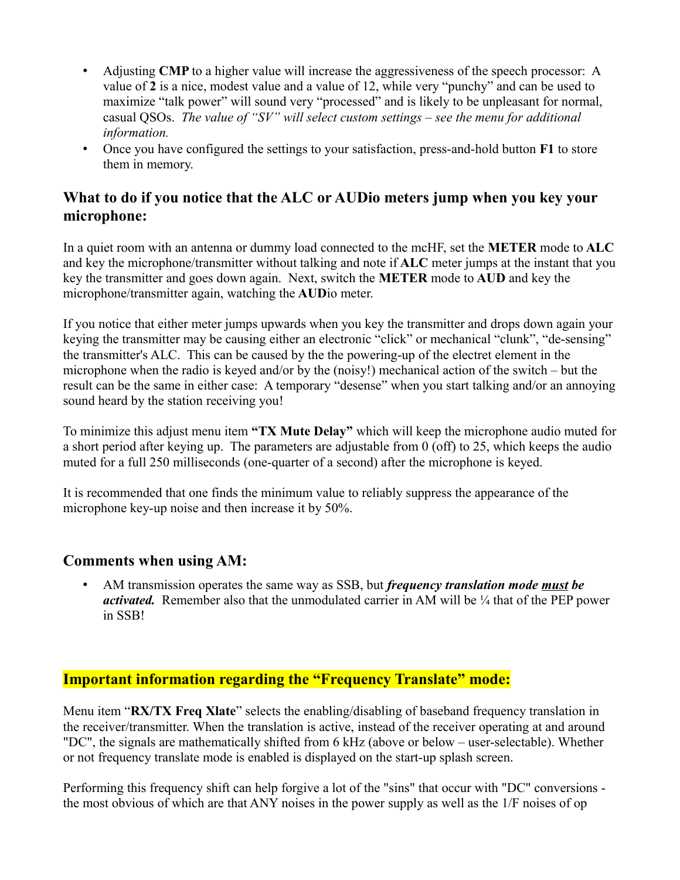- Adjusting **CMP** to a higher value will increase the aggressiveness of the speech processor: A value of **2** is a nice, modest value and a value of 12, while very "punchy" and can be used to maximize "talk power" will sound very "processed" and is likely to be unpleasant for normal, casual QSOs. *The value of "SV" will select custom settings – see the menu for additional information.*
- Once you have configured the settings to your satisfaction, press-and-hold button **F1** to store them in memory.

# **What to do if you notice that the ALC or AUDio meters jump when you key your microphone:**

In a quiet room with an antenna or dummy load connected to the mcHF, set the **METER** mode to **ALC** and key the microphone/transmitter without talking and note if **ALC** meter jumps at the instant that you key the transmitter and goes down again. Next, switch the **METER** mode to **AUD** and key the microphone/transmitter again, watching the **AUD**io meter.

If you notice that either meter jumps upwards when you key the transmitter and drops down again your keying the transmitter may be causing either an electronic "click" or mechanical "clunk", "de-sensing" the transmitter's ALC. This can be caused by the the powering-up of the electret element in the microphone when the radio is keyed and/or by the (noisy!) mechanical action of the switch – but the result can be the same in either case: A temporary "desense" when you start talking and/or an annoying sound heard by the station receiving you!

To minimize this adjust menu item **"TX Mute Delay"** which will keep the microphone audio muted for a short period after keying up. The parameters are adjustable from 0 (off) to 25, which keeps the audio muted for a full 250 milliseconds (one-quarter of a second) after the microphone is keyed.

It is recommended that one finds the minimum value to reliably suppress the appearance of the microphone key-up noise and then increase it by 50%.

### **Comments when using AM:**

• AM transmission operates the same way as SSB, but *frequency translation mode must be activated.* Remember also that the unmodulated carrier in AM will be  $\frac{1}{4}$  that of the PEP power in SSB!

# **Important information regarding the "Frequency Translate" mode:**

Menu item "**RX/TX Freq Xlate**" selects the enabling/disabling of baseband frequency translation in the receiver/transmitter. When the translation is active, instead of the receiver operating at and around "DC", the signals are mathematically shifted from 6 kHz (above or below – user-selectable). Whether or not frequency translate mode is enabled is displayed on the start-up splash screen.

Performing this frequency shift can help forgive a lot of the "sins" that occur with "DC" conversions the most obvious of which are that ANY noises in the power supply as well as the 1/F noises of op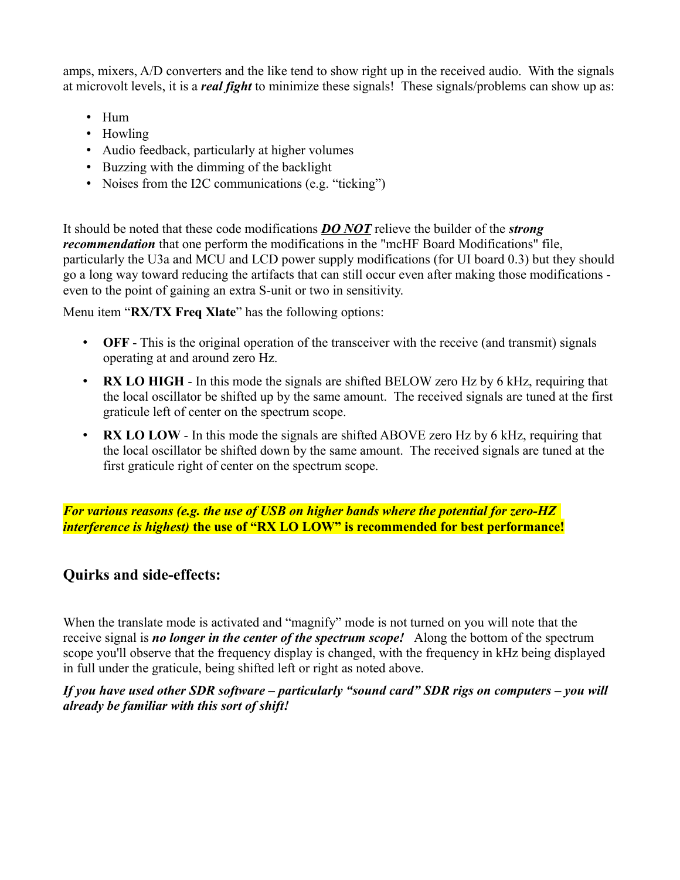amps, mixers, A/D converters and the like tend to show right up in the received audio. With the signals at microvolt levels, it is a *real fight* to minimize these signals! These signals/problems can show up as:

- Hum
- Howling
- Audio feedback, particularly at higher volumes
- Buzzing with the dimming of the backlight
- Noises from the I2C communications (e.g. "ticking")

It should be noted that these code modifications *DO NOT* relieve the builder of the *strong recommendation* that one perform the modifications in the "mcHF Board Modifications" file, particularly the U3a and MCU and LCD power supply modifications (for UI board 0.3) but they should go a long way toward reducing the artifacts that can still occur even after making those modifications even to the point of gaining an extra S-unit or two in sensitivity.

Menu item "**RX/TX Freq Xlate**" has the following options:

- **OFF** This is the original operation of the transceiver with the receive (and transmit) signals operating at and around zero Hz.
- **RX LO HIGH** In this mode the signals are shifted BELOW zero Hz by 6 kHz, requiring that the local oscillator be shifted up by the same amount. The received signals are tuned at the first graticule left of center on the spectrum scope.
- **RX LO LOW** In this mode the signals are shifted ABOVE zero Hz by 6 kHz, requiring that the local oscillator be shifted down by the same amount. The received signals are tuned at the first graticule right of center on the spectrum scope.

*For various reasons (e.g. the use of USB on higher bands where the potential for zero-HZ interference is highest)* **the use of "RX LO LOW" is recommended for best performance!**

### **Quirks and side-effects:**

When the translate mode is activated and "magnify" mode is not turned on you will note that the receive signal is *no longer in the center of the spectrum scope!* Along the bottom of the spectrum scope you'll observe that the frequency display is changed, with the frequency in kHz being displayed in full under the graticule, being shifted left or right as noted above.

*If you have used other SDR software – particularly "sound card" SDR rigs on computers – you will already be familiar with this sort of shift!*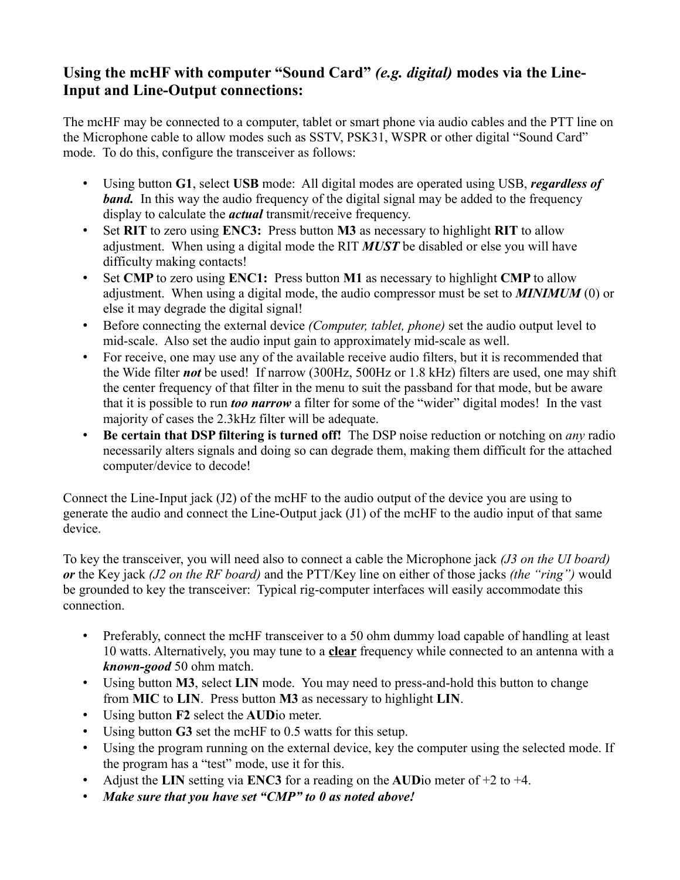# **Using the mcHF with computer "Sound Card"** *(e.g. digital)* **modes via the Line-Input and Line-Output connections:**

The mcHF may be connected to a computer, tablet or smart phone via audio cables and the PTT line on the Microphone cable to allow modes such as SSTV, PSK31, WSPR or other digital "Sound Card" mode. To do this, configure the transceiver as follows:

- Using button **G1**, select **USB** mode: All digital modes are operated using USB, *regardless of band.* In this way the audio frequency of the digital signal may be added to the frequency display to calculate the *actual* transmit/receive frequency.
- Set **RIT** to zero using **ENC3:** Press button **M3** as necessary to highlight **RIT** to allow adjustment. When using a digital mode the RIT *MUST* be disabled or else you will have difficulty making contacts!
- Set **CMP** to zero using **ENC1:** Press button **M1** as necessary to highlight **CMP** to allow adjustment. When using a digital mode, the audio compressor must be set to *MINIMUM* (0) or else it may degrade the digital signal!
- Before connecting the external device *(Computer, tablet, phone)* set the audio output level to mid-scale. Also set the audio input gain to approximately mid-scale as well.
- For receive, one may use any of the available receive audio filters, but it is recommended that the Wide filter *not* be used! If narrow (300Hz, 500Hz or 1.8 kHz) filters are used, one may shift the center frequency of that filter in the menu to suit the passband for that mode, but be aware that it is possible to run *too narrow* a filter for some of the "wider" digital modes! In the vast majority of cases the 2.3kHz filter will be adequate.
- **Be certain that DSP filtering is turned off!** The DSP noise reduction or notching on *any* radio necessarily alters signals and doing so can degrade them, making them difficult for the attached computer/device to decode!

Connect the Line-Input jack (J2) of the mcHF to the audio output of the device you are using to generate the audio and connect the Line-Output jack (J1) of the mcHF to the audio input of that same device.

To key the transceiver, you will need also to connect a cable the Microphone jack *(J3 on the UI board) or* the Key jack *(J2 on the RF board)* and the PTT/Key line on either of those jacks *(the "ring")* would be grounded to key the transceiver: Typical rig-computer interfaces will easily accommodate this connection.

- Preferably, connect the mcHF transceiver to a 50 ohm dummy load capable of handling at least 10 watts. Alternatively, you may tune to a **clear** frequency while connected to an antenna with a *known-good* 50 ohm match.
- Using button **M3**, select **LIN** mode. You may need to press-and-hold this button to change from **MIC** to **LIN**. Press button **M3** as necessary to highlight **LIN**.
- Using button **F2** select the **AUD**io meter.
- Using button **G3** set the mcHF to 0.5 watts for this setup.
- Using the program running on the external device, key the computer using the selected mode. If the program has a "test" mode, use it for this.
- Adjust the **LIN** setting via **ENC3** for a reading on the **AUD**io meter of +2 to +4.
- *Make sure that you have set "CMP" to 0 as noted above!*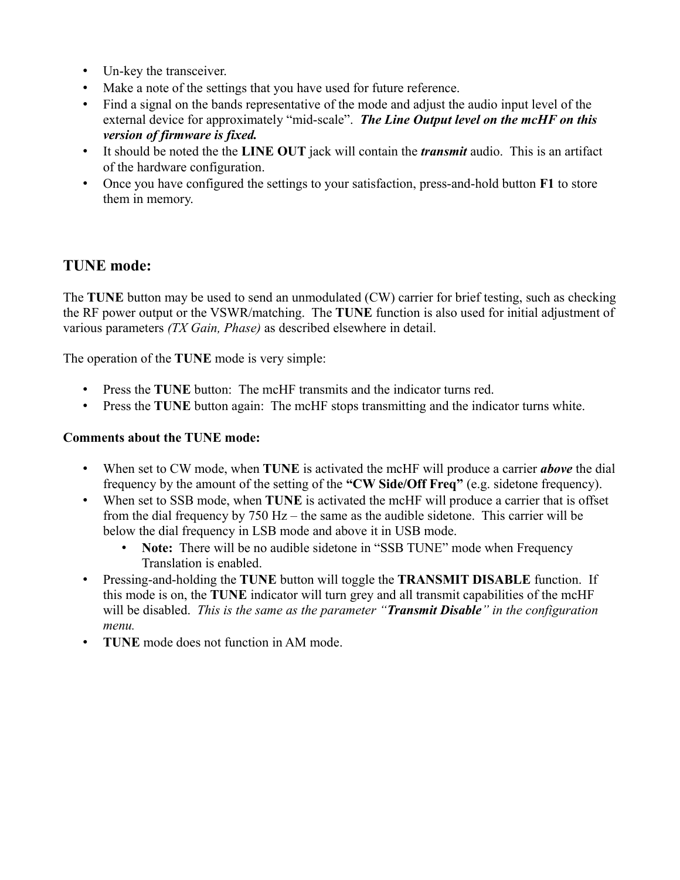- Un-key the transceiver.
- Make a note of the settings that you have used for future reference.
- Find a signal on the bands representative of the mode and adjust the audio input level of the external device for approximately "mid-scale". *The Line Output level on the mcHF on this version of firmware is fixed.*
- It should be noted the the **LINE OUT** jack will contain the *transmit* audio. This is an artifact of the hardware configuration.
- Once you have configured the settings to your satisfaction, press-and-hold button **F1** to store them in memory.

# **TUNE mode:**

The **TUNE** button may be used to send an unmodulated (CW) carrier for brief testing, such as checking the RF power output or the VSWR/matching. The **TUNE** function is also used for initial adjustment of various parameters *(TX Gain, Phase)* as described elsewhere in detail.

The operation of the **TUNE** mode is very simple:

- Press the **TUNE** button: The mcHF transmits and the indicator turns red.
- Press the **TUNE** button again: The mcHF stops transmitting and the indicator turns white.

#### **Comments about the TUNE mode:**

- When set to CW mode, when **TUNE** is activated the mcHF will produce a carrier *above* the dial frequency by the amount of the setting of the **"CW Side/Off Freq"** (e.g. sidetone frequency).
- When set to SSB mode, when **TUNE** is activated the mcHF will produce a carrier that is offset from the dial frequency by 750 Hz – the same as the audible sidetone. This carrier will be below the dial frequency in LSB mode and above it in USB mode.
	- **Note:** There will be no audible sidetone in "SSB TUNE" mode when Frequency Translation is enabled.
- Pressing-and-holding the **TUNE** button will toggle the **TRANSMIT DISABLE** function. If this mode is on, the **TUNE** indicator will turn grey and all transmit capabilities of the mcHF will be disabled. *This is the same as the parameter "Transmit Disable" in the configuration menu.*
- **TUNE** mode does not function in AM mode.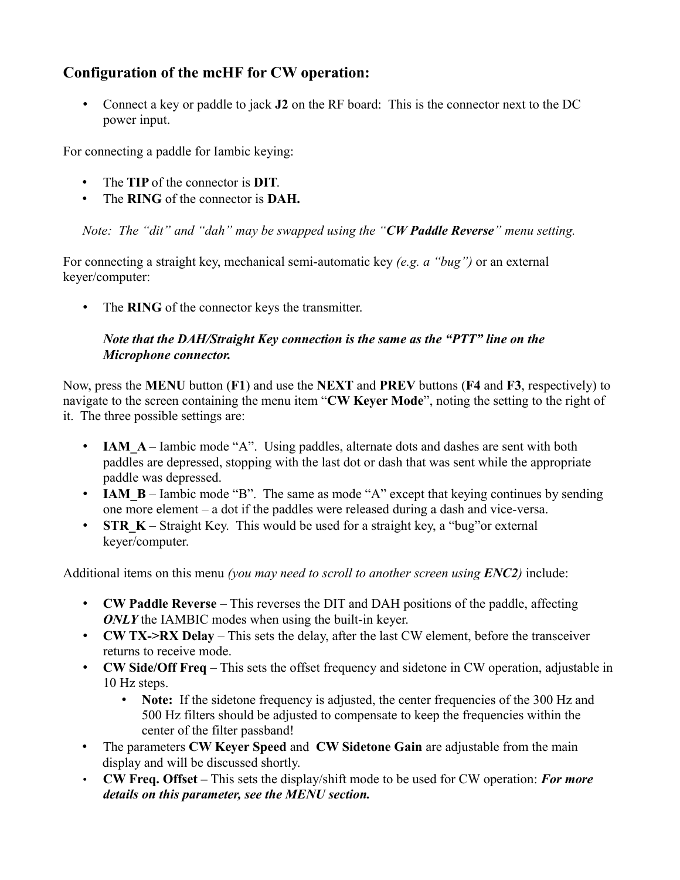# **Configuration of the mcHF for CW operation:**

• Connect a key or paddle to jack **J2** on the RF board: This is the connector next to the DC power input.

For connecting a paddle for Iambic keying:

- The **TIP** of the connector is **DIT**.
- The **RING** of the connector is **DAH.**

*Note: The "dit" and "dah" may be swapped using the "CW Paddle Reverse" menu setting.*

For connecting a straight key, mechanical semi-automatic key *(e.g. a "bug")* or an external keyer/computer:

• The **RING** of the connector keys the transmitter.

#### *Note that the DAH/Straight Key connection is the same as the "PTT" line on the Microphone connector.*

Now, press the **MENU** button (**F1**) and use the **NEXT** and **PREV** buttons (**F4** and **F3**, respectively) to navigate to the screen containing the menu item "**CW Keyer Mode**", noting the setting to the right of it. The three possible settings are:

- **IAM** A Iambic mode "A". Using paddles, alternate dots and dashes are sent with both paddles are depressed, stopping with the last dot or dash that was sent while the appropriate paddle was depressed.
- **IAM B** Iambic mode "B". The same as mode "A" except that keying continues by sending one more element – a dot if the paddles were released during a dash and vice-versa.
- **STR K** Straight Key. This would be used for a straight key, a "bug"or external keyer/computer.

Additional items on this menu *(you may need to scroll to another screen using ENC2)* include:

- **CW Paddle Reverse** This reverses the DIT and DAH positions of the paddle, affecting *ONLY* the IAMBIC modes when using the built-in keyer.
- **CW TX->RX Delay** This sets the delay, after the last CW element, before the transceiver returns to receive mode.
- **CW Side/Off Freq** This sets the offset frequency and sidetone in CW operation, adjustable in 10 Hz steps.
	- **Note:** If the sidetone frequency is adjusted, the center frequencies of the 300 Hz and 500 Hz filters should be adjusted to compensate to keep the frequencies within the center of the filter passband!
- The parameters **CW Keyer Speed** and **CW Sidetone Gain** are adjustable from the main display and will be discussed shortly.
- **CW Freq. Offset** This sets the display/shift mode to be used for CW operation: *For more details on this parameter, see the MENU section.*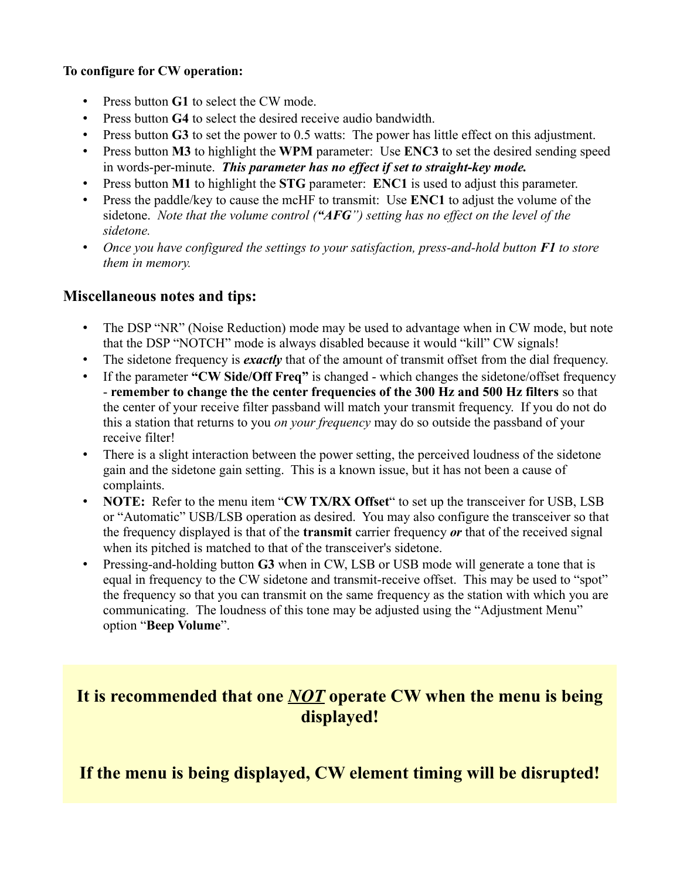#### **To configure for CW operation:**

- Press button **G1** to select the CW mode.
- Press button **G4** to select the desired receive audio bandwidth.
- Press button **G3** to set the power to 0.5 watts: The power has little effect on this adjustment.
- Press button **M3** to highlight the **WPM** parameter: Use **ENC3** to set the desired sending speed in words-per-minute. *This parameter has no effect if set to straight-key mode.*
- Press button **M1** to highlight the **STG** parameter: **ENC1** is used to adjust this parameter.
- Press the paddle/key to cause the mcHF to transmit: Use **ENC1** to adjust the volume of the sidetone. *Note that the volume control ("AFG") setting has no effect on the level of the sidetone.*
- *Once you have configured the settings to your satisfaction, press-and-hold button F1 to store them in memory.*

#### **Miscellaneous notes and tips:**

- The DSP "NR" (Noise Reduction) mode may be used to advantage when in CW mode, but note that the DSP "NOTCH" mode is always disabled because it would "kill" CW signals!
- The sidetone frequency is *exactly* that of the amount of transmit offset from the dial frequency.
- If the parameter **"CW Side/Off Freq"** is changed which changes the sidetone/offset frequency - **remember to change the the center frequencies of the 300 Hz and 500 Hz filters** so that the center of your receive filter passband will match your transmit frequency. If you do not do this a station that returns to you *on your frequency* may do so outside the passband of your receive filter!
- There is a slight interaction between the power setting, the perceived loudness of the sidetone gain and the sidetone gain setting. This is a known issue, but it has not been a cause of complaints.
- **NOTE:** Refer to the menu item "**CW TX/RX Offset**" to set up the transceiver for USB, LSB or "Automatic" USB/LSB operation as desired. You may also configure the transceiver so that the frequency displayed is that of the **transmit** carrier frequency *or* that of the received signal when its pitched is matched to that of the transceiver's sidetone.
- Pressing-and-holding button **G3** when in CW, LSB or USB mode will generate a tone that is equal in frequency to the CW sidetone and transmit-receive offset. This may be used to "spot" the frequency so that you can transmit on the same frequency as the station with which you are communicating. The loudness of this tone may be adjusted using the "Adjustment Menu" option "**Beep Volume**".

# **It is recommended that one** *NOT* **operate CW when the menu is being displayed!**

**If the menu is being displayed, CW element timing will be disrupted!**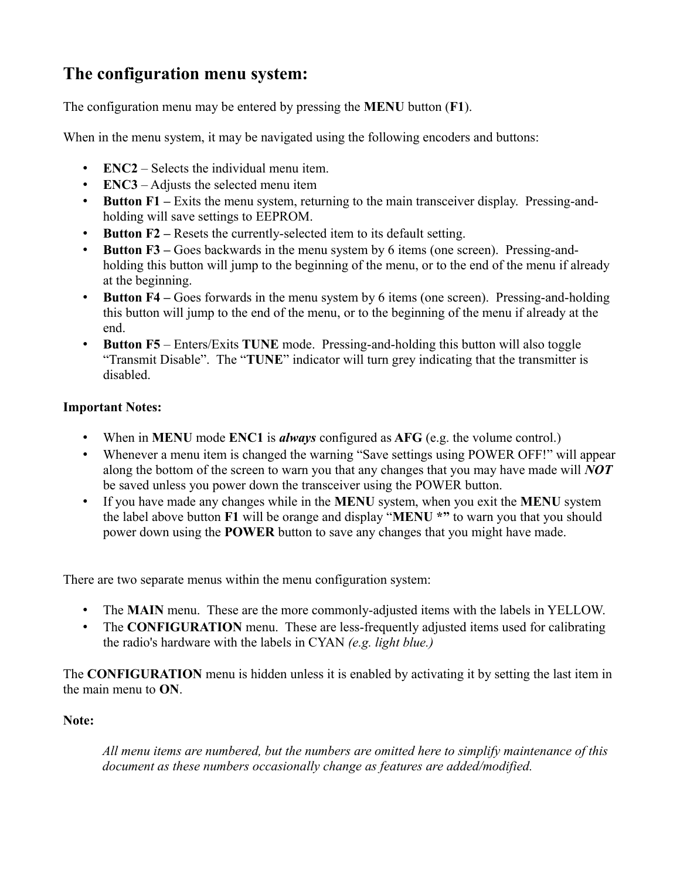# **The configuration menu system:**

The configuration menu may be entered by pressing the **MENU** button (**F1**).

When in the menu system, it may be navigated using the following encoders and buttons:

- **ENC2** Selects the individual menu item.
- **ENC3** Adjusts the selected menu item
- **Button F1** Exits the menu system, returning to the main transceiver display. Pressing-andholding will save settings to EEPROM.
- **Button F2** Resets the currently-selected item to its default setting.
- **Button F3** Goes backwards in the menu system by 6 items (one screen). Pressing-andholding this button will jump to the beginning of the menu, or to the end of the menu if already at the beginning.
- **Button F4** Goes forwards in the menu system by 6 items (one screen). Pressing-and-holding this button will jump to the end of the menu, or to the beginning of the menu if already at the end.
- **Button F5** Enters/Exits **TUNE** mode. Pressing-and-holding this button will also toggle "Transmit Disable". The "**TUNE**" indicator will turn grey indicating that the transmitter is disabled.

#### **Important Notes:**

- When in **MENU** mode **ENC1** is *always* configured as **AFG** (e.g. the volume control.)
- Whenever a menu item is changed the warning "Save settings using POWER OFF!" will appear along the bottom of the screen to warn you that any changes that you may have made will *NOT* be saved unless you power down the transceiver using the POWER button.
- If you have made any changes while in the **MENU** system, when you exit the **MENU** system the label above button **F1** will be orange and display "**MENU \*"** to warn you that you should power down using the **POWER** button to save any changes that you might have made.

There are two separate menus within the menu configuration system:

- The **MAIN** menu. These are the more commonly-adjusted items with the labels in YELLOW.
- The **CONFIGURATION** menu. These are less-frequently adjusted items used for calibrating the radio's hardware with the labels in CYAN *(e.g. light blue.)*

The **CONFIGURATION** menu is hidden unless it is enabled by activating it by setting the last item in the main menu to **ON**.

#### **Note:**

*All menu items are numbered, but the numbers are omitted here to simplify maintenance of this document as these numbers occasionally change as features are added/modified.*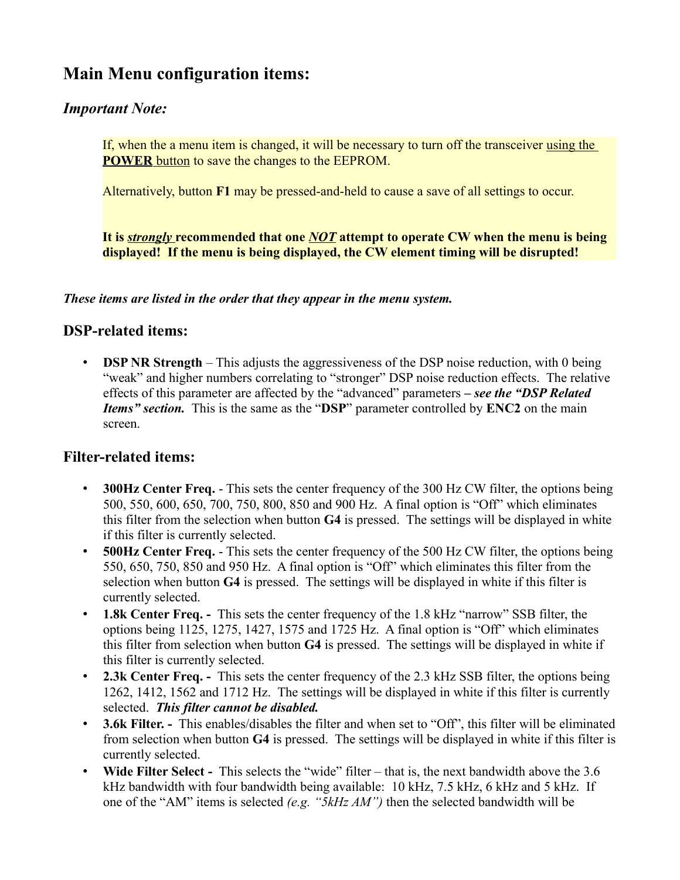# **Main Menu configuration items:**

## *Important Note:*

If, when the a menu item is changed, it will be necessary to turn off the transceiver using the **POWER** button to save the changes to the EEPROM.

Alternatively, button **F1** may be pressed-and-held to cause a save of all settings to occur.

**It is** *strongly* **recommended that one** *NOT* **attempt to operate CW when the menu is being displayed! If the menu is being displayed, the CW element timing will be disrupted!**

*These items are listed in the order that they appear in the menu system.*

### **DSP-related items:**

• **DSP NR Strength** – This adjusts the aggressiveness of the DSP noise reduction, with 0 being "weak" and higher numbers correlating to "stronger" DSP noise reduction effects. The relative effects of this parameter are affected by the "advanced" parameters *– see the "DSP Related Items" section.* This is the same as the "**DSP**" parameter controlled by **ENC2** on the main screen.

### **Filter-related items:**

- **300Hz Center Freq.** This sets the center frequency of the 300 Hz CW filter, the options being 500, 550, 600, 650, 700, 750, 800, 850 and 900 Hz. A final option is "Off" which eliminates this filter from the selection when button **G4** is pressed. The settings will be displayed in white if this filter is currently selected.
- **500Hz Center Freq.** This sets the center frequency of the 500 Hz CW filter, the options being 550, 650, 750, 850 and 950 Hz. A final option is "Off" which eliminates this filter from the selection when button **G4** is pressed. The settings will be displayed in white if this filter is currently selected.
- **1.8k Center Freq.** This sets the center frequency of the 1.8 kHz "narrow" SSB filter, the options being 1125, 1275, 1427, 1575 and 1725 Hz. A final option is "Off" which eliminates this filter from selection when button **G4** is pressed. The settings will be displayed in white if this filter is currently selected.
- **2.3k Center Freq.** This sets the center frequency of the 2.3 kHz SSB filter, the options being 1262, 1412, 1562 and 1712 Hz. The settings will be displayed in white if this filter is currently selected. *This filter cannot be disabled.*
- **3.6k Filter. -** This enables/disables the filter and when set to "Off", this filter will be eliminated from selection when button **G4** is pressed. The settings will be displayed in white if this filter is currently selected.
- **Wide Filter Select -** This selects the "wide" filter that is, the next bandwidth above the 3.6 kHz bandwidth with four bandwidth being available: 10 kHz, 7.5 kHz, 6 kHz and 5 kHz. If one of the "AM" items is selected *(e.g. "5kHz AM")* then the selected bandwidth will be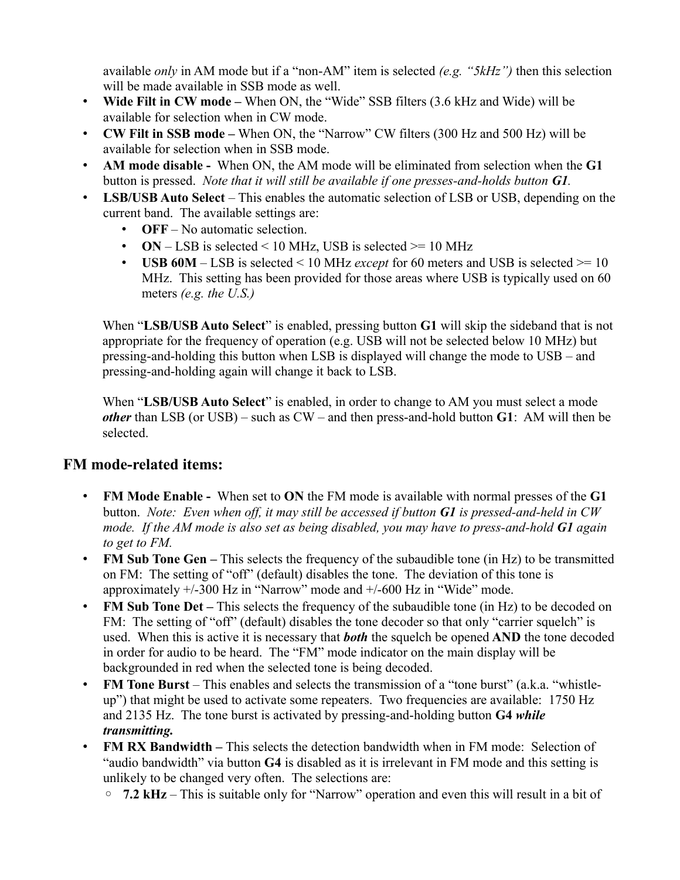available *only* in AM mode but if a "non-AM" item is selected *(e.g. "5kHz")* then this selection will be made available in SSB mode as well.

- **Wide Filt in CW mode** When ON, the "Wide" SSB filters (3.6 kHz and Wide) will be available for selection when in CW mode.
- **CW Filt in SSB mode** When ON, the "Narrow" CW filters (300 Hz and 500 Hz) will be available for selection when in SSB mode.
- **AM mode disable** When ON, the AM mode will be eliminated from selection when the **G1** button is pressed. *Note that it will still be available if one presses-and-holds button G1.*
- **LSB/USB Auto Select** This enables the automatic selection of LSB or USB, depending on the current band. The available settings are:
	- **OFF** No automatic selection.
	- **ON** LSB is selected < 10 MHz, USB is selected  $>$  = 10 MHz
	- **USB 60M** LSB is selected < 10 MHz *except* for 60 meters and USB is selected >= 10 MHz. This setting has been provided for those areas where USB is typically used on 60 meters *(e.g. the U.S.)*

When "**LSB/USB Auto Select**" is enabled, pressing button **G1** will skip the sideband that is not appropriate for the frequency of operation (e.g. USB will not be selected below 10 MHz) but pressing-and-holding this button when LSB is displayed will change the mode to USB – and pressing-and-holding again will change it back to LSB.

When "**LSB/USB Auto Select**" is enabled, in order to change to AM you must select a mode *other* than LSB (or USB) – such as CW – and then press-and-hold button **G1**: AM will then be selected.

# **FM mode-related items:**

- **FM Mode Enable -** When set to **ON** the FM mode is available with normal presses of the **G1** button. *Note: Even when off, it may still be accessed if button G1 is pressed-and-held in CW mode. If the AM mode is also set as being disabled, you may have to press-and-hold G1 again to get to FM.*
- **FM Sub Tone Gen** This selects the frequency of the subaudible tone (in Hz) to be transmitted on FM: The setting of "off" (default) disables the tone. The deviation of this tone is approximately +/-300 Hz in "Narrow" mode and +/-600 Hz in "Wide" mode.
- **FM Sub Tone Det –** This selects the frequency of the subaudible tone (in Hz) to be decoded on FM: The setting of "off" (default) disables the tone decoder so that only "carrier squelch" is used. When this is active it is necessary that *both* the squelch be opened **AND** the tone decoded in order for audio to be heard. The "FM" mode indicator on the main display will be backgrounded in red when the selected tone is being decoded.
- **FM Tone Burst** This enables and selects the transmission of a "tone burst" (a.k.a. "whistleup") that might be used to activate some repeaters. Two frequencies are available: 1750 Hz and 2135 Hz. The tone burst is activated by pressing-and-holding button **G4** *while transmitting.*
- **FM RX Bandwidth** This selects the detection bandwidth when in FM mode: Selection of "audio bandwidth" via button **G4** is disabled as it is irrelevant in FM mode and this setting is unlikely to be changed very often. The selections are:
	- **7.2 kHz** This is suitable only for "Narrow" operation and even this will result in a bit of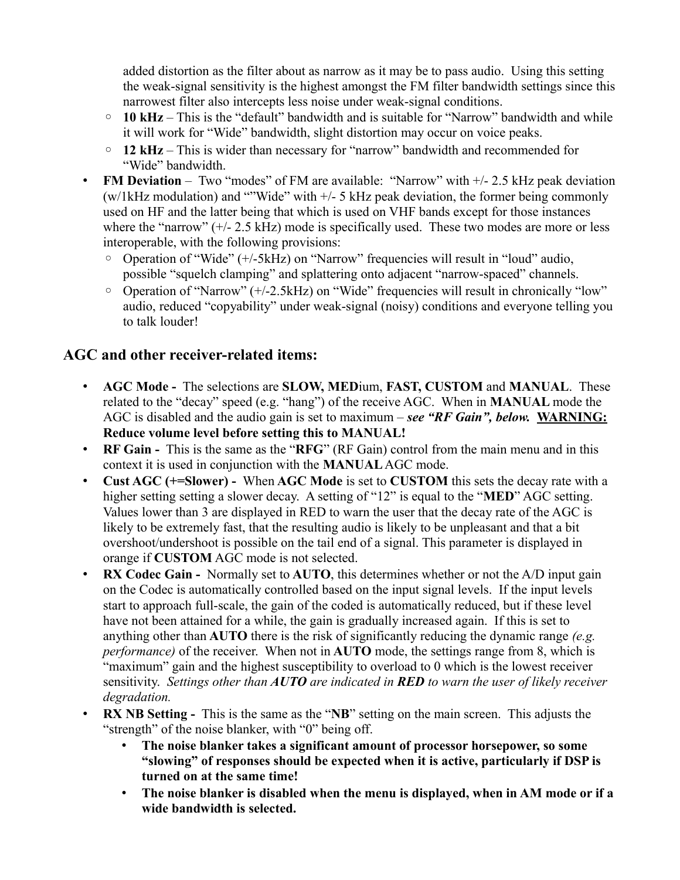added distortion as the filter about as narrow as it may be to pass audio. Using this setting the weak-signal sensitivity is the highest amongst the FM filter bandwidth settings since this narrowest filter also intercepts less noise under weak-signal conditions.

- **10 kHz** This is the "default" bandwidth and is suitable for "Narrow" bandwidth and while it will work for "Wide" bandwidth, slight distortion may occur on voice peaks.
- **12 kHz** This is wider than necessary for "narrow" bandwidth and recommended for "Wide" bandwidth.
- **FM Deviation** Two "modes" of FM are available: "Narrow" with  $+/- 2.5$  kHz peak deviation  $(w/1kHz$  modulation) and ""Wide" with  $+\frac{1}{2}$  kHz peak deviation, the former being commonly used on HF and the latter being that which is used on VHF bands except for those instances where the "narrow" (+/- 2.5 kHz) mode is specifically used. These two modes are more or less interoperable, with the following provisions:
	- Operation of "Wide" (+/-5kHz) on "Narrow" frequencies will result in "loud" audio, possible "squelch clamping" and splattering onto adjacent "narrow-spaced" channels.
	- Operation of "Narrow" (+/-2.5kHz) on "Wide" frequencies will result in chronically "low" audio, reduced "copyability" under weak-signal (noisy) conditions and everyone telling you to talk louder!

### **AGC and other receiver-related items:**

- **AGC Mode -** The selections are **SLOW, MED**ium, **FAST, CUSTOM** and **MANUAL**. These related to the "decay" speed (e.g. "hang") of the receive AGC. When in **MANUAL** mode the AGC is disabled and the audio gain is set to maximum – *see "RF Gain", below.* **WARNING: Reduce volume level before setting this to MANUAL!**
- **RF Gain -** This is the same as the "**RFG**" (RF Gain) control from the main menu and in this context it is used in conjunction with the **MANUAL** AGC mode.
- **Cust AGC (+=Slower) -** When **AGC Mode** is set to **CUSTOM** this sets the decay rate with a higher setting setting a slower decay. A setting of "12" is equal to the "**MED**" AGC setting. Values lower than 3 are displayed in RED to warn the user that the decay rate of the AGC is likely to be extremely fast, that the resulting audio is likely to be unpleasant and that a bit overshoot/undershoot is possible on the tail end of a signal. This parameter is displayed in orange if **CUSTOM** AGC mode is not selected.
- **RX Codec Gain -** Normally set to **AUTO**, this determines whether or not the A/D input gain on the Codec is automatically controlled based on the input signal levels. If the input levels start to approach full-scale, the gain of the coded is automatically reduced, but if these level have not been attained for a while, the gain is gradually increased again. If this is set to anything other than **AUTO** there is the risk of significantly reducing the dynamic range *(e.g. performance)* of the receiver. When not in **AUTO** mode, the settings range from 8, which is "maximum" gain and the highest susceptibility to overload to 0 which is the lowest receiver sensitivity. *Settings other than AUTO are indicated in RED to warn the user of likely receiver degradation.*
- **RX NB Setting -** This is the same as the "**NB**" setting on the main screen. This adjusts the "strength" of the noise blanker, with "0" being off.
	- **The noise blanker takes a significant amount of processor horsepower, so some "slowing" of responses should be expected when it is active, particularly if DSP is turned on at the same time!**
	- **The noise blanker is disabled when the menu is displayed, when in AM mode or if a wide bandwidth is selected.**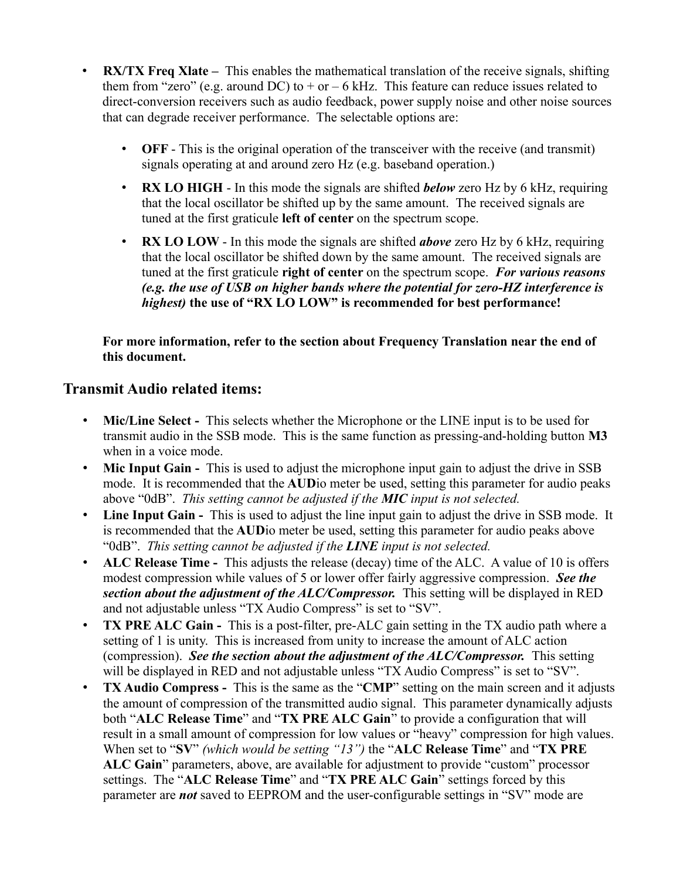- **RX/TX Freq Xlate** This enables the mathematical translation of the receive signals, shifting them from "zero" (e.g. around DC) to  $+$  or  $-$  6 kHz. This feature can reduce issues related to direct-conversion receivers such as audio feedback, power supply noise and other noise sources that can degrade receiver performance. The selectable options are:
	- **OFF** This is the original operation of the transceiver with the receive (and transmit) signals operating at and around zero Hz (e.g. baseband operation.)
	- **RX LO HIGH** In this mode the signals are shifted *below* zero Hz by 6 kHz, requiring that the local oscillator be shifted up by the same amount. The received signals are tuned at the first graticule **left of center** on the spectrum scope.
	- **RX LO LOW** In this mode the signals are shifted *above* zero Hz by 6 kHz, requiring that the local oscillator be shifted down by the same amount. The received signals are tuned at the first graticule **right of center** on the spectrum scope. *For various reasons (e.g. the use of USB on higher bands where the potential for zero-HZ interference is highest)* **the use of "RX LO LOW" is recommended for best performance!**

**For more information, refer to the section about Frequency Translation near the end of this document.**

#### **Transmit Audio related items:**

- **Mic/Line Select -** This selects whether the Microphone or the LINE input is to be used for transmit audio in the SSB mode. This is the same function as pressing-and-holding button **M3** when in a voice mode.
- **Mic Input Gain -** This is used to adjust the microphone input gain to adjust the drive in SSB mode. It is recommended that the **AUD**io meter be used, setting this parameter for audio peaks above "0dB". *This setting cannot be adjusted if the MIC input is not selected.*
- **Line Input Gain -** This is used to adjust the line input gain to adjust the drive in SSB mode. It is recommended that the **AUD**io meter be used, setting this parameter for audio peaks above "0dB". *This setting cannot be adjusted if the LINE input is not selected.*
- **ALC Release Time -** This adjusts the release (decay) time of the ALC. A value of 10 is offers modest compression while values of 5 or lower offer fairly aggressive compression. *See the section about the adjustment of the ALC/Compressor.* This setting will be displayed in RED and not adjustable unless "TX Audio Compress" is set to "SV".
- **TX PRE ALC Gain -** This is a post-filter, pre-ALC gain setting in the TX audio path where a setting of 1 is unity. This is increased from unity to increase the amount of ALC action (compression). *See the section about the adjustment of the ALC/Compressor.* This setting will be displayed in RED and not adjustable unless "TX Audio Compress" is set to "SV".
- **TX Audio Compress -** This is the same as the "**CMP**" setting on the main screen and it adjusts the amount of compression of the transmitted audio signal. This parameter dynamically adjusts both "**ALC Release Time**" and "**TX PRE ALC Gain**" to provide a configuration that will result in a small amount of compression for low values or "heavy" compression for high values. When set to "**SV**" *(which would be setting "13")* the "**ALC Release Time**" and "**TX PRE ALC Gain**" parameters, above, are available for adjustment to provide "custom" processor settings. The "**ALC Release Time**" and "**TX PRE ALC Gain**" settings forced by this parameter are *not* saved to EEPROM and the user-configurable settings in "SV" mode are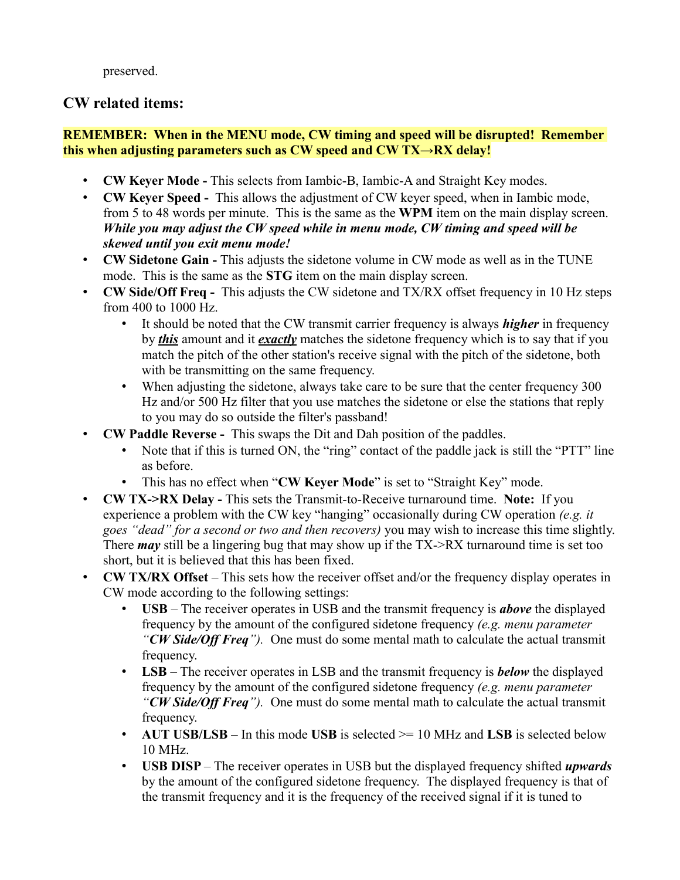preserved.

## **CW related items:**

#### **REMEMBER: When in the MENU mode, CW timing and speed will be disrupted! Remember this when adjusting parameters such as CW speed and CW TX→RX delay!**

- **CW Keyer Mode -** This selects from Iambic-B, Iambic-A and Straight Key modes.
- **CW Keyer Speed -** This allows the adjustment of CW keyer speed, when in Iambic mode, from 5 to 48 words per minute. This is the same as the **WPM** item on the main display screen. *While you may adjust the CW speed while in menu mode, CW timing and speed will be skewed until you exit menu mode!*
- **CW Sidetone Gain -** This adjusts the sidetone volume in CW mode as well as in the TUNE mode. This is the same as the **STG** item on the main display screen.
- **CW Side/Off Freq -** This adjusts the CW sidetone and TX/RX offset frequency in 10 Hz steps from 400 to 1000 Hz.
	- It should be noted that the CW transmit carrier frequency is always *higher* in frequency by *this* amount and it *exactly* matches the sidetone frequency which is to say that if you match the pitch of the other station's receive signal with the pitch of the sidetone, both with be transmitting on the same frequency.
	- When adjusting the sidetone, always take care to be sure that the center frequency 300 Hz and/or 500 Hz filter that you use matches the sidetone or else the stations that reply to you may do so outside the filter's passband!
- **CW Paddle Reverse -** This swaps the Dit and Dah position of the paddles.
	- Note that if this is turned ON, the "ring" contact of the paddle jack is still the "PTT" line as before.
	- This has no effect when "**CW Keyer Mode**" is set to "Straight Key" mode.
- **CW TX->RX Delay -** This sets the Transmit-to-Receive turnaround time. **Note:** If you experience a problem with the CW key "hanging" occasionally during CW operation *(e.g. it goes "dead" for a second or two and then recovers)* you may wish to increase this time slightly. There *may* still be a lingering bug that may show up if the TX->RX turnaround time is set too short, but it is believed that this has been fixed.
- **CW TX/RX Offset** This sets how the receiver offset and/or the frequency display operates in CW mode according to the following settings:
	- **USB** The receiver operates in USB and the transmit frequency is *above* the displayed frequency by the amount of the configured sidetone frequency *(e.g. menu parameter "CW Side/Off Freq").* One must do some mental math to calculate the actual transmit frequency.
	- **LSB** The receiver operates in LSB and the transmit frequency is *below* the displayed frequency by the amount of the configured sidetone frequency *(e.g. menu parameter "CW Side/Off Freq").* One must do some mental math to calculate the actual transmit frequency.
	- **AUT USB/LSB** In this mode **USB** is selected  $\ge$  = 10 MHz and **LSB** is selected below 10 MHz.
	- **USB DISP** The receiver operates in USB but the displayed frequency shifted *upwards* by the amount of the configured sidetone frequency. The displayed frequency is that of the transmit frequency and it is the frequency of the received signal if it is tuned to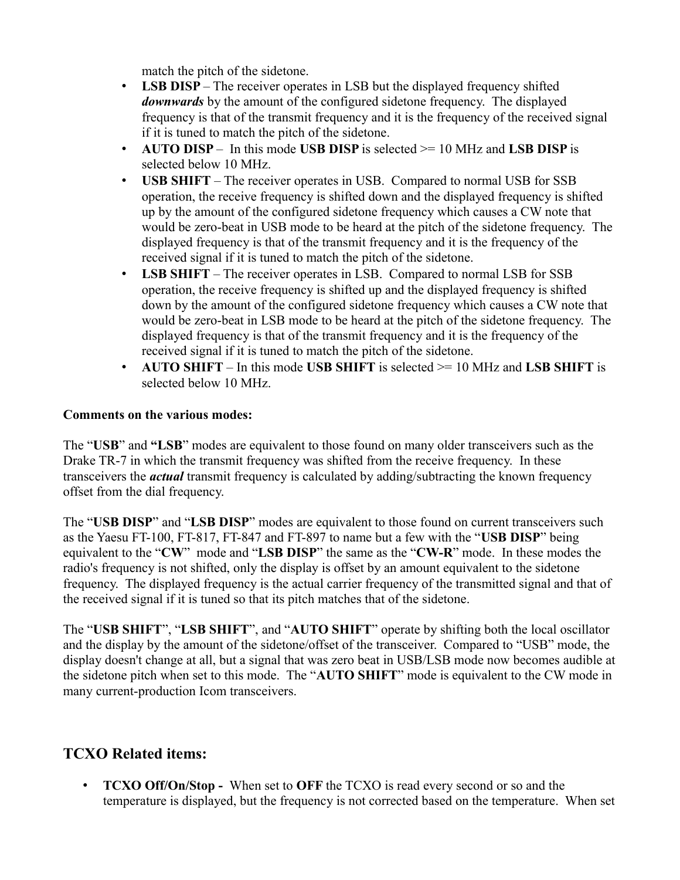match the pitch of the sidetone.

- **LSB DISP** The receiver operates in LSB but the displayed frequency shifted *downwards* by the amount of the configured sidetone frequency. The displayed frequency is that of the transmit frequency and it is the frequency of the received signal if it is tuned to match the pitch of the sidetone.
- **AUTO DISP** In this mode **USB DISP** is selected >= 10 MHz and **LSB DISP** is selected below 10 MHz.
- **USB SHIFT** The receiver operates in USB. Compared to normal USB for SSB operation, the receive frequency is shifted down and the displayed frequency is shifted up by the amount of the configured sidetone frequency which causes a CW note that would be zero-beat in USB mode to be heard at the pitch of the sidetone frequency. The displayed frequency is that of the transmit frequency and it is the frequency of the received signal if it is tuned to match the pitch of the sidetone.
- **LSB SHIFT** The receiver operates in LSB. Compared to normal LSB for SSB operation, the receive frequency is shifted up and the displayed frequency is shifted down by the amount of the configured sidetone frequency which causes a CW note that would be zero-beat in LSB mode to be heard at the pitch of the sidetone frequency. The displayed frequency is that of the transmit frequency and it is the frequency of the received signal if it is tuned to match the pitch of the sidetone.
- **AUTO SHIFT** In this mode **USB SHIFT** is selected >= 10 MHz and **LSB SHIFT** is selected below 10 MHz.

#### **Comments on the various modes:**

The "**USB**" and **"LSB**" modes are equivalent to those found on many older transceivers such as the Drake TR-7 in which the transmit frequency was shifted from the receive frequency. In these transceivers the *actual* transmit frequency is calculated by adding/subtracting the known frequency offset from the dial frequency.

The "**USB DISP**" and "**LSB DISP**" modes are equivalent to those found on current transceivers such as the Yaesu FT-100, FT-817, FT-847 and FT-897 to name but a few with the "**USB DISP**" being equivalent to the "**CW**" mode and "**LSB DISP**" the same as the "**CW-R**" mode. In these modes the radio's frequency is not shifted, only the display is offset by an amount equivalent to the sidetone frequency. The displayed frequency is the actual carrier frequency of the transmitted signal and that of the received signal if it is tuned so that its pitch matches that of the sidetone.

The "**USB SHIFT**", "**LSB SHIFT**", and "**AUTO SHIFT**" operate by shifting both the local oscillator and the display by the amount of the sidetone/offset of the transceiver. Compared to "USB" mode, the display doesn't change at all, but a signal that was zero beat in USB/LSB mode now becomes audible at the sidetone pitch when set to this mode. The "**AUTO SHIFT**" mode is equivalent to the CW mode in many current-production Icom transceivers.

# **TCXO Related items:**

• **TCXO Off/On/Stop -** When set to **OFF** the TCXO is read every second or so and the temperature is displayed, but the frequency is not corrected based on the temperature. When set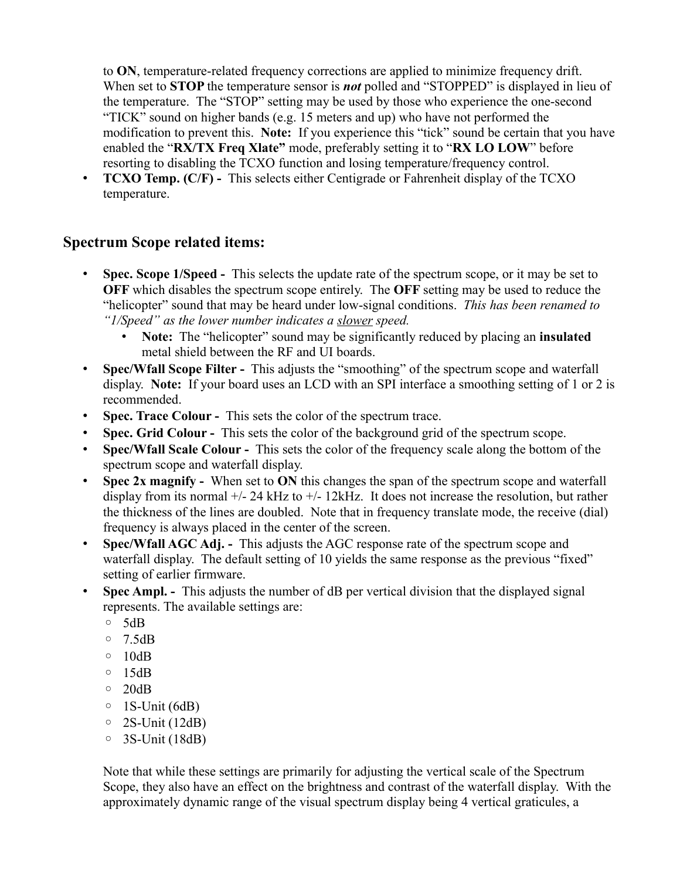to **ON**, temperature-related frequency corrections are applied to minimize frequency drift. When set to **STOP** the temperature sensor is *not* polled and "STOPPED" is displayed in lieu of the temperature. The "STOP" setting may be used by those who experience the one-second "TICK" sound on higher bands (e.g. 15 meters and up) who have not performed the modification to prevent this. **Note:** If you experience this "tick" sound be certain that you have enabled the "**RX/TX Freq Xlate"** mode, preferably setting it to "**RX LO LOW**" before resorting to disabling the TCXO function and losing temperature/frequency control.

• **TCXO Temp. (C/F) -** This selects either Centigrade or Fahrenheit display of the TCXO temperature.

#### **Spectrum Scope related items:**

- **Spec. Scope 1/Speed -** This selects the update rate of the spectrum scope, or it may be set to **OFF** which disables the spectrum scope entirely. The **OFF** setting may be used to reduce the "helicopter" sound that may be heard under low-signal conditions. *This has been renamed to "1/Speed" as the lower number indicates a slower speed.*
	- **Note:** The "helicopter" sound may be significantly reduced by placing an **insulated** metal shield between the RF and UI boards.
- **Spec/Wfall Scope Filter -** This adjusts the "smoothing" of the spectrum scope and waterfall display. **Note:** If your board uses an LCD with an SPI interface a smoothing setting of 1 or 2 is recommended.
- **Spec. Trace Colour -** This sets the color of the spectrum trace.
- **Spec. Grid Colour -** This sets the color of the background grid of the spectrum scope.
- **Spec/Wfall Scale Colour -** This sets the color of the frequency scale along the bottom of the spectrum scope and waterfall display.
- **Spec 2x magnify -** When set to **ON** this changes the span of the spectrum scope and waterfall display from its normal +/- 24 kHz to +/- 12kHz. It does not increase the resolution, but rather the thickness of the lines are doubled. Note that in frequency translate mode, the receive (dial) frequency is always placed in the center of the screen.
- **Spec/Wfall AGC Adj.** This adjusts the AGC response rate of the spectrum scope and waterfall display. The default setting of 10 yields the same response as the previous "fixed" setting of earlier firmware.
- **Spec Ampl.** This adjusts the number of dB per vertical division that the displayed signal represents. The available settings are:
	- 5dB
	- 7.5dB
	- $\circ$  10dB
	- $\circ$  15dB
	- $\circ$  20dB
	- 1S-Unit (6dB)
	- $\circ$  2S-Unit (12dB)
	- 3S-Unit (18dB)

Note that while these settings are primarily for adjusting the vertical scale of the Spectrum Scope, they also have an effect on the brightness and contrast of the waterfall display. With the approximately dynamic range of the visual spectrum display being 4 vertical graticules, a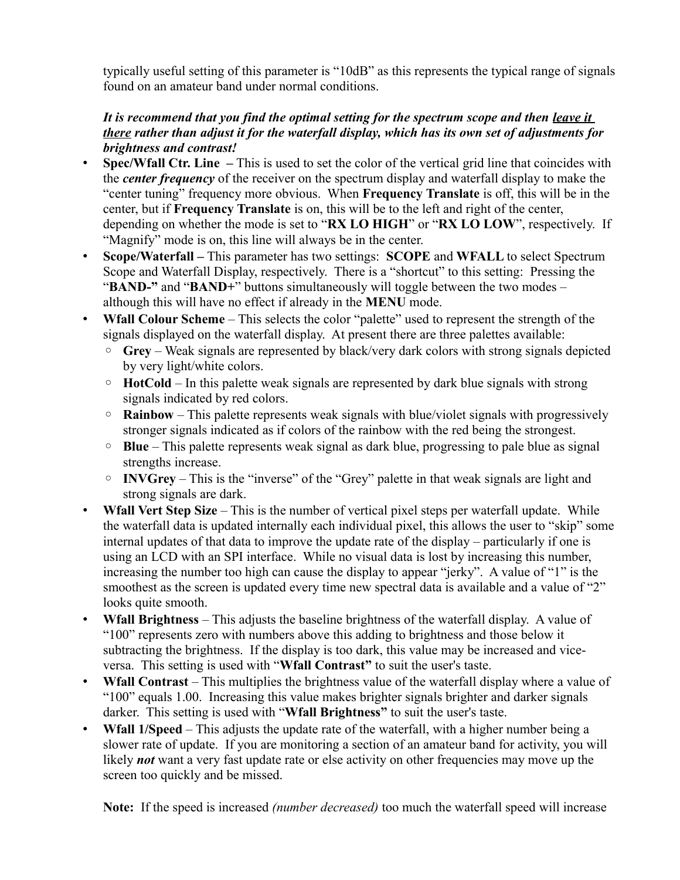typically useful setting of this parameter is "10dB" as this represents the typical range of signals found on an amateur band under normal conditions.

#### It is recommend that you find the optimal setting for the spectrum scope and then <u>leave it</u> *there rather than adjust it for the waterfall display, which has its own set of adjustments for brightness and contrast!*

- **Spec/Wfall Ctr. Line** This is used to set the color of the vertical grid line that coincides with the *center frequency* of the receiver on the spectrum display and waterfall display to make the "center tuning" frequency more obvious. When **Frequency Translate** is off, this will be in the center, but if **Frequency Translate** is on, this will be to the left and right of the center, depending on whether the mode is set to "**RX LO HIGH**" or "**RX LO LOW**", respectively. If "Magnify" mode is on, this line will always be in the center.
- **Scope/Waterfall** This parameter has two settings: **SCOPE** and **WFALL** to select Spectrum Scope and Waterfall Display, respectively. There is a "shortcut" to this setting: Pressing the "**BAND-"** and "**BAND+**" buttons simultaneously will toggle between the two modes – although this will have no effect if already in the **MENU** mode.
- **Wfall Colour Scheme** This selects the color "palette" used to represent the strength of the signals displayed on the waterfall display. At present there are three palettes available:
	- **Grey** Weak signals are represented by black/very dark colors with strong signals depicted by very light/white colors.
	- **HotCold** In this palette weak signals are represented by dark blue signals with strong signals indicated by red colors.
	- **Rainbow** This palette represents weak signals with blue/violet signals with progressively stronger signals indicated as if colors of the rainbow with the red being the strongest.
	- **Blue** This palette represents weak signal as dark blue, progressing to pale blue as signal strengths increase.
	- **INVGrey** This is the "inverse" of the "Grey" palette in that weak signals are light and strong signals are dark.
- **Wfall Vert Step Size** This is the number of vertical pixel steps per waterfall update. While the waterfall data is updated internally each individual pixel, this allows the user to "skip" some internal updates of that data to improve the update rate of the display – particularly if one is using an LCD with an SPI interface. While no visual data is lost by increasing this number, increasing the number too high can cause the display to appear "jerky". A value of "1" is the smoothest as the screen is updated every time new spectral data is available and a value of "2" looks quite smooth.
- **Wfall Brightness** This adjusts the baseline brightness of the waterfall display. A value of "100" represents zero with numbers above this adding to brightness and those below it subtracting the brightness. If the display is too dark, this value may be increased and viceversa. This setting is used with "**Wfall Contrast"** to suit the user's taste.
- **Wfall Contrast** This multiplies the brightness value of the waterfall display where a value of "100" equals 1.00. Increasing this value makes brighter signals brighter and darker signals darker. This setting is used with "**Wfall Brightness"** to suit the user's taste.
- **Wfall 1/Speed** This adjusts the update rate of the waterfall, with a higher number being a slower rate of update. If you are monitoring a section of an amateur band for activity, you will likely *not* want a very fast update rate or else activity on other frequencies may move up the screen too quickly and be missed.

**Note:** If the speed is increased *(number decreased)* too much the waterfall speed will increase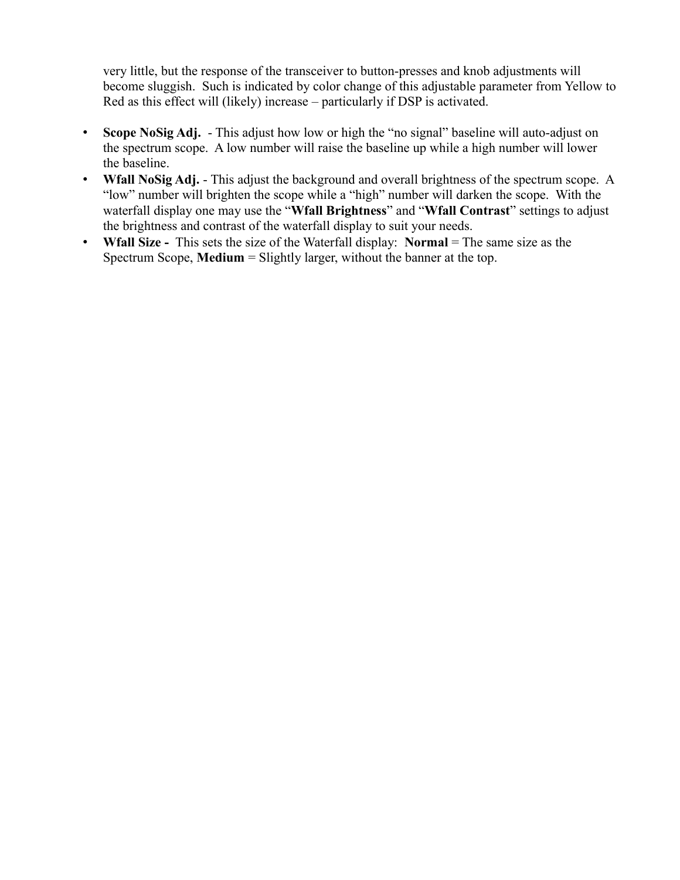very little, but the response of the transceiver to button-presses and knob adjustments will become sluggish. Such is indicated by color change of this adjustable parameter from Yellow to Red as this effect will (likely) increase – particularly if DSP is activated.

- **Scope NoSig Adj.** This adjust how low or high the "no signal" baseline will auto-adjust on the spectrum scope. A low number will raise the baseline up while a high number will lower the baseline.
- **Wfall NoSig Adj.** This adjust the background and overall brightness of the spectrum scope. A "low" number will brighten the scope while a "high" number will darken the scope. With the waterfall display one may use the "**Wfall Brightness**" and "**Wfall Contrast**" settings to adjust the brightness and contrast of the waterfall display to suit your needs.
- **Wfall Size** This sets the size of the Waterfall display: **Normal** = The same size as the Spectrum Scope, **Medium** = Slightly larger, without the banner at the top.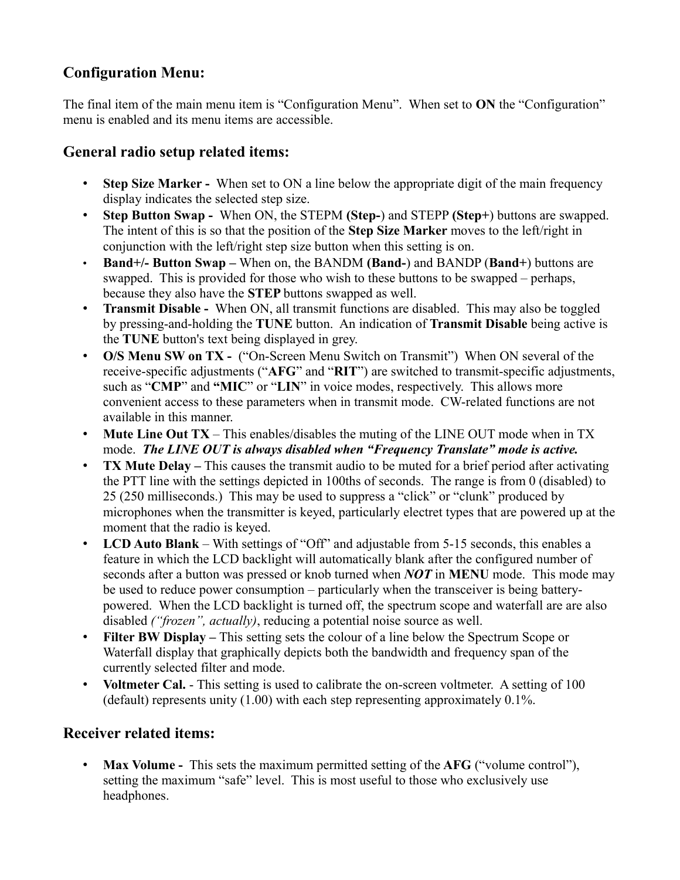# **Configuration Menu:**

The final item of the main menu item is "Configuration Menu". When set to **ON** the "Configuration" menu is enabled and its menu items are accessible.

# **General radio setup related items:**

- **Step Size Marker -** When set to ON a line below the appropriate digit of the main frequency display indicates the selected step size.
- **Step Button Swap -** When ON, the STEPM **(Step-**) and STEPP **(Step+**) buttons are swapped. The intent of this is so that the position of the **Step Size Marker** moves to the left/right in conjunction with the left/right step size button when this setting is on.
- **Band+/- Button Swap –** When on, the BANDM **(Band-**) and BANDP (**Band+**) buttons are swapped. This is provided for those who wish to these buttons to be swapped – perhaps, because they also have the **STEP** buttons swapped as well.
- **Transmit Disable -** When ON, all transmit functions are disabled. This may also be toggled by pressing-and-holding the **TUNE** button. An indication of **Transmit Disable** being active is the **TUNE** button's text being displayed in grey.
- **O/S Menu SW on TX -** ("On-Screen Menu Switch on Transmit") When ON several of the receive-specific adjustments ("**AFG**" and "**RIT**") are switched to transmit-specific adjustments, such as "**CMP**" and **"MIC**" or "**LIN**" in voice modes, respectively. This allows more convenient access to these parameters when in transmit mode. CW-related functions are not available in this manner.
- **Mute Line Out TX** This enables/disables the muting of the LINE OUT mode when in TX mode. *The LINE OUT is always disabled when "Frequency Translate" mode is active.*
- **TX Mute Delay** This causes the transmit audio to be muted for a brief period after activating the PTT line with the settings depicted in 100ths of seconds. The range is from 0 (disabled) to 25 (250 milliseconds.) This may be used to suppress a "click" or "clunk" produced by microphones when the transmitter is keyed, particularly electret types that are powered up at the moment that the radio is keyed.
- **LCD Auto Blank** With settings of "Off" and adjustable from 5-15 seconds, this enables a feature in which the LCD backlight will automatically blank after the configured number of seconds after a button was pressed or knob turned when *NOT* in **MENU** mode. This mode may be used to reduce power consumption – particularly when the transceiver is being batterypowered. When the LCD backlight is turned off, the spectrum scope and waterfall are are also disabled *("frozen", actually)*, reducing a potential noise source as well.
- **Filter BW Display** This setting sets the colour of a line below the Spectrum Scope or Waterfall display that graphically depicts both the bandwidth and frequency span of the currently selected filter and mode.
- **Voltmeter Cal.** This setting is used to calibrate the on-screen voltmeter. A setting of 100 (default) represents unity (1.00) with each step representing approximately 0.1%.

# **Receiver related items:**

• **Max Volume -** This sets the maximum permitted setting of the **AFG** ("volume control"), setting the maximum "safe" level. This is most useful to those who exclusively use headphones.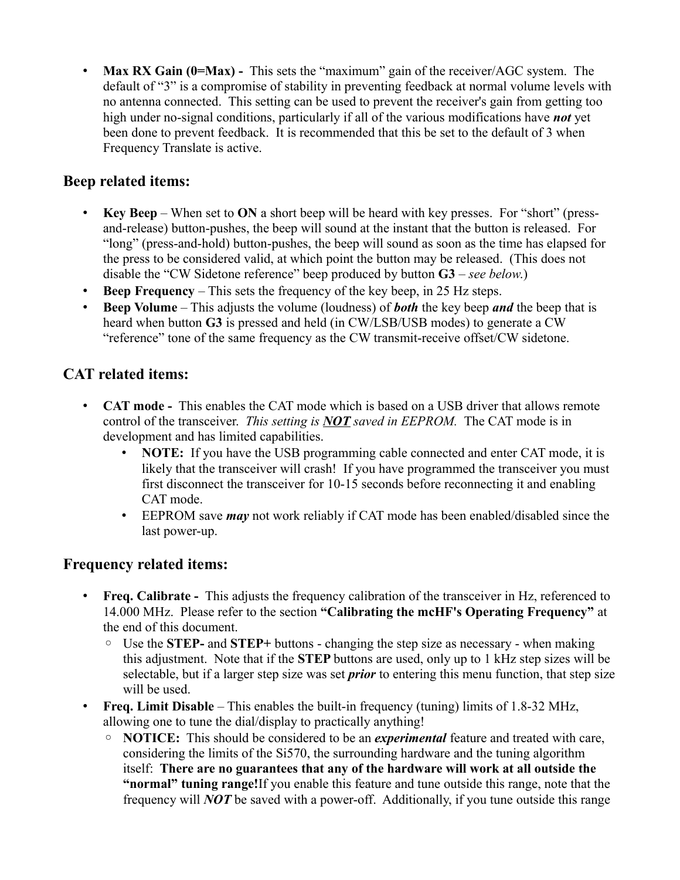• **Max RX Gain (0=Max)** - This sets the "maximum" gain of the receiver/AGC system. The default of "3" is a compromise of stability in preventing feedback at normal volume levels with no antenna connected. This setting can be used to prevent the receiver's gain from getting too high under no-signal conditions, particularly if all of the various modifications have *not* yet been done to prevent feedback. It is recommended that this be set to the default of 3 when Frequency Translate is active.

## **Beep related items:**

- **Key Beep** When set to **ON** a short beep will be heard with key presses. For "short" (pressand-release) button-pushes, the beep will sound at the instant that the button is released. For "long" (press-and-hold) button-pushes, the beep will sound as soon as the time has elapsed for the press to be considered valid, at which point the button may be released. (This does not disable the "CW Sidetone reference" beep produced by button **G3** – *see below*.)
- **Beep Frequency** This sets the frequency of the key beep, in 25 Hz steps.
- **Beep Volume** This adjusts the volume (loudness) of *both* the key beep *and* the beep that is heard when button **G3** is pressed and held (in CW/LSB/USB modes) to generate a CW "reference" tone of the same frequency as the CW transmit-receive offset/CW sidetone.

# **CAT related items:**

- **CAT mode -** This enables the CAT mode which is based on a USB driver that allows remote control of the transceiver. *This setting is NOT saved in EEPROM.* The CAT mode is in development and has limited capabilities.
	- **NOTE:** If you have the USB programming cable connected and enter CAT mode, it is likely that the transceiver will crash! If you have programmed the transceiver you must first disconnect the transceiver for 10-15 seconds before reconnecting it and enabling CAT mode.
	- EEPROM save *may* not work reliably if CAT mode has been enabled/disabled since the last power-up.

### **Frequency related items:**

- **Freq. Calibrate -** This adjusts the frequency calibration of the transceiver in Hz, referenced to 14.000 MHz. Please refer to the section **"Calibrating the mcHF's Operating Frequency"** at the end of this document.
	- Use the **STEP-** and **STEP+** buttons changing the step size as necessary when making this adjustment. Note that if the **STEP** buttons are used, only up to 1 kHz step sizes will be selectable, but if a larger step size was set *prior* to entering this menu function, that step size will be used.
- **Freq. Limit Disable** This enables the built-in frequency (tuning) limits of 1.8-32 MHz, allowing one to tune the dial/display to practically anything!
	- **NOTICE:** This should be considered to be an *experimental* feature and treated with care, considering the limits of the Si570, the surrounding hardware and the tuning algorithm itself: **There are no guarantees that any of the hardware will work at all outside the "normal" tuning range!**If you enable this feature and tune outside this range, note that the frequency will *NOT* be saved with a power-off. Additionally, if you tune outside this range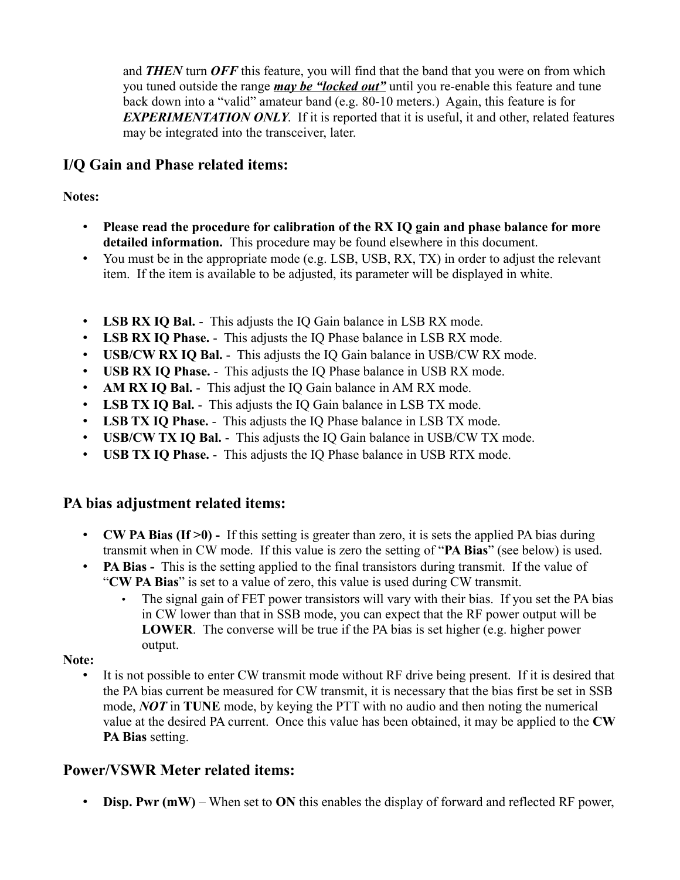and *THEN* turn *OFF* this feature, you will find that the band that you were on from which you tuned outside the range *may be "locked out"* until you re-enable this feature and tune back down into a "valid" amateur band (e.g. 80-10 meters.) Again, this feature is for *EXPERIMENTATION ONLY*. If it is reported that it is useful, it and other, related features may be integrated into the transceiver, later.

## **I/Q Gain and Phase related items:**

### **Notes:**

- **Please read the procedure for calibration of the RX IQ gain and phase balance for more detailed information.** This procedure may be found elsewhere in this document.
- You must be in the appropriate mode (e.g. LSB, USB, RX, TX) in order to adjust the relevant item. If the item is available to be adjusted, its parameter will be displayed in white.
- **LSB RX IQ Bal.** This adjusts the IQ Gain balance in LSB RX mode.
- **LSB RX IQ Phase.** This adjusts the IQ Phase balance in LSB RX mode.
- **USB/CW RX IQ Bal.** This adjusts the IQ Gain balance in USB/CW RX mode.
- **USB RX IQ Phase.** This adjusts the IQ Phase balance in USB RX mode.
- **AM RX IQ Bal.** This adjust the IQ Gain balance in AM RX mode.
- **LSB TX IQ Bal.** This adjusts the IQ Gain balance in LSB TX mode.
- **LSB TX IQ Phase.** This adjusts the IQ Phase balance in LSB TX mode.
- **USB/CW TX IQ Bal.** This adjusts the IQ Gain balance in USB/CW TX mode.
- **USB TX IQ Phase.** This adjusts the IQ Phase balance in USB RTX mode.

## **PA bias adjustment related items:**

- **CW PA Bias (If >0)** If this setting is greater than zero, it is sets the applied PA bias during transmit when in CW mode. If this value is zero the setting of "**PA Bias**" (see below) is used.
- **PA Bias** This is the setting applied to the final transistors during transmit. If the value of "**CW PA Bias**" is set to a value of zero, this value is used during CW transmit.
	- The signal gain of FET power transistors will vary with their bias. If you set the PA bias in CW lower than that in SSB mode, you can expect that the RF power output will be **LOWER**. The converse will be true if the PA bias is set higher (e.g. higher power output.

### **Note:**

• It is not possible to enter CW transmit mode without RF drive being present. If it is desired that the PA bias current be measured for CW transmit, it is necessary that the bias first be set in SSB mode, *NOT* in **TUNE** mode, by keying the PTT with no audio and then noting the numerical value at the desired PA current. Once this value has been obtained, it may be applied to the **CW PA Bias** setting.

## **Power/VSWR Meter related items:**

• **Disp. Pwr (mW)** – When set to **ON** this enables the display of forward and reflected RF power,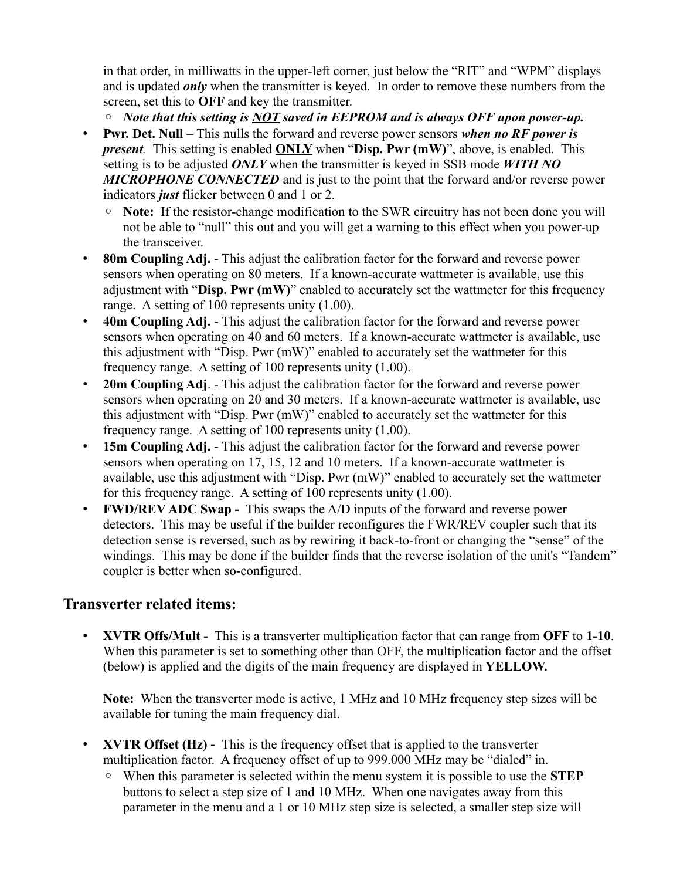in that order, in milliwatts in the upper-left corner, just below the "RIT" and "WPM" displays and is updated *only* when the transmitter is keyed. In order to remove these numbers from the screen, set this to **OFF** and key the transmitter.

◦ *Note that this setting is NOT saved in EEPROM and is always OFF upon power-up.*

- **Pwr. Det. Null** This nulls the forward and reverse power sensors *when no RF power is present.* This setting is enabled **ONLY** when "**Disp. Pwr (mW)**", above, is enabled. This setting is to be adjusted *ONLY* when the transmitter is keyed in SSB mode *WITH NO MICROPHONE CONNECTED* and is just to the point that the forward and/or reverse power indicators *just* flicker between 0 and 1 or 2.
	- **Note:** If the resistor-change modification to the SWR circuitry has not been done you will not be able to "null" this out and you will get a warning to this effect when you power-up the transceiver.
- **80m Coupling Adj.** This adjust the calibration factor for the forward and reverse power sensors when operating on 80 meters. If a known-accurate wattmeter is available, use this adjustment with "**Disp. Pwr (mW)**" enabled to accurately set the wattmeter for this frequency range. A setting of 100 represents unity (1.00).
- **40m Coupling Adj.** This adjust the calibration factor for the forward and reverse power sensors when operating on 40 and 60 meters. If a known-accurate wattmeter is available, use this adjustment with "Disp. Pwr (mW)" enabled to accurately set the wattmeter for this frequency range. A setting of 100 represents unity (1.00).
- **20m Coupling Adj**. This adjust the calibration factor for the forward and reverse power sensors when operating on 20 and 30 meters. If a known-accurate wattmeter is available, use this adjustment with "Disp. Pwr (mW)" enabled to accurately set the wattmeter for this frequency range. A setting of 100 represents unity (1.00).
- **15m Coupling Adj.** This adjust the calibration factor for the forward and reverse power sensors when operating on 17, 15, 12 and 10 meters. If a known-accurate wattmeter is available, use this adjustment with "Disp. Pwr (mW)" enabled to accurately set the wattmeter for this frequency range. A setting of 100 represents unity (1.00).
- **FWD/REV ADC Swap -** This swaps the A/D inputs of the forward and reverse power detectors. This may be useful if the builder reconfigures the FWR/REV coupler such that its detection sense is reversed, such as by rewiring it back-to-front or changing the "sense" of the windings. This may be done if the builder finds that the reverse isolation of the unit's "Tandem" coupler is better when so-configured.

## **Transverter related items:**

• **XVTR Offs/Mult -** This is a transverter multiplication factor that can range from **OFF** to **1-10**. When this parameter is set to something other than OFF, the multiplication factor and the offset (below) is applied and the digits of the main frequency are displayed in **YELLOW.**

**Note:** When the transverter mode is active, 1 MHz and 10 MHz frequency step sizes will be available for tuning the main frequency dial.

- **XVTR Offset (Hz)** This is the frequency offset that is applied to the transverter multiplication factor. A frequency offset of up to 999.000 MHz may be "dialed" in.
	- When this parameter is selected within the menu system it is possible to use the **STEP** buttons to select a step size of 1 and 10 MHz. When one navigates away from this parameter in the menu and a 1 or 10 MHz step size is selected, a smaller step size will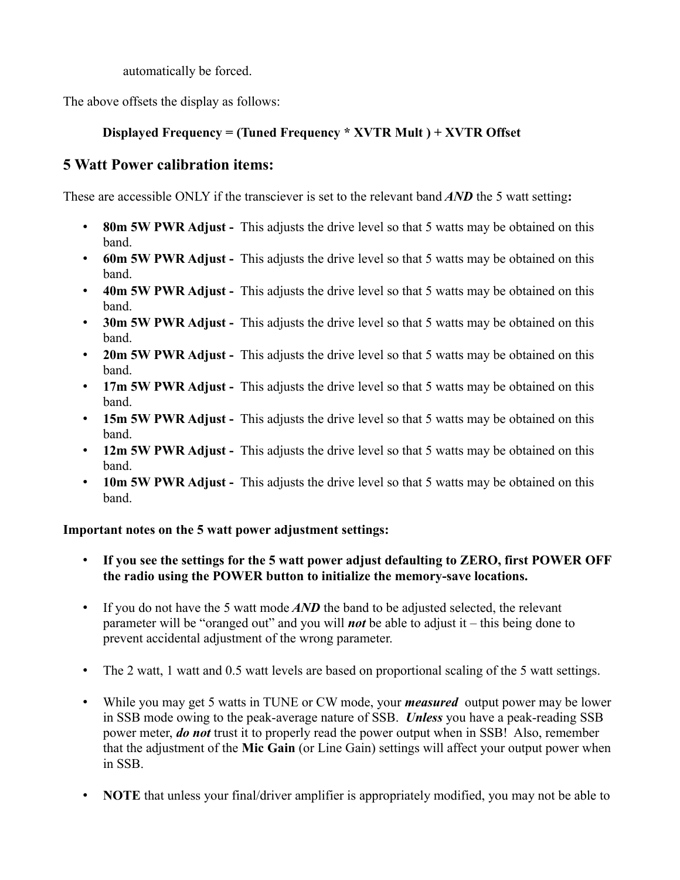automatically be forced.

The above offsets the display as follows:

## **Displayed Frequency = (Tuned Frequency \* XVTR Mult ) + XVTR Offset**

## **5 Watt Power calibration items:**

These are accessible ONLY if the transciever is set to the relevant band *AND* the 5 watt setting**:**

- **80m 5W PWR Adjust -** This adjusts the drive level so that 5 watts may be obtained on this band.
- **60m 5W PWR Adjust -** This adjusts the drive level so that 5 watts may be obtained on this band.
- **40m 5W PWR Adjust -** This adjusts the drive level so that 5 watts may be obtained on this band.
- **30m 5W PWR Adjust -** This adjusts the drive level so that 5 watts may be obtained on this band.
- **20m 5W PWR Adjust -** This adjusts the drive level so that 5 watts may be obtained on this band.
- **17m 5W PWR Adjust** This adjusts the drive level so that 5 watts may be obtained on this band.
- **15m 5W PWR Adjust -** This adjusts the drive level so that 5 watts may be obtained on this band.
- **12m 5W PWR Adjust** This adjusts the drive level so that 5 watts may be obtained on this band.
- **10m 5W PWR Adjust** This adjusts the drive level so that 5 watts may be obtained on this band.

## **Important notes on the 5 watt power adjustment settings:**

- **If you see the settings for the 5 watt power adjust defaulting to ZERO, first POWER OFF the radio using the POWER button to initialize the memory-save locations.**
- If you do not have the 5 watt mode *AND* the band to be adjusted selected, the relevant parameter will be "oranged out" and you will *not* be able to adjust it – this being done to prevent accidental adjustment of the wrong parameter.
- The 2 watt, 1 watt and 0.5 watt levels are based on proportional scaling of the 5 watt settings.
- While you may get 5 watts in TUNE or CW mode, your *measured* output power may be lower in SSB mode owing to the peak-average nature of SSB. *Unless* you have a peak-reading SSB power meter, *do not* trust it to properly read the power output when in SSB! Also, remember that the adjustment of the **Mic Gain** (or Line Gain) settings will affect your output power when in SSB.
- **NOTE** that unless your final/driver amplifier is appropriately modified, you may not be able to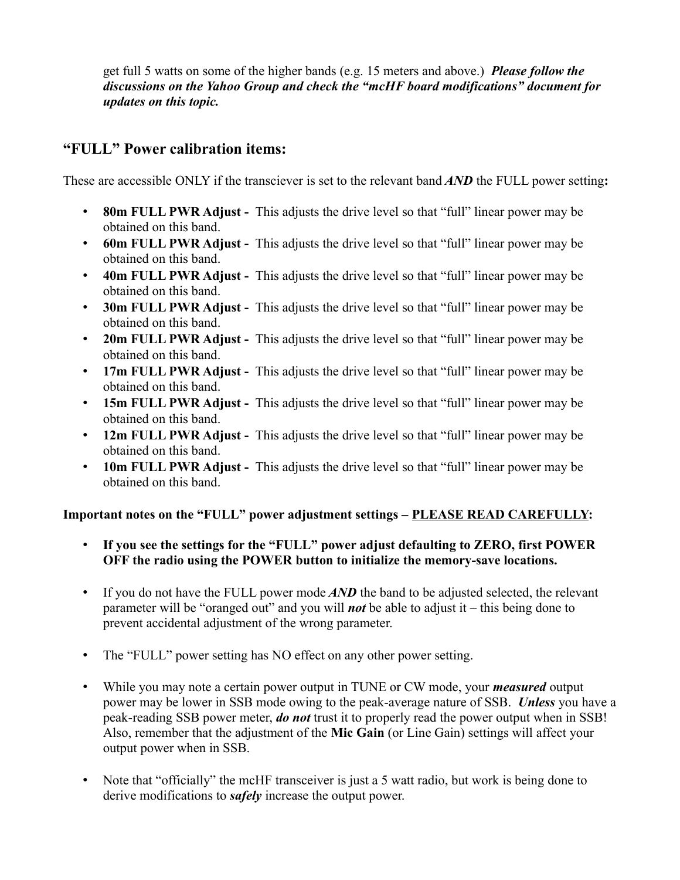get full 5 watts on some of the higher bands (e.g. 15 meters and above.) *Please follow the discussions on the Yahoo Group and check the "mcHF board modifications" document for updates on this topic.*

## **"FULL" Power calibration items:**

These are accessible ONLY if the transciever is set to the relevant band *AND* the FULL power setting**:**

- **80m FULL PWR Adjust -** This adjusts the drive level so that "full" linear power may be obtained on this band.
- **60m FULL PWR Adjust -** This adjusts the drive level so that "full" linear power may be obtained on this band.
- **40m FULL PWR Adjust** This adjusts the drive level so that "full" linear power may be obtained on this band.
- **30m FULL PWR Adjust -** This adjusts the drive level so that "full" linear power may be obtained on this band.
- **20m FULL PWR Adjust -** This adjusts the drive level so that "full" linear power may be obtained on this band.
- **17m FULL PWR Adjust** This adjusts the drive level so that "full" linear power may be obtained on this band.
- **15m FULL PWR Adjust -** This adjusts the drive level so that "full" linear power may be obtained on this band.
- **12m FULL PWR Adjust -** This adjusts the drive level so that "full" linear power may be obtained on this band.
- **10m FULL PWR Adjust -** This adjusts the drive level so that "full" linear power may be obtained on this band.

## **Important notes on the "FULL" power adjustment settings – PLEASE READ CAREFULLY:**

- **If you see the settings for the "FULL" power adjust defaulting to ZERO, first POWER OFF the radio using the POWER button to initialize the memory-save locations.**
- If you do not have the FULL power mode *AND* the band to be adjusted selected, the relevant parameter will be "oranged out" and you will *not* be able to adjust it – this being done to prevent accidental adjustment of the wrong parameter.
- The "FULL" power setting has NO effect on any other power setting.
- While you may note a certain power output in TUNE or CW mode, your *measured* output power may be lower in SSB mode owing to the peak-average nature of SSB. *Unless* you have a peak-reading SSB power meter, *do not* trust it to properly read the power output when in SSB! Also, remember that the adjustment of the **Mic Gain** (or Line Gain) settings will affect your output power when in SSB.
- Note that "officially" the mcHF transceiver is just a 5 watt radio, but work is being done to derive modifications to *safely* increase the output power.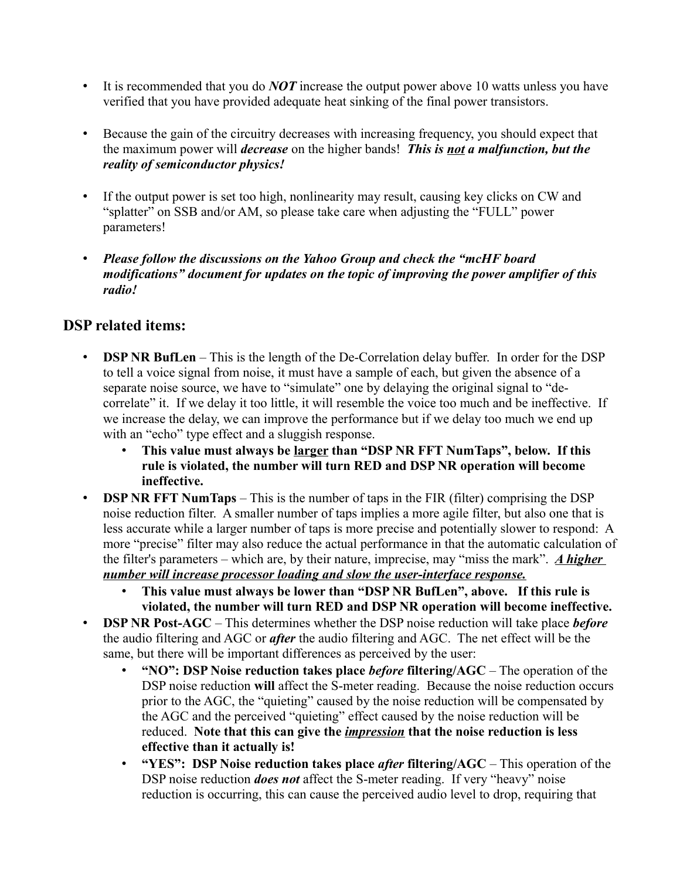- It is recommended that you do *NOT* increase the output power above 10 watts unless you have verified that you have provided adequate heat sinking of the final power transistors.
- Because the gain of the circuitry decreases with increasing frequency, you should expect that the maximum power will *decrease* on the higher bands! *This is not a malfunction, but the reality of semiconductor physics!*
- If the output power is set too high, nonlinearity may result, causing key clicks on CW and "splatter" on SSB and/or AM, so please take care when adjusting the "FULL" power parameters!
- *Please follow the discussions on the Yahoo Group and check the "mcHF board modifications" document for updates on the topic of improving the power amplifier of this radio!*

## **DSP related items:**

- **DSP NR BufLen** This is the length of the De-Correlation delay buffer. In order for the DSP to tell a voice signal from noise, it must have a sample of each, but given the absence of a separate noise source, we have to "simulate" one by delaying the original signal to "decorrelate" it. If we delay it too little, it will resemble the voice too much and be ineffective. If we increase the delay, we can improve the performance but if we delay too much we end up with an "echo" type effect and a sluggish response.
	- **This value must always be larger than "DSP NR FFT NumTaps", below. If this rule is violated, the number will turn RED and DSP NR operation will become ineffective.**
- **DSP NR FFT NumTaps** This is the number of taps in the FIR (filter) comprising the DSP noise reduction filter. A smaller number of taps implies a more agile filter, but also one that is less accurate while a larger number of taps is more precise and potentially slower to respond: A more "precise" filter may also reduce the actual performance in that the automatic calculation of the filter's parameters – which are, by their nature, imprecise, may "miss the mark". *A higher number will increase processor loading and slow the user-interface response.*
	- **This value must always be lower than "DSP NR BufLen", above. If this rule is violated, the number will turn RED and DSP NR operation will become ineffective.**
- **DSP NR Post-AGC** This determines whether the DSP noise reduction will take place *before* the audio filtering and AGC or *after* the audio filtering and AGC. The net effect will be the same, but there will be important differences as perceived by the user:
	- **"NO": DSP Noise reduction takes place** *before* **filtering/AGC** The operation of the DSP noise reduction **will** affect the S-meter reading. Because the noise reduction occurs prior to the AGC, the "quieting" caused by the noise reduction will be compensated by the AGC and the perceived "quieting" effect caused by the noise reduction will be reduced. **Note that this can give the** *impression* **that the noise reduction is less effective than it actually is!**
	- **"YES": DSP Noise reduction takes place** *after* **filtering/AGC** This operation of the DSP noise reduction *does not* affect the S-meter reading. If very "heavy" noise reduction is occurring, this can cause the perceived audio level to drop, requiring that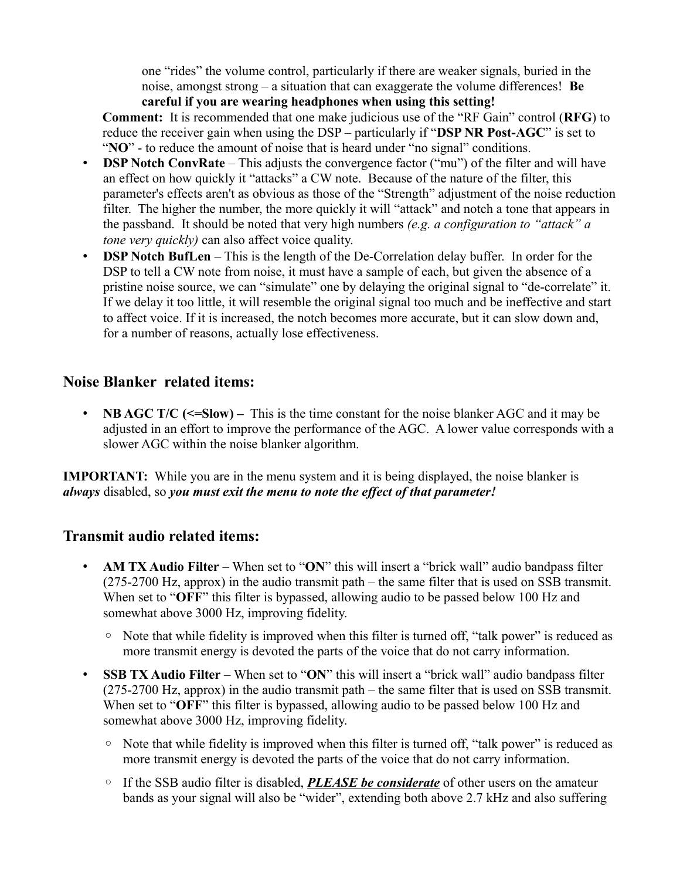one "rides" the volume control, particularly if there are weaker signals, buried in the noise, amongst strong – a situation that can exaggerate the volume differences! **Be careful if you are wearing headphones when using this setting!**

**Comment:** It is recommended that one make judicious use of the "RF Gain" control (**RFG**) to reduce the receiver gain when using the DSP – particularly if "**DSP NR Post-AGC**" is set to "**NO**" - to reduce the amount of noise that is heard under "no signal" conditions.

- **DSP Notch ConvRate** This adjusts the convergence factor ("mu") of the filter and will have an effect on how quickly it "attacks" a CW note. Because of the nature of the filter, this parameter's effects aren't as obvious as those of the "Strength" adjustment of the noise reduction filter. The higher the number, the more quickly it will "attack" and notch a tone that appears in the passband. It should be noted that very high numbers *(e.g. a configuration to "attack" a tone very quickly*) can also affect voice quality.
- **DSP Notch BufLen** This is the length of the De-Correlation delay buffer. In order for the DSP to tell a CW note from noise, it must have a sample of each, but given the absence of a pristine noise source, we can "simulate" one by delaying the original signal to "de-correlate" it. If we delay it too little, it will resemble the original signal too much and be ineffective and start to affect voice. If it is increased, the notch becomes more accurate, but it can slow down and, for a number of reasons, actually lose effectiveness.

## **Noise Blanker related items:**

• **NB AGC T/C (<=Slow)** – This is the time constant for the noise blanker AGC and it may be adjusted in an effort to improve the performance of the AGC. A lower value corresponds with a slower AGC within the noise blanker algorithm.

**IMPORTANT:** While you are in the menu system and it is being displayed, the noise blanker is *always* disabled, so *you must exit the menu to note the effect of that parameter!*

## **Transmit audio related items:**

- **AM TX Audio Filter** When set to "**ON**" this will insert a "brick wall" audio bandpass filter (275-2700 Hz, approx) in the audio transmit path – the same filter that is used on SSB transmit. When set to "**OFF**" this filter is bypassed, allowing audio to be passed below 100 Hz and somewhat above 3000 Hz, improving fidelity.
	- Note that while fidelity is improved when this filter is turned off, "talk power" is reduced as more transmit energy is devoted the parts of the voice that do not carry information.
- **SSB TX Audio Filter** When set to "**ON**" this will insert a "brick wall" audio bandpass filter (275-2700 Hz, approx) in the audio transmit path – the same filter that is used on SSB transmit. When set to "**OFF**" this filter is bypassed, allowing audio to be passed below 100 Hz and somewhat above 3000 Hz, improving fidelity.
	- Note that while fidelity is improved when this filter is turned off, "talk power" is reduced as more transmit energy is devoted the parts of the voice that do not carry information.
	- If the SSB audio filter is disabled, *PLEASE be considerate* of other users on the amateur bands as your signal will also be "wider", extending both above 2.7 kHz and also suffering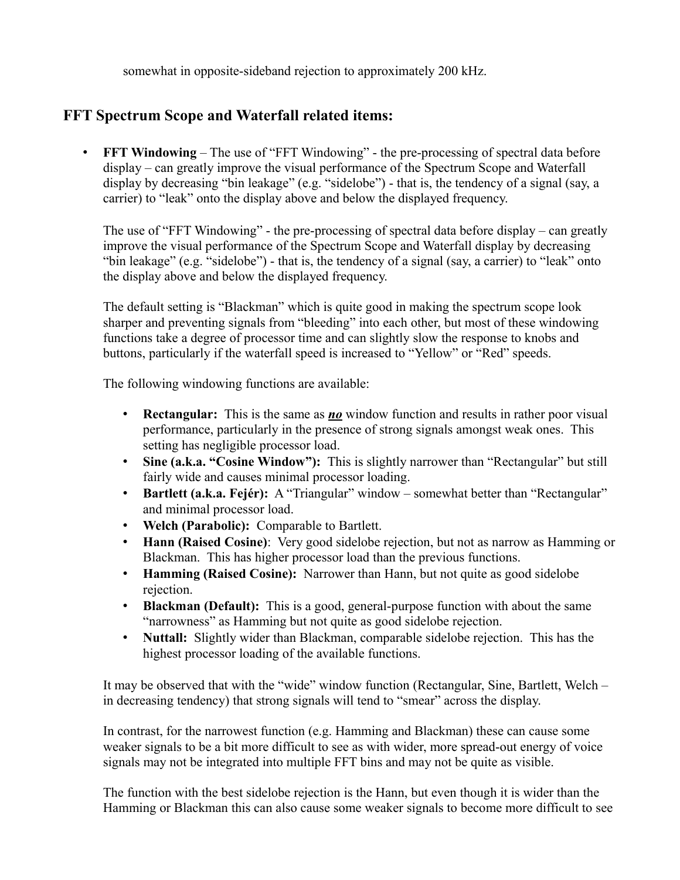somewhat in opposite-sideband rejection to approximately 200 kHz.

## **FFT Spectrum Scope and Waterfall related items:**

• **FFT Windowing** – The use of "FFT Windowing" - the pre-processing of spectral data before display – can greatly improve the visual performance of the Spectrum Scope and Waterfall display by decreasing "bin leakage" (e.g. "sidelobe") - that is, the tendency of a signal (say, a carrier) to "leak" onto the display above and below the displayed frequency.

The use of "FFT Windowing" - the pre-processing of spectral data before display – can greatly improve the visual performance of the Spectrum Scope and Waterfall display by decreasing "bin leakage" (e.g. "sidelobe") - that is, the tendency of a signal (say, a carrier) to "leak" onto the display above and below the displayed frequency.

The default setting is "Blackman" which is quite good in making the spectrum scope look sharper and preventing signals from "bleeding" into each other, but most of these windowing functions take a degree of processor time and can slightly slow the response to knobs and buttons, particularly if the waterfall speed is increased to "Yellow" or "Red" speeds.

The following windowing functions are available:

- **Rectangular:** This is the same as *no* window function and results in rather poor visual performance, particularly in the presence of strong signals amongst weak ones. This setting has negligible processor load.
- **Sine (a.k.a. "Cosine Window"):** This is slightly narrower than "Rectangular" but still fairly wide and causes minimal processor loading.
- **Bartlett (a.k.a. Fejér):** A "Triangular" window somewhat better than "Rectangular" and minimal processor load.
- **Welch (Parabolic):** Comparable to Bartlett.
- **Hann (Raised Cosine)**: Very good sidelobe rejection, but not as narrow as Hamming or Blackman. This has higher processor load than the previous functions.
- **Hamming (Raised Cosine):** Narrower than Hann, but not quite as good sidelobe rejection.
- **Blackman (Default):** This is a good, general-purpose function with about the same "narrowness" as Hamming but not quite as good sidelobe rejection.
- **Nuttall:** Slightly wider than Blackman, comparable sidelobe rejection. This has the highest processor loading of the available functions.

It may be observed that with the "wide" window function (Rectangular, Sine, Bartlett, Welch – in decreasing tendency) that strong signals will tend to "smear" across the display.

In contrast, for the narrowest function (e.g. Hamming and Blackman) these can cause some weaker signals to be a bit more difficult to see as with wider, more spread-out energy of voice signals may not be integrated into multiple FFT bins and may not be quite as visible.

The function with the best sidelobe rejection is the Hann, but even though it is wider than the Hamming or Blackman this can also cause some weaker signals to become more difficult to see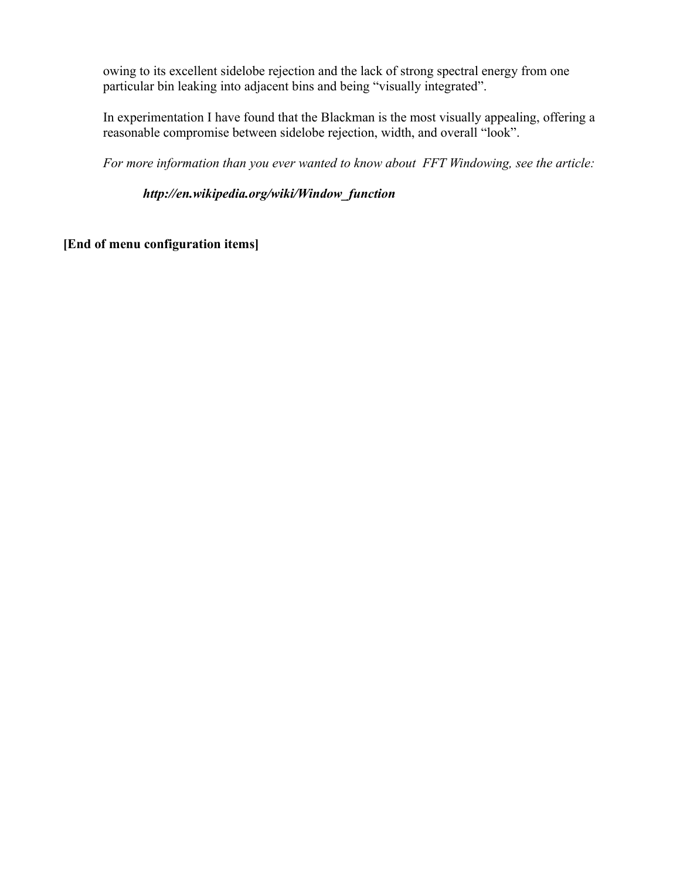owing to its excellent sidelobe rejection and the lack of strong spectral energy from one particular bin leaking into adjacent bins and being "visually integrated".

In experimentation I have found that the Blackman is the most visually appealing, offering a reasonable compromise between sidelobe rejection, width, and overall "look".

*For more information than you ever wanted to know about FFT Windowing, see the article:* 

*http://en.wikipedia.org/wiki/Window\_function*

**[End of menu configuration items]**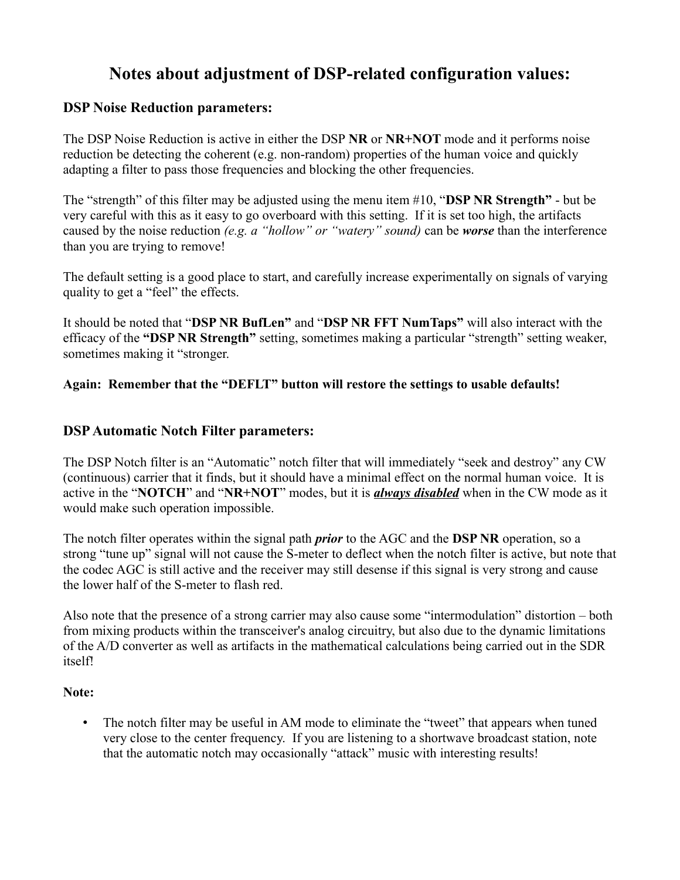## **Notes about adjustment of DSP-related configuration values:**

### **DSP Noise Reduction parameters:**

The DSP Noise Reduction is active in either the DSP **NR** or **NR+NOT** mode and it performs noise reduction be detecting the coherent (e.g. non-random) properties of the human voice and quickly adapting a filter to pass those frequencies and blocking the other frequencies.

The "strength" of this filter may be adjusted using the menu item #10, "**DSP NR Strength"** - but be very careful with this as it easy to go overboard with this setting. If it is set too high, the artifacts caused by the noise reduction *(e.g. a "hollow" or "watery" sound)* can be *worse* than the interference than you are trying to remove!

The default setting is a good place to start, and carefully increase experimentally on signals of varying quality to get a "feel" the effects.

It should be noted that "**DSP NR BufLen"** and "**DSP NR FFT NumTaps"** will also interact with the efficacy of the **"DSP NR Strength"** setting, sometimes making a particular "strength" setting weaker, sometimes making it "stronger.

### **Again: Remember that the "DEFLT" button will restore the settings to usable defaults!**

### **DSP Automatic Notch Filter parameters:**

The DSP Notch filter is an "Automatic" notch filter that will immediately "seek and destroy" any CW (continuous) carrier that it finds, but it should have a minimal effect on the normal human voice. It is active in the "**NOTCH**" and "**NR+NOT**" modes, but it is *always disabled* when in the CW mode as it would make such operation impossible.

The notch filter operates within the signal path *prior* to the AGC and the **DSP NR** operation, so a strong "tune up" signal will not cause the S-meter to deflect when the notch filter is active, but note that the codec AGC is still active and the receiver may still desense if this signal is very strong and cause the lower half of the S-meter to flash red.

Also note that the presence of a strong carrier may also cause some "intermodulation" distortion – both from mixing products within the transceiver's analog circuitry, but also due to the dynamic limitations of the A/D converter as well as artifacts in the mathematical calculations being carried out in the SDR itself!

### **Note:**

• The notch filter may be useful in AM mode to eliminate the "tweet" that appears when tuned very close to the center frequency. If you are listening to a shortwave broadcast station, note that the automatic notch may occasionally "attack" music with interesting results!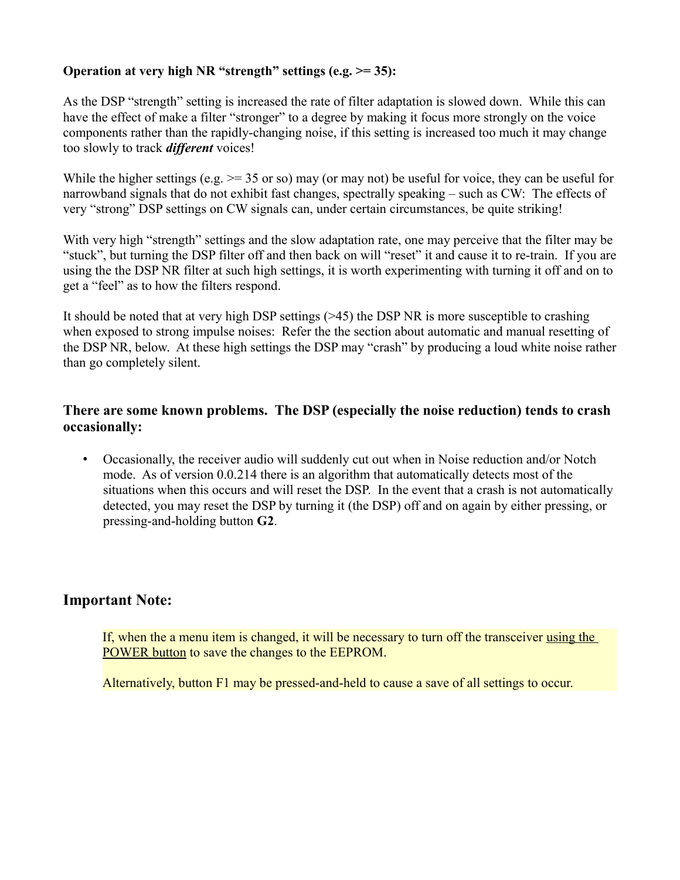### **Operation at very high NR "strength" settings (e.g. >= 35):**

As the DSP "strength" setting is increased the rate of filter adaptation is slowed down. While this can have the effect of make a filter "stronger" to a degree by making it focus more strongly on the voice components rather than the rapidly-changing noise, if this setting is increased too much it may change too slowly to track *different* voices!

While the higher settings (e.g.  $\ge$  = 35 or so) may (or may not) be useful for voice, they can be useful for narrowband signals that do not exhibit fast changes, spectrally speaking – such as CW: The effects of very "strong" DSP settings on CW signals can, under certain circumstances, be quite striking!

With very high "strength" settings and the slow adaptation rate, one may perceive that the filter may be "stuck", but turning the DSP filter off and then back on will "reset" it and cause it to re-train. If you are using the the DSP NR filter at such high settings, it is worth experimenting with turning it off and on to get a "feel" as to how the filters respond.

It should be noted that at very high DSP settings (>45) the DSP NR is more susceptible to crashing when exposed to strong impulse noises: Refer the the section about automatic and manual resetting of the DSP NR, below. At these high settings the DSP may "crash" by producing a loud white noise rather than go completely silent.

## **There are some known problems. The DSP (especially the noise reduction) tends to crash occasionally:**

• Occasionally, the receiver audio will suddenly cut out when in Noise reduction and/or Notch mode. As of version 0.0.214 there is an algorithm that automatically detects most of the situations when this occurs and will reset the DSP. In the event that a crash is not automatically detected, you may reset the DSP by turning it (the DSP) off and on again by either pressing, or pressing-and-holding button **G2**.

## **Important Note:**

If, when the a menu item is changed, it will be necessary to turn off the transceiver using the POWER button to save the changes to the EEPROM.

Alternatively, button F1 may be pressed-and-held to cause a save of all settings to occur.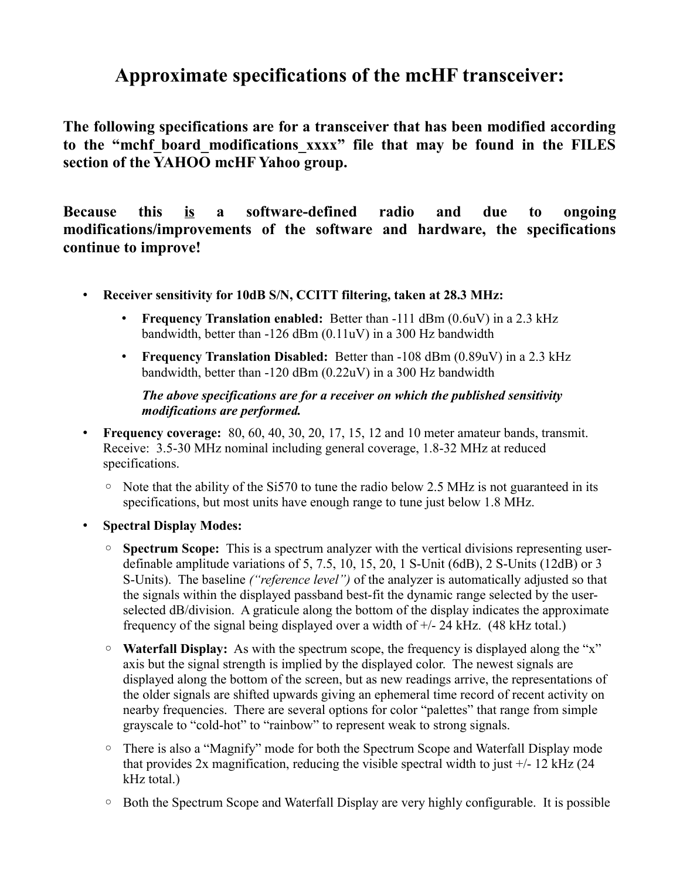## **Approximate specifications of the mcHF transceiver:**

**The following specifications are for a transceiver that has been modified according to the "mchf\_board\_modifications\_xxxx" file that may be found in the FILES section of the YAHOO mcHF Yahoo group.**

**Because this is a software-defined radio and due to ongoing modifications/improvements of the software and hardware, the specifications continue to improve!**

- **Receiver sensitivity for 10dB S/N, CCITT filtering, taken at 28.3 MHz:** 
	- **Frequency Translation enabled:** Better than -111 dBm (0.6uV) in a 2.3 kHz bandwidth, better than -126 dBm (0.11uV) in a 300 Hz bandwidth
	- **Frequency Translation Disabled:** Better than -108 dBm (0.89uV) in a 2.3 kHz bandwidth, better than -120 dBm (0.22uV) in a 300 Hz bandwidth

### *The above specifications are for a receiver on which the published sensitivity modifications are performed.*

- **Frequency coverage:** 80, 60, 40, 30, 20, 17, 15, 12 and 10 meter amateur bands, transmit. Receive: 3.5-30 MHz nominal including general coverage, 1.8-32 MHz at reduced specifications.
	- $\degree$  Note that the ability of the Si570 to tune the radio below 2.5 MHz is not guaranteed in its specifications, but most units have enough range to tune just below 1.8 MHz.
- **Spectral Display Modes:**
	- **Spectrum Scope:** This is a spectrum analyzer with the vertical divisions representing userdefinable amplitude variations of 5, 7.5, 10, 15, 20, 1 S-Unit (6dB), 2 S-Units (12dB) or 3 S-Units). The baseline *("reference level")* of the analyzer is automatically adjusted so that the signals within the displayed passband best-fit the dynamic range selected by the userselected dB/division. A graticule along the bottom of the display indicates the approximate frequency of the signal being displayed over a width of +/- 24 kHz. (48 kHz total.)
	- **Waterfall Display:** As with the spectrum scope, the frequency is displayed along the "x" axis but the signal strength is implied by the displayed color. The newest signals are displayed along the bottom of the screen, but as new readings arrive, the representations of the older signals are shifted upwards giving an ephemeral time record of recent activity on nearby frequencies. There are several options for color "palettes" that range from simple grayscale to "cold-hot" to "rainbow" to represent weak to strong signals.
	- There is also a "Magnify" mode for both the Spectrum Scope and Waterfall Display mode that provides  $2x$  magnification, reducing the visible spectral width to just  $\pm$ /- 12 kHz (24) kHz total.)
	- Both the Spectrum Scope and Waterfall Display are very highly configurable. It is possible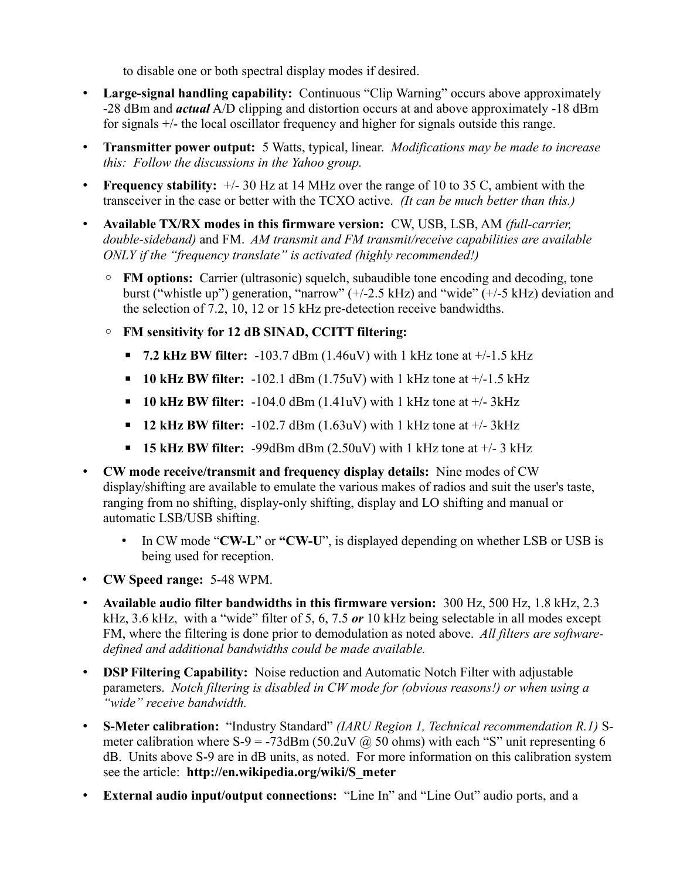to disable one or both spectral display modes if desired.

- **Large-signal handling capability:** Continuous "Clip Warning" occurs above approximately -28 dBm and *actual* A/D clipping and distortion occurs at and above approximately -18 dBm for signals +/- the local oscillator frequency and higher for signals outside this range.
- **Transmitter power output:** 5 Watts, typical, linear. *Modifications may be made to increase this: Follow the discussions in the Yahoo group.*
- **Frequency stability:**  $+/- 30$  Hz at 14 MHz over the range of 10 to 35 C, ambient with the transceiver in the case or better with the TCXO active. *(It can be much better than this.)*
- **Available TX/RX modes in this firmware version:** CW, USB, LSB, AM *(full-carrier, double-sideband)* and FM. *AM transmit and FM transmit/receive capabilities are available ONLY if the "frequency translate" is activated (highly recommended!)*
	- **FM options:** Carrier (ultrasonic) squelch, subaudible tone encoding and decoding, tone burst ("whistle up") generation, "narrow" (+/-2.5 kHz) and "wide" (+/-5 kHz) deviation and the selection of 7.2, 10, 12 or 15 kHz pre-detection receive bandwidths.
	- **FM sensitivity for 12 dB SINAD, CCITT filtering:**
		- **7.2 kHz BW filter:** -103.7 dBm (1.46uV) with 1 kHz tone at  $+/-1.5$  kHz
		- $\bullet$  **10 kHz BW filter:** -102.1 dBm (1.75uV) with 1 kHz tone at  $+/$ -1.5 kHz
		- $\bullet$  **10 kHz BW filter:** -104.0 dBm (1.41uV) with 1 kHz tone at  $+/-3$ kHz
		- $\blacksquare$  **12 kHz BW filter:** -102.7 dBm (1.63uV) with 1 kHz tone at  $\blacksquare$  -1.4 3 kHz
		- $\bullet$  **15 kHz BW filter:** -99dBm dBm (2.50uV) with 1 kHz tone at  $+/-$  3 kHz
- **CW mode receive/transmit and frequency display details:** Nine modes of CW display/shifting are available to emulate the various makes of radios and suit the user's taste, ranging from no shifting, display-only shifting, display and LO shifting and manual or automatic LSB/USB shifting.
	- In CW mode "**CW-L**" or **"CW-U**", is displayed depending on whether LSB or USB is being used for reception.
- **CW Speed range:** 5-48 WPM.
- **Available audio filter bandwidths in this firmware version:** 300 Hz, 500 Hz, 1.8 kHz, 2.3 kHz, 3.6 kHz, with a "wide" filter of 5, 6, 7.5 *or* 10 kHz being selectable in all modes except FM, where the filtering is done prior to demodulation as noted above. *All filters are softwaredefined and additional bandwidths could be made available.*
- **DSP Filtering Capability:** Noise reduction and Automatic Notch Filter with adjustable parameters. *Notch filtering is disabled in CW mode for (obvious reasons!) or when using a "wide" receive bandwidth.*
- **S-Meter calibration:** "Industry Standard" *(IARU Region 1, Technical recommendation R.1)* Smeter calibration where  $S=9 = -73$ dBm (50.2uV  $\omega$ ) 50 ohms) with each "S" unit representing 6 dB. Units above S-9 are in dB units, as noted. For more information on this calibration system see the article: **http://en.wikipedia.org/wiki/S\_meter**
- **External audio input/output connections:** "Line In" and "Line Out" audio ports, and a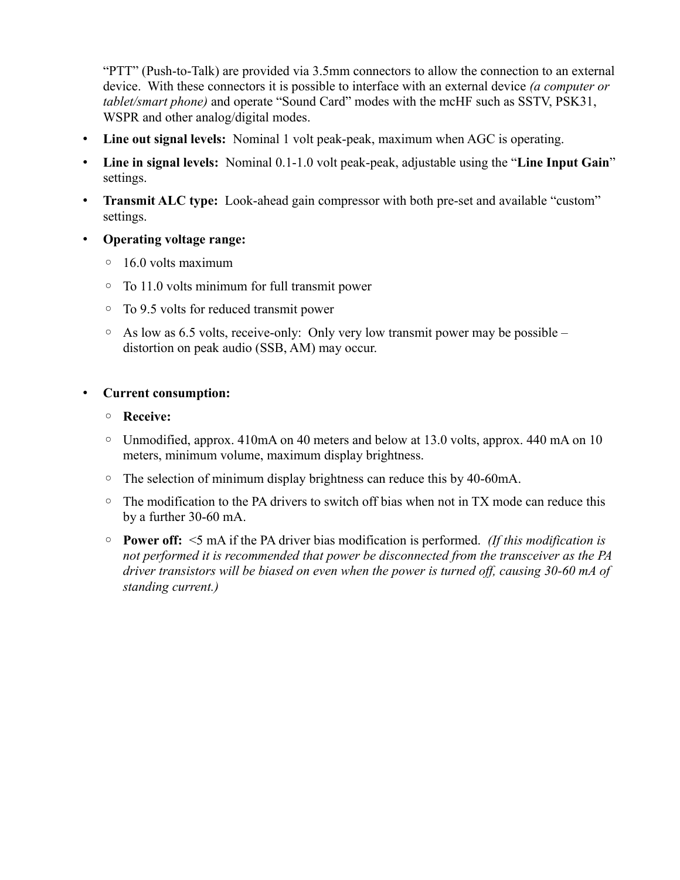"PTT" (Push-to-Talk) are provided via 3.5mm connectors to allow the connection to an external device. With these connectors it is possible to interface with an external device *(a computer or tablet/smart phone)* and operate "Sound Card" modes with the mcHF such as SSTV, PSK31, WSPR and other analog/digital modes.

- **Line out signal levels:** Nominal 1 volt peak-peak, maximum when AGC is operating.
- **Line in signal levels:** Nominal 0.1-1.0 volt peak-peak, adjustable using the "**Line Input Gain**" settings.
- **Transmit ALC type:** Look-ahead gain compressor with both pre-set and available "custom" settings.
- **Operating voltage range:**
	- 16.0 volts maximum
	- To 11.0 volts minimum for full transmit power
	- To 9.5 volts for reduced transmit power
	- As low as 6.5 volts, receive-only: Only very low transmit power may be possible distortion on peak audio (SSB, AM) may occur.

### • **Current consumption:**

- **Receive:**
- Unmodified, approx. 410mA on 40 meters and below at 13.0 volts, approx. 440 mA on 10 meters, minimum volume, maximum display brightness.
- The selection of minimum display brightness can reduce this by 40-60mA.
- The modification to the PA drivers to switch off bias when not in TX mode can reduce this by a further 30-60 mA.
- **Power off:** <5 mA if the PA driver bias modification is performed. *(If this modification is not performed it is recommended that power be disconnected from the transceiver as the PA driver transistors will be biased on even when the power is turned off, causing 30-60 mA of standing current.)*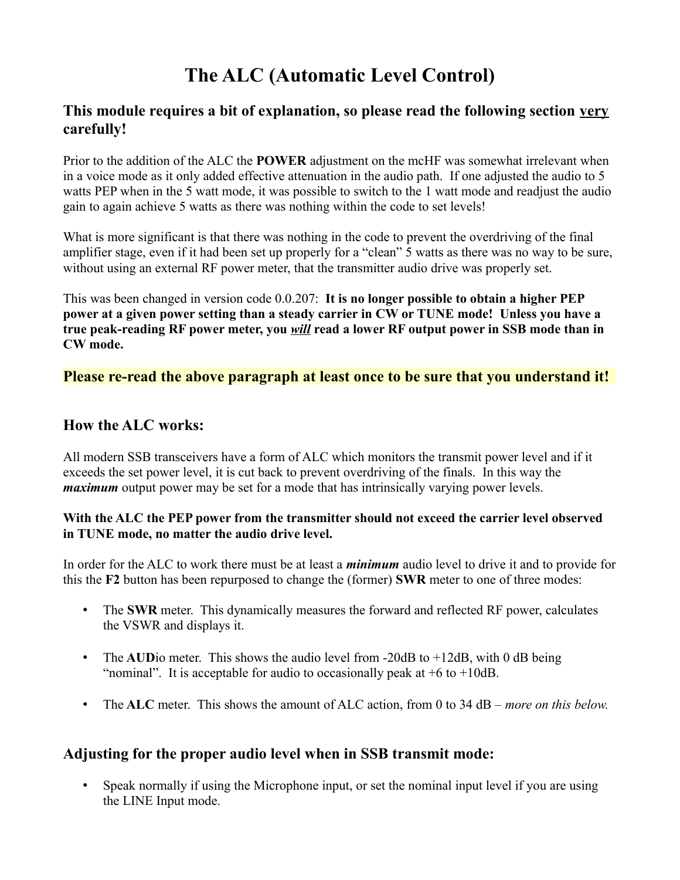# **The ALC (Automatic Level Control)**

## **This module requires a bit of explanation, so please read the following section very carefully!**

Prior to the addition of the ALC the **POWER** adjustment on the mcHF was somewhat irrelevant when in a voice mode as it only added effective attenuation in the audio path. If one adjusted the audio to 5 watts PEP when in the 5 watt mode, it was possible to switch to the 1 watt mode and readjust the audio gain to again achieve 5 watts as there was nothing within the code to set levels!

What is more significant is that there was nothing in the code to prevent the overdriving of the final amplifier stage, even if it had been set up properly for a "clean" 5 watts as there was no way to be sure, without using an external RF power meter, that the transmitter audio drive was properly set.

This was been changed in version code 0.0.207: **It is no longer possible to obtain a higher PEP power at a given power setting than a steady carrier in CW or TUNE mode! Unless you have a true peak-reading RF power meter, you** *will* **read a lower RF output power in SSB mode than in CW mode.**

## **Please re-read the above paragraph at least once to be sure that you understand it!**

### **How the ALC works:**

All modern SSB transceivers have a form of ALC which monitors the transmit power level and if it exceeds the set power level, it is cut back to prevent overdriving of the finals. In this way the *maximum* output power may be set for a mode that has intrinsically varying power levels.

### **With the ALC the PEP power from the transmitter should not exceed the carrier level observed in TUNE mode, no matter the audio drive level.**

In order for the ALC to work there must be at least a *minimum* audio level to drive it and to provide for this the **F2** button has been repurposed to change the (former) **SWR** meter to one of three modes:

- The **SWR** meter. This dynamically measures the forward and reflected RF power, calculates the VSWR and displays it.
- The **AUD** io meter. This shows the audio level from -20dB to +12dB, with 0 dB being "nominal". It is acceptable for audio to occasionally peak at  $+6$  to  $+10$ dB.
- The **ALC** meter. This shows the amount of ALC action, from 0 to 34 dB *more on this below.*

## **Adjusting for the proper audio level when in SSB transmit mode:**

• Speak normally if using the Microphone input, or set the nominal input level if you are using the LINE Input mode.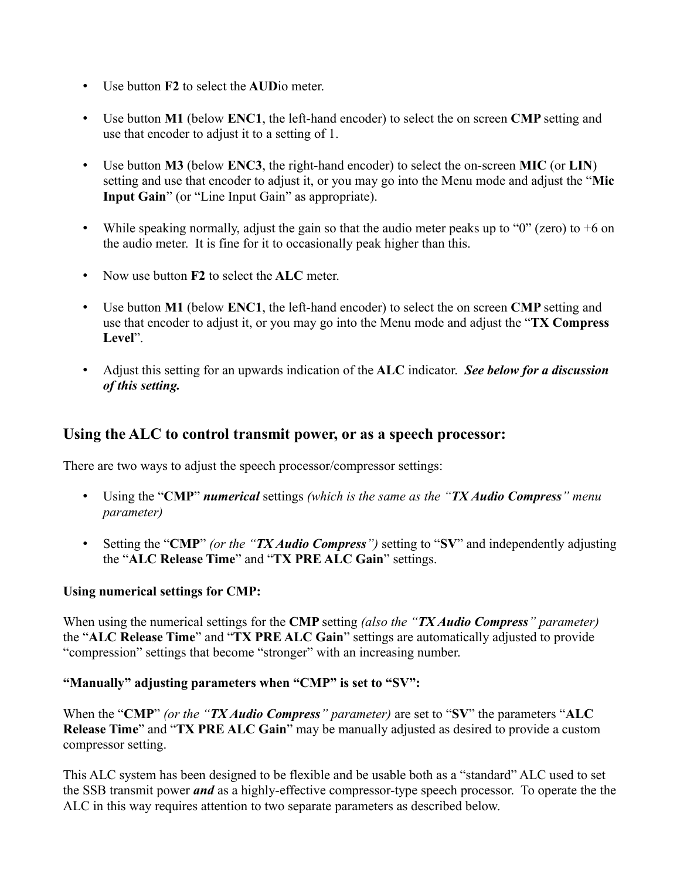- Use button **F2** to select the **AUD**io meter.
- Use button **M1** (below **ENC1**, the left-hand encoder) to select the on screen **CMP** setting and use that encoder to adjust it to a setting of 1.
- Use button **M3** (below **ENC3**, the right-hand encoder) to select the on-screen **MIC** (or **LIN**) setting and use that encoder to adjust it, or you may go into the Menu mode and adjust the "**Mic Input Gain**" (or "Line Input Gain" as appropriate).
- While speaking normally, adjust the gain so that the audio meter peaks up to "0" (zero) to  $+6$  on the audio meter. It is fine for it to occasionally peak higher than this.
- Now use button **F2** to select the **ALC** meter.
- Use button **M1** (below **ENC1**, the left-hand encoder) to select the on screen **CMP** setting and use that encoder to adjust it, or you may go into the Menu mode and adjust the "**TX Compress Level**".
- Adjust this setting for an upwards indication of the **ALC** indicator. *See below for a discussion of this setting.*

## **Using the ALC to control transmit power, or as a speech processor:**

There are two ways to adjust the speech processor/compressor settings:

- Using the "**CMP**" *numerical* settings *(which is the same as the "TX Audio Compress" menu parameter)*
- Setting the "**CMP**" *(or the "TX Audio Compress")* setting to "**SV**" and independently adjusting the "**ALC Release Time**" and "**TX PRE ALC Gain**" settings.

### **Using numerical settings for CMP:**

When using the numerical settings for the **CMP** setting *(also the "TX Audio Compress" parameter)* the "**ALC Release Time**" and "**TX PRE ALC Gain**" settings are automatically adjusted to provide "compression" settings that become "stronger" with an increasing number.

### **"Manually" adjusting parameters when "CMP" is set to "SV":**

When the "**CMP**" *(or the "TX Audio Compress" parameter)* are set to "**SV**" the parameters "**ALC Release Time**" and "**TX PRE ALC Gain**" may be manually adjusted as desired to provide a custom compressor setting.

This ALC system has been designed to be flexible and be usable both as a "standard" ALC used to set the SSB transmit power *and* as a highly-effective compressor-type speech processor. To operate the the ALC in this way requires attention to two separate parameters as described below.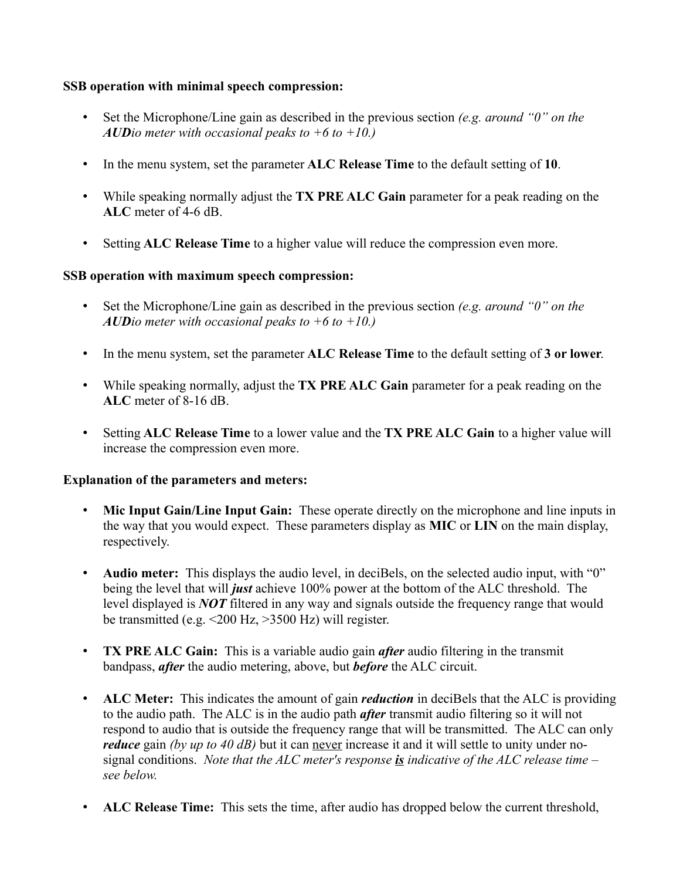### **SSB operation with minimal speech compression:**

- Set the Microphone/Line gain as described in the previous section *(e.g. around "0" on the AUDio meter with occasional peaks to +6 to +10.)*
- In the menu system, set the parameter **ALC Release Time** to the default setting of **10**.
- While speaking normally adjust the **TX PRE ALC Gain** parameter for a peak reading on the **ALC** meter of 4-6 dB.
- Setting **ALC Release Time** to a higher value will reduce the compression even more.

### **SSB operation with maximum speech compression:**

- Set the Microphone/Line gain as described in the previous section *(e.g. around "0" on the AUDio meter with occasional peaks to +6 to +10.)*
- In the menu system, set the parameter **ALC Release Time** to the default setting of **3 or lower**.
- While speaking normally, adjust the **TX PRE ALC Gain** parameter for a peak reading on the **ALC** meter of 8-16 dB.
- Setting **ALC Release Time** to a lower value and the **TX PRE ALC Gain** to a higher value will increase the compression even more.

### **Explanation of the parameters and meters:**

- **Mic Input Gain/Line Input Gain:** These operate directly on the microphone and line inputs in the way that you would expect. These parameters display as **MIC** or **LIN** on the main display, respectively.
- **Audio meter:** This displays the audio level, in deciBels, on the selected audio input, with "0" being the level that will *just* achieve 100% power at the bottom of the ALC threshold. The level displayed is *NOT* filtered in any way and signals outside the frequency range that would be transmitted (e.g.  $\leq$ 200 Hz,  $>$ 3500 Hz) will register.
- **TX PRE ALC Gain:** This is a variable audio gain *after* audio filtering in the transmit bandpass, *after* the audio metering, above, but *before* the ALC circuit.
- **ALC Meter:** This indicates the amount of gain *reduction* in deciBels that the ALC is providing to the audio path. The ALC is in the audio path *after* transmit audio filtering so it will not respond to audio that is outside the frequency range that will be transmitted. The ALC can only *reduce* gain *(by up to 40 dB)* but it can never increase it and it will settle to unity under nosignal conditions. *Note that the ALC meter's response is indicative of the ALC release time – see below.*
- **ALC Release Time:** This sets the time, after audio has dropped below the current threshold,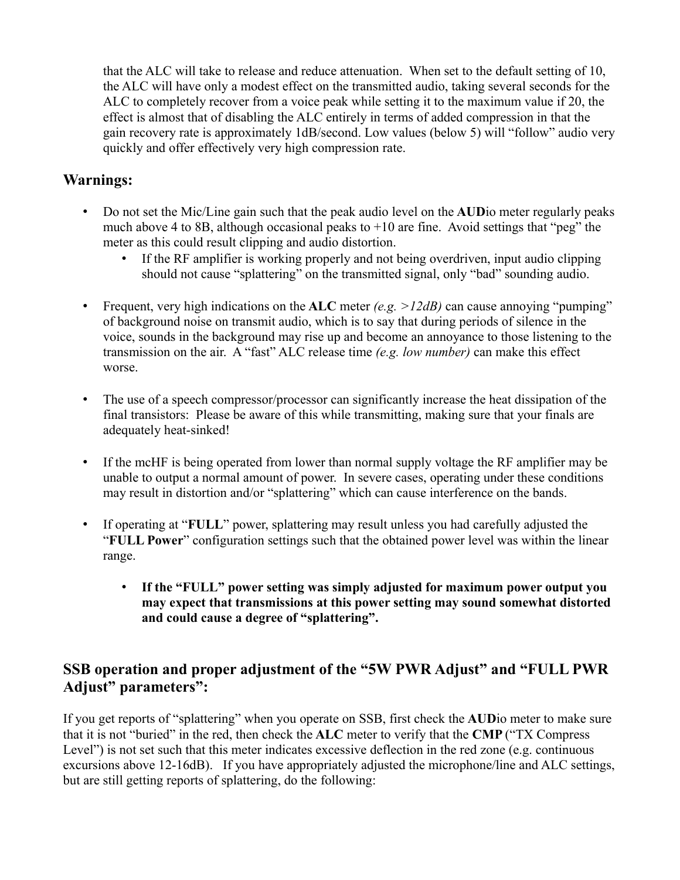that the ALC will take to release and reduce attenuation. When set to the default setting of 10, the ALC will have only a modest effect on the transmitted audio, taking several seconds for the ALC to completely recover from a voice peak while setting it to the maximum value if 20, the effect is almost that of disabling the ALC entirely in terms of added compression in that the gain recovery rate is approximately 1dB/second. Low values (below 5) will "follow" audio very quickly and offer effectively very high compression rate.

## **Warnings:**

- Do not set the Mic/Line gain such that the peak audio level on the **AUD**io meter regularly peaks much above 4 to 8B, although occasional peaks to  $+10$  are fine. Avoid settings that "peg" the meter as this could result clipping and audio distortion.
	- If the RF amplifier is working properly and not being overdriven, input audio clipping should not cause "splattering" on the transmitted signal, only "bad" sounding audio.
- Frequent, very high indications on the **ALC** meter *(e.g. >12dB)* can cause annoying "pumping" of background noise on transmit audio, which is to say that during periods of silence in the voice, sounds in the background may rise up and become an annoyance to those listening to the transmission on the air. A "fast" ALC release time *(e.g. low number)* can make this effect worse.
- The use of a speech compressor/processor can significantly increase the heat dissipation of the final transistors: Please be aware of this while transmitting, making sure that your finals are adequately heat-sinked!
- If the mcHF is being operated from lower than normal supply voltage the RF amplifier may be unable to output a normal amount of power. In severe cases, operating under these conditions may result in distortion and/or "splattering" which can cause interference on the bands.
- If operating at "**FULL**" power, splattering may result unless you had carefully adjusted the "**FULL Power**" configuration settings such that the obtained power level was within the linear range.
	- **If the "FULL" power setting was simply adjusted for maximum power output you may expect that transmissions at this power setting may sound somewhat distorted and could cause a degree of "splattering".**

## **SSB operation and proper adjustment of the "5W PWR Adjust" and "FULL PWR Adjust" parameters":**

If you get reports of "splattering" when you operate on SSB, first check the **AUD**io meter to make sure that it is not "buried" in the red, then check the **ALC** meter to verify that the **CMP** ("TX Compress Level") is not set such that this meter indicates excessive deflection in the red zone (e.g. continuous excursions above 12-16dB). If you have appropriately adjusted the microphone/line and ALC settings, but are still getting reports of splattering, do the following: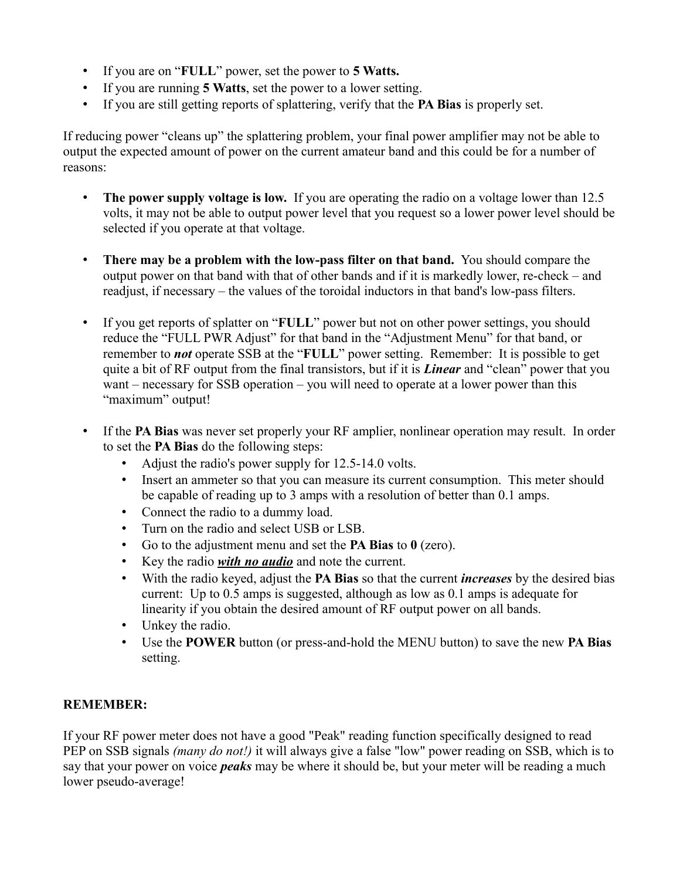- If you are on "**FULL**" power, set the power to **5 Watts.**
- If you are running **5 Watts**, set the power to a lower setting.
- If you are still getting reports of splattering, verify that the **PA Bias** is properly set.

If reducing power "cleans up" the splattering problem, your final power amplifier may not be able to output the expected amount of power on the current amateur band and this could be for a number of reasons:

- **The power supply voltage is low.** If you are operating the radio on a voltage lower than 12.5 volts, it may not be able to output power level that you request so a lower power level should be selected if you operate at that voltage.
- **There may be a problem with the low-pass filter on that band.** You should compare the output power on that band with that of other bands and if it is markedly lower, re-check – and readjust, if necessary – the values of the toroidal inductors in that band's low-pass filters.
- If you get reports of splatter on "**FULL**" power but not on other power settings, you should reduce the "FULL PWR Adjust" for that band in the "Adjustment Menu" for that band, or remember to *not* operate SSB at the "**FULL**" power setting. Remember: It is possible to get quite a bit of RF output from the final transistors, but if it is *Linear* and "clean" power that you want – necessary for SSB operation – you will need to operate at a lower power than this "maximum" output!
- If the **PA Bias** was never set properly your RF amplier, nonlinear operation may result. In order to set the **PA Bias** do the following steps:
	- Adjust the radio's power supply for 12.5-14.0 volts.
	- Insert an ammeter so that you can measure its current consumption. This meter should be capable of reading up to 3 amps with a resolution of better than 0.1 amps.
	- Connect the radio to a dummy load.
	- Turn on the radio and select USB or LSB.
	- Go to the adjustment menu and set the **PA Bias** to **0** (zero).
	- Key the radio *with no audio* and note the current.
	- With the radio keyed, adjust the **PA Bias** so that the current *increases* by the desired bias current: Up to 0.5 amps is suggested, although as low as 0.1 amps is adequate for linearity if you obtain the desired amount of RF output power on all bands.
	- Unkey the radio.
	- Use the **POWER** button (or press-and-hold the MENU button) to save the new **PA Bias** setting.

### **REMEMBER:**

If your RF power meter does not have a good "Peak" reading function specifically designed to read PEP on SSB signals *(many do not!)* it will always give a false "low" power reading on SSB, which is to say that your power on voice *peaks* may be where it should be, but your meter will be reading a much lower pseudo-average!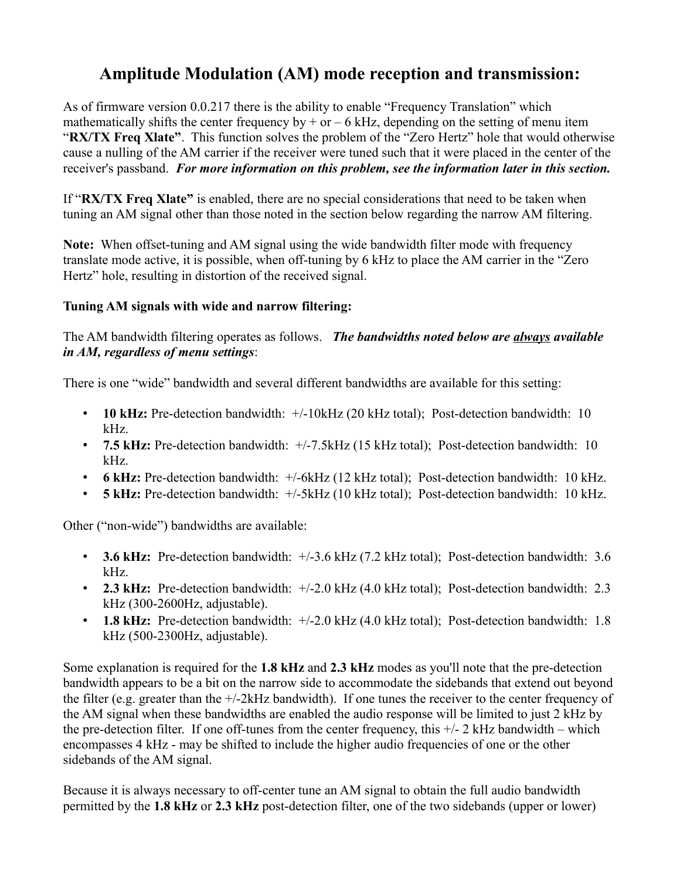## **Amplitude Modulation (AM) mode reception and transmission:**

As of firmware version 0.0.217 there is the ability to enable "Frequency Translation" which mathematically shifts the center frequency by  $+$  or  $-$  6 kHz, depending on the setting of menu item "**RX/TX Freq Xlate"**. This function solves the problem of the "Zero Hertz" hole that would otherwise cause a nulling of the AM carrier if the receiver were tuned such that it were placed in the center of the receiver's passband. *For more information on this problem, see the information later in this section.*

If "**RX/TX Freq Xlate"** is enabled, there are no special considerations that need to be taken when tuning an AM signal other than those noted in the section below regarding the narrow AM filtering.

**Note:** When offset-tuning and AM signal using the wide bandwidth filter mode with frequency translate mode active, it is possible, when off-tuning by 6 kHz to place the AM carrier in the "Zero Hertz" hole, resulting in distortion of the received signal.

## **Tuning AM signals with wide and narrow filtering:**

The AM bandwidth filtering operates as follows. *The bandwidths noted below are always available in AM, regardless of menu settings*:

There is one "wide" bandwidth and several different bandwidths are available for this setting:

- **10 kHz:** Pre-detection bandwidth:  $+/-10$ kHz (20 kHz total); Post-detection bandwidth: 10 kHz.
- **7.5 kHz:** Pre-detection bandwidth: +/-7.5kHz (15 kHz total); Post-detection bandwidth: 10 kHz.
- **6 kHz:** Pre-detection bandwidth: +/-6kHz (12 kHz total); Post-detection bandwidth: 10 kHz.
- **5 kHz:** Pre-detection bandwidth: +/-5kHz (10 kHz total); Post-detection bandwidth: 10 kHz.

Other ("non-wide") bandwidths are available:

- **3.6 kHz:** Pre-detection bandwidth: +/-3.6 kHz (7.2 kHz total); Post-detection bandwidth: 3.6 kHz.
- **2.3 kHz:** Pre-detection bandwidth: +/-2.0 kHz (4.0 kHz total); Post-detection bandwidth: 2.3 kHz (300-2600Hz, adjustable).
- **1.8 kHz:** Pre-detection bandwidth: +/-2.0 kHz (4.0 kHz total); Post-detection bandwidth: 1.8 kHz (500-2300Hz, adjustable).

Some explanation is required for the **1.8 kHz** and **2.3 kHz** modes as you'll note that the pre-detection bandwidth appears to be a bit on the narrow side to accommodate the sidebands that extend out beyond the filter (e.g. greater than the +/-2kHz bandwidth). If one tunes the receiver to the center frequency of the AM signal when these bandwidths are enabled the audio response will be limited to just 2 kHz by the pre-detection filter. If one off-tunes from the center frequency, this  $+/- 2$  kHz bandwidth – which encompasses 4 kHz - may be shifted to include the higher audio frequencies of one or the other sidebands of the AM signal.

Because it is always necessary to off-center tune an AM signal to obtain the full audio bandwidth permitted by the **1.8 kHz** or **2.3 kHz** post-detection filter, one of the two sidebands (upper or lower)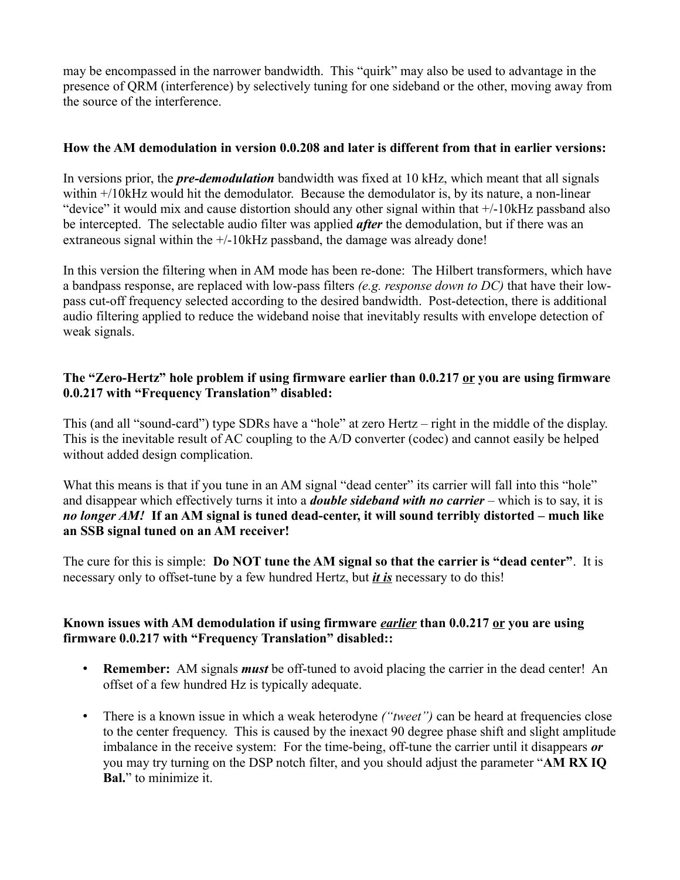may be encompassed in the narrower bandwidth. This "quirk" may also be used to advantage in the presence of QRM (interference) by selectively tuning for one sideband or the other, moving away from the source of the interference.

### **How the AM demodulation in version 0.0.208 and later is different from that in earlier versions:**

In versions prior, the *pre-demodulation* bandwidth was fixed at 10 kHz, which meant that all signals within +/10kHz would hit the demodulator. Because the demodulator is, by its nature, a non-linear "device" it would mix and cause distortion should any other signal within that +/-10kHz passband also be intercepted. The selectable audio filter was applied *after* the demodulation, but if there was an extraneous signal within the  $+/-10$ kHz passband, the damage was already done!

In this version the filtering when in AM mode has been re-done: The Hilbert transformers, which have a bandpass response, are replaced with low-pass filters *(e.g. response down to DC)* that have their lowpass cut-off frequency selected according to the desired bandwidth. Post-detection, there is additional audio filtering applied to reduce the wideband noise that inevitably results with envelope detection of weak signals.

### **The "Zero-Hertz" hole problem if using firmware earlier than 0.0.217 or you are using firmware 0.0.217 with "Frequency Translation" disabled:**

This (and all "sound-card") type SDRs have a "hole" at zero Hertz – right in the middle of the display. This is the inevitable result of AC coupling to the A/D converter (codec) and cannot easily be helped without added design complication.

What this means is that if you tune in an AM signal "dead center" its carrier will fall into this "hole" and disappear which effectively turns it into a *double sideband with no carrier* – which is to say, it is *no longer AM!* **If an AM signal is tuned dead-center, it will sound terribly distorted – much like an SSB signal tuned on an AM receiver!**

The cure for this is simple: **Do NOT tune the AM signal so that the carrier is "dead center"**. It is necessary only to offset-tune by a few hundred Hertz, but *it is* necessary to do this!

### **Known issues with AM demodulation if using firmware** *earlier* **than 0.0.217 or you are using firmware 0.0.217 with "Frequency Translation" disabled::**

- **Remember:** AM signals *must* be off-tuned to avoid placing the carrier in the dead center! An offset of a few hundred Hz is typically adequate.
- There is a known issue in which a weak heterodyne *("tweet"*) can be heard at frequencies close to the center frequency. This is caused by the inexact 90 degree phase shift and slight amplitude imbalance in the receive system: For the time-being, off-tune the carrier until it disappears *or* you may try turning on the DSP notch filter, and you should adjust the parameter "**AM RX IQ Bal.**" to minimize it.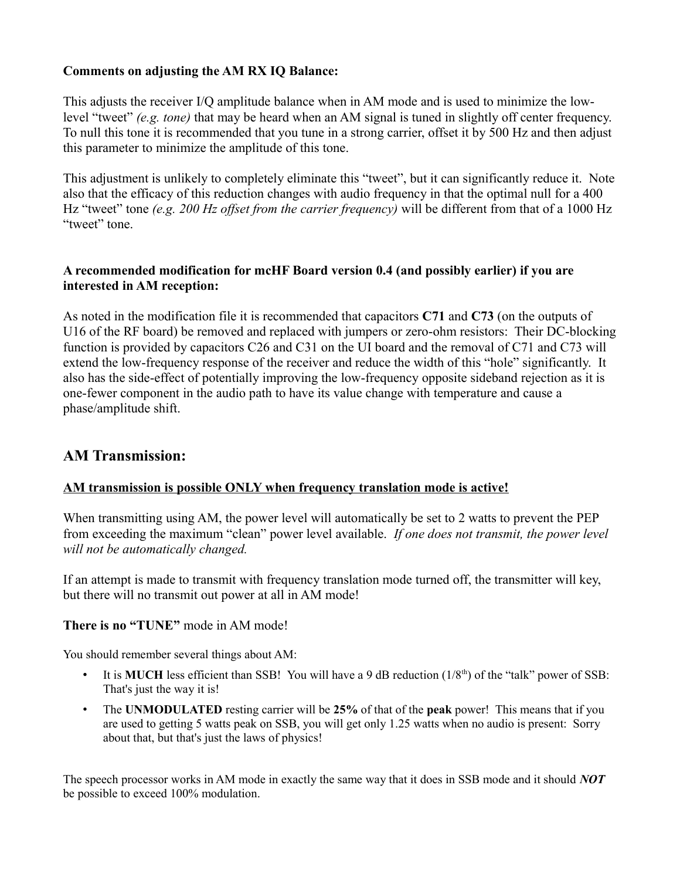### **Comments on adjusting the AM RX IQ Balance:**

This adjusts the receiver I/Q amplitude balance when in AM mode and is used to minimize the lowlevel "tweet" *(e.g. tone)* that may be heard when an AM signal is tuned in slightly off center frequency. To null this tone it is recommended that you tune in a strong carrier, offset it by 500 Hz and then adjust this parameter to minimize the amplitude of this tone.

This adjustment is unlikely to completely eliminate this "tweet", but it can significantly reduce it. Note also that the efficacy of this reduction changes with audio frequency in that the optimal null for a 400 Hz "tweet" tone *(e.g. 200 Hz offset from the carrier frequency)* will be different from that of a 1000 Hz "tweet" tone.

### **A recommended modification for mcHF Board version 0.4 (and possibly earlier) if you are interested in AM reception:**

As noted in the modification file it is recommended that capacitors **C71** and **C73** (on the outputs of U16 of the RF board) be removed and replaced with jumpers or zero-ohm resistors: Their DC-blocking function is provided by capacitors C26 and C31 on the UI board and the removal of C71 and C73 will extend the low-frequency response of the receiver and reduce the width of this "hole" significantly. It also has the side-effect of potentially improving the low-frequency opposite sideband rejection as it is one-fewer component in the audio path to have its value change with temperature and cause a phase/amplitude shift.

## **AM Transmission:**

### **AM transmission is possible ONLY when frequency translation mode is active!**

When transmitting using AM, the power level will automatically be set to 2 watts to prevent the PEP from exceeding the maximum "clean" power level available. *If one does not transmit, the power level will not be automatically changed.*

If an attempt is made to transmit with frequency translation mode turned off, the transmitter will key, but there will no transmit out power at all in AM mode!

### **There is no "TUNE"** mode in AM mode!

You should remember several things about AM:

- It is **MUCH** less efficient than SSB! You will have a 9 dB reduction (1/8<sup>th</sup>) of the "talk" power of SSB: That's just the way it is!
- The **UNMODULATED** resting carrier will be **25%** of that of the **peak** power! This means that if you are used to getting 5 watts peak on SSB, you will get only 1.25 watts when no audio is present: Sorry about that, but that's just the laws of physics!

The speech processor works in AM mode in exactly the same way that it does in SSB mode and it should *NOT* be possible to exceed 100% modulation.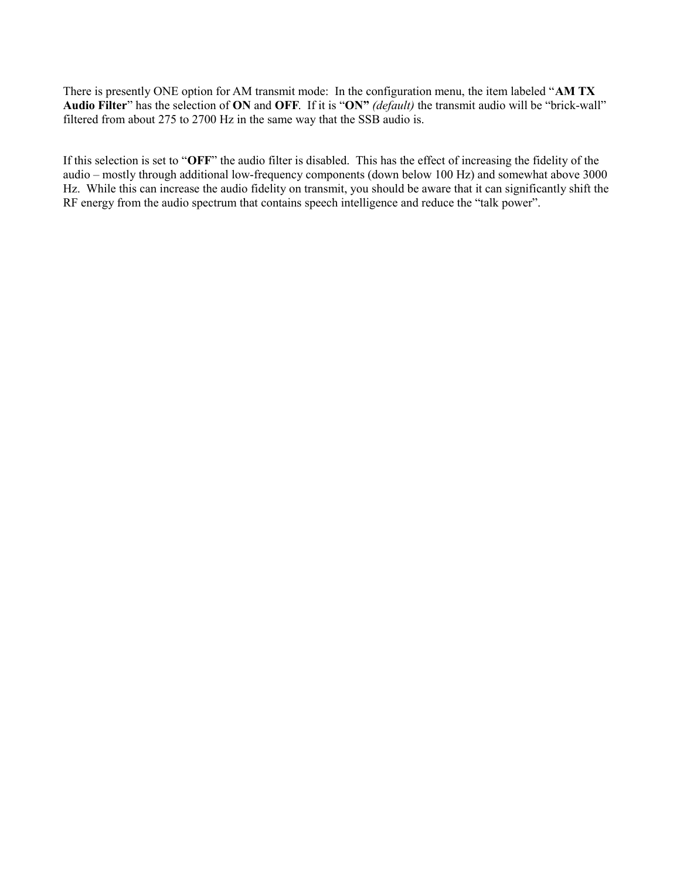There is presently ONE option for AM transmit mode: In the configuration menu, the item labeled "**AM TX Audio Filter**" has the selection of **ON** and **OFF**. If it is "**ON"** *(default)* the transmit audio will be "brick-wall" filtered from about 275 to 2700 Hz in the same way that the SSB audio is.

If this selection is set to "**OFF**" the audio filter is disabled. This has the effect of increasing the fidelity of the audio – mostly through additional low-frequency components (down below 100 Hz) and somewhat above 3000 Hz. While this can increase the audio fidelity on transmit, you should be aware that it can significantly shift the RF energy from the audio spectrum that contains speech intelligence and reduce the "talk power".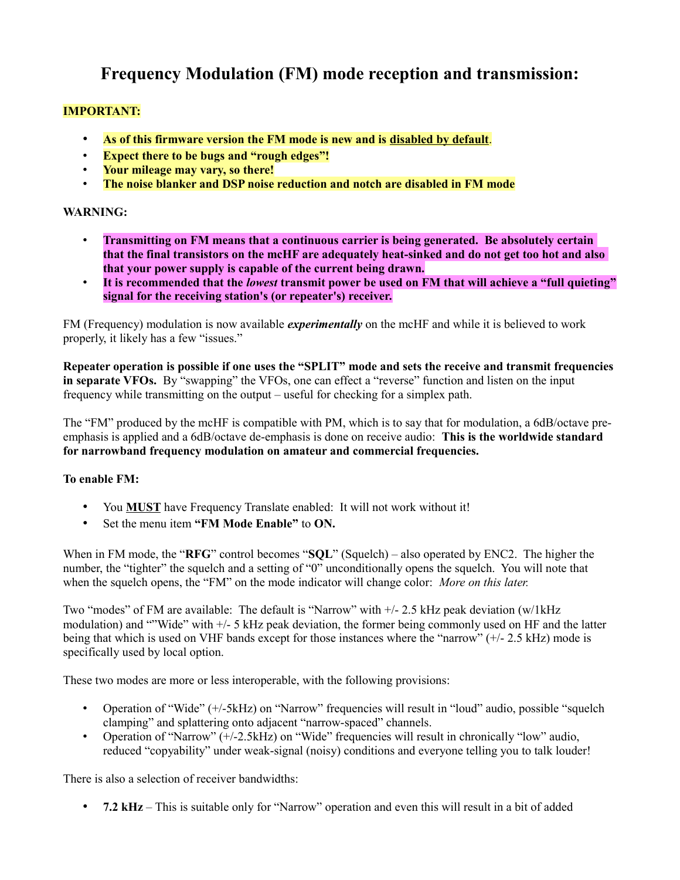## **Frequency Modulation (FM) mode reception and transmission:**

### **IMPORTANT:**

- **As of this firmware version the FM mode is new and is disabled by default**.
- **Expect there to be bugs and "rough edges"!**
- **Your mileage may vary, so there!**
- **The noise blanker and DSP noise reduction and notch are disabled in FM mode**

### **WARNING:**

- **Transmitting on FM means that a continuous carrier is being generated. Be absolutely certain that the final transistors on the mcHF are adequately heat-sinked and do not get too hot and also that your power supply is capable of the current being drawn.**
- **It is recommended that the** *lowest* **transmit power be used on FM that will achieve a "full quieting" signal for the receiving station's (or repeater's) receiver.**

FM (Frequency) modulation is now available *experimentally* on the mcHF and while it is believed to work properly, it likely has a few "issues."

**Repeater operation is possible if one uses the "SPLIT" mode and sets the receive and transmit frequencies in separate VFOs.** By "swapping" the VFOs, one can effect a "reverse" function and listen on the input frequency while transmitting on the output – useful for checking for a simplex path.

The "FM" produced by the mcHF is compatible with PM, which is to say that for modulation, a 6dB/octave preemphasis is applied and a 6dB/octave de-emphasis is done on receive audio: **This is the worldwide standard for narrowband frequency modulation on amateur and commercial frequencies.**

### **To enable FM:**

- You **MUST** have Frequency Translate enabled: It will not work without it!
- Set the menu item **"FM Mode Enable"** to **ON.**

When in FM mode, the "**RFG**" control becomes "**SQL**" (Squelch) – also operated by ENC2. The higher the number, the "tighter" the squelch and a setting of "0" unconditionally opens the squelch. You will note that when the squelch opens, the "FM" on the mode indicator will change color: *More on this later.*

Two "modes" of FM are available: The default is "Narrow" with +/- 2.5 kHz peak deviation (w/1kHz modulation) and ""Wide" with +/- 5 kHz peak deviation, the former being commonly used on HF and the latter being that which is used on VHF bands except for those instances where the "narrow" (+/- 2.5 kHz) mode is specifically used by local option.

These two modes are more or less interoperable, with the following provisions:

- Operation of "Wide" (+/-5kHz) on "Narrow" frequencies will result in "loud" audio, possible "squelch" clamping" and splattering onto adjacent "narrow-spaced" channels.
- Operation of "Narrow" (+/-2.5kHz) on "Wide" frequencies will result in chronically "low" audio, reduced "copyability" under weak-signal (noisy) conditions and everyone telling you to talk louder!

There is also a selection of receiver bandwidths:

• **7.2 kHz** – This is suitable only for "Narrow" operation and even this will result in a bit of added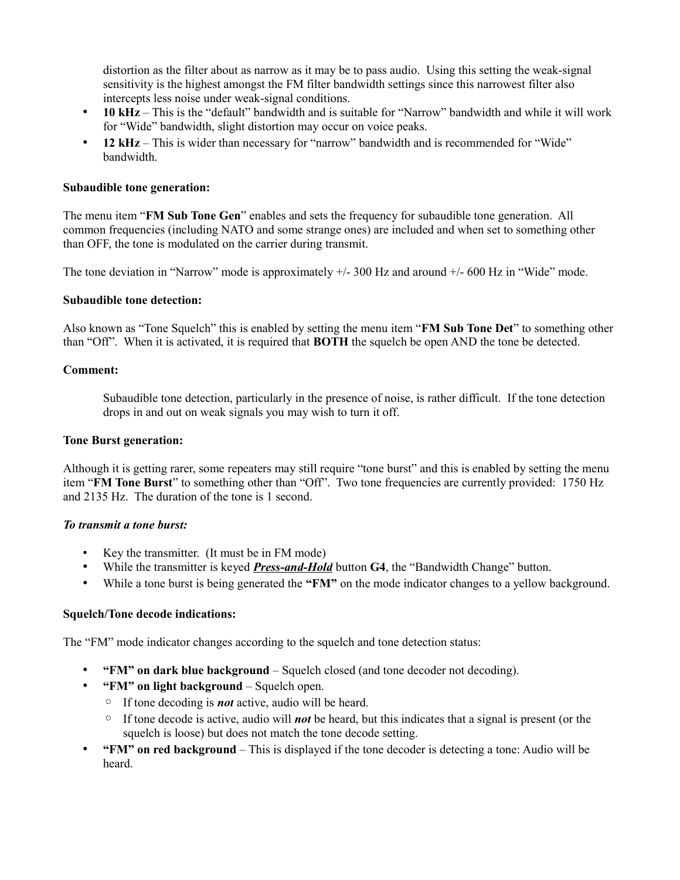distortion as the filter about as narrow as it may be to pass audio. Using this setting the weak-signal sensitivity is the highest amongst the FM filter bandwidth settings since this narrowest filter also intercepts less noise under weak-signal conditions.

- **10 kHz** This is the "default" bandwidth and is suitable for "Narrow" bandwidth and while it will work for "Wide" bandwidth, slight distortion may occur on voice peaks.
- **12 kHz** This is wider than necessary for "narrow" bandwidth and is recommended for "Wide" bandwidth.

#### **Subaudible tone generation:**

The menu item "**FM Sub Tone Gen**" enables and sets the frequency for subaudible tone generation. All common frequencies (including NATO and some strange ones) are included and when set to something other than OFF, the tone is modulated on the carrier during transmit.

The tone deviation in "Narrow" mode is approximately  $+/-300$  Hz and around  $+/-600$  Hz in "Wide" mode.

#### **Subaudible tone detection:**

Also known as "Tone Squelch" this is enabled by setting the menu item "**FM Sub Tone Det**" to something other than "Off". When it is activated, it is required that **BOTH** the squelch be open AND the tone be detected.

#### **Comment:**

Subaudible tone detection, particularly in the presence of noise, is rather difficult. If the tone detection drops in and out on weak signals you may wish to turn it off.

#### **Tone Burst generation:**

Although it is getting rarer, some repeaters may still require "tone burst" and this is enabled by setting the menu item "**FM Tone Burst**" to something other than "Off". Two tone frequencies are currently provided: 1750 Hz and 2135 Hz. The duration of the tone is 1 second.

### *To transmit a tone burst:*

- Key the transmitter. (It must be in FM mode)
- While the transmitter is keyed *Press-and-Hold* button **G4**, the "Bandwidth Change" button.
- While a tone burst is being generated the **"FM"** on the mode indicator changes to a yellow background.

#### **Squelch/Tone decode indications:**

The "FM" mode indicator changes according to the squelch and tone detection status:

- **"FM" on dark blue background** Squelch closed (and tone decoder not decoding).
- **"FM" on light background** Squelch open.
	- If tone decoding is *not* active, audio will be heard.
	- If tone decode is active, audio will *not* be heard, but this indicates that a signal is present (or the squelch is loose) but does not match the tone decode setting.
- **"FM" on red background** This is displayed if the tone decoder is detecting a tone: Audio will be heard.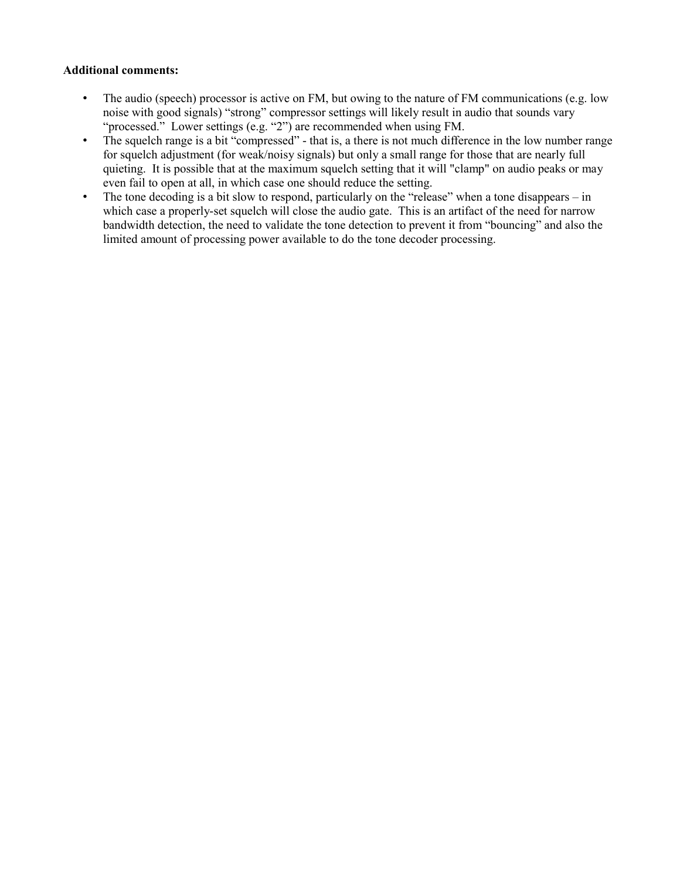### **Additional comments:**

- The audio (speech) processor is active on FM, but owing to the nature of FM communications (e.g. low noise with good signals) "strong" compressor settings will likely result in audio that sounds vary "processed." Lower settings (e.g. "2") are recommended when using FM.
- The squelch range is a bit "compressed" that is, a there is not much difference in the low number range for squelch adjustment (for weak/noisy signals) but only a small range for those that are nearly full quieting. It is possible that at the maximum squelch setting that it will "clamp" on audio peaks or may even fail to open at all, in which case one should reduce the setting.
- The tone decoding is a bit slow to respond, particularly on the "release" when a tone disappears in which case a properly-set squelch will close the audio gate. This is an artifact of the need for narrow bandwidth detection, the need to validate the tone detection to prevent it from "bouncing" and also the limited amount of processing power available to do the tone decoder processing.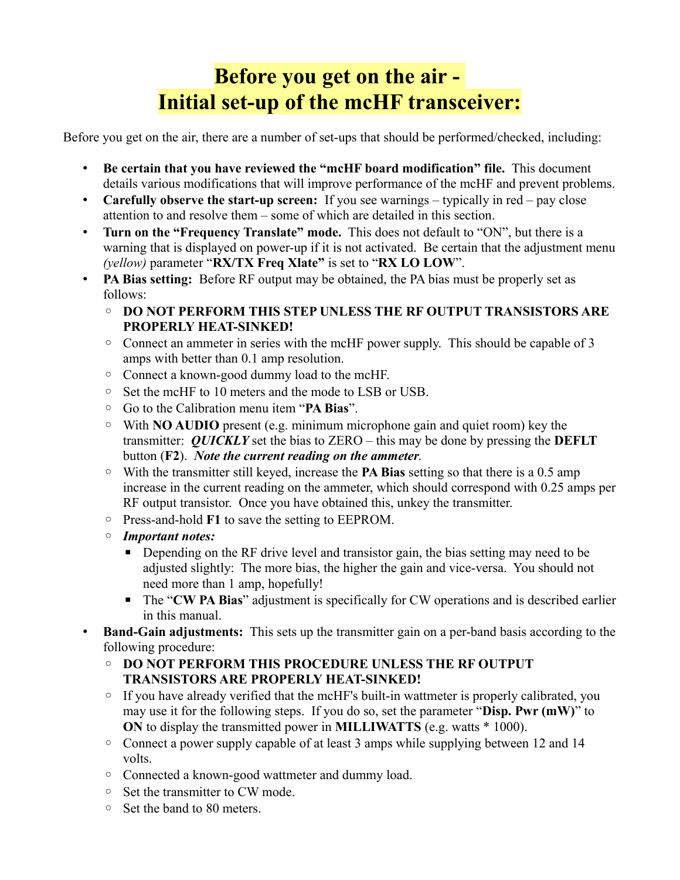# **Before you get on the air - Initial set-up of the mcHF transceiver:**

Before you get on the air, there are a number of set-ups that should be performed/checked, including:

- **Be certain that you have reviewed the "mcHF board modification" file.** This document details various modifications that will improve performance of the mcHF and prevent problems.
- **Carefully observe the start-up screen:** If you see warnings typically in red pay close attention to and resolve them – some of which are detailed in this section.
- **Turn on the "Frequency Translate" mode.** This does not default to "ON", but there is a warning that is displayed on power-up if it is not activated. Be certain that the adjustment menu *(yellow)* parameter "**RX/TX Freq Xlate"** is set to "**RX LO LOW**".
- **PA Bias setting:** Before RF output may be obtained, the PA bias must be properly set as follows:
	- **DO NOT PERFORM THIS STEP UNLESS THE RF OUTPUT TRANSISTORS ARE PROPERLY HEAT-SINKED!**
	- Connect an ammeter in series with the mcHF power supply. This should be capable of 3 amps with better than 0.1 amp resolution.
	- Connect a known-good dummy load to the mcHF.
	- Set the mcHF to 10 meters and the mode to LSB or USB.
	- Go to the Calibration menu item "**PA Bias**".
	- With **NO AUDIO** present (e.g. minimum microphone gain and quiet room) key the transmitter: *QUICKLY* set the bias to ZERO – this may be done by pressing the **DEFLT** button (**F2**). *Note the current reading on the ammeter*.
	- With the transmitter still keyed, increase the **PA Bias** setting so that there is a 0.5 amp increase in the current reading on the ammeter, which should correspond with 0.25 amps per RF output transistor. Once you have obtained this, unkey the transmitter.
	- Press-and-hold **F1** to save the setting to EEPROM.
	- *Important notes:*
		- **•** Depending on the RF drive level and transistor gain, the bias setting may need to be adjusted slightly: The more bias, the higher the gain and vice-versa. You should not need more than 1 amp, hopefully!
		- The "**CW PA Bias**" adjustment is specifically for CW operations and is described earlier in this manual.
- **Band-Gain adjustments:** This sets up the transmitter gain on a per-band basis according to the following procedure:
	- **DO NOT PERFORM THIS PROCEDURE UNLESS THE RF OUTPUT TRANSISTORS ARE PROPERLY HEAT-SINKED!**
	- $\circ$  If you have already verified that the mcHF's built-in wattmeter is properly calibrated, you may use it for the following steps. If you do so, set the parameter "**Disp. Pwr (mW)**" to **ON** to display the transmitted power in **MILLIWATTS** (e.g. watts \* 1000).
	- Connect a power supply capable of at least 3 amps while supplying between 12 and 14 volts.
	- Connected a known-good wattmeter and dummy load.
	- Set the transmitter to CW mode.
	- Set the band to 80 meters.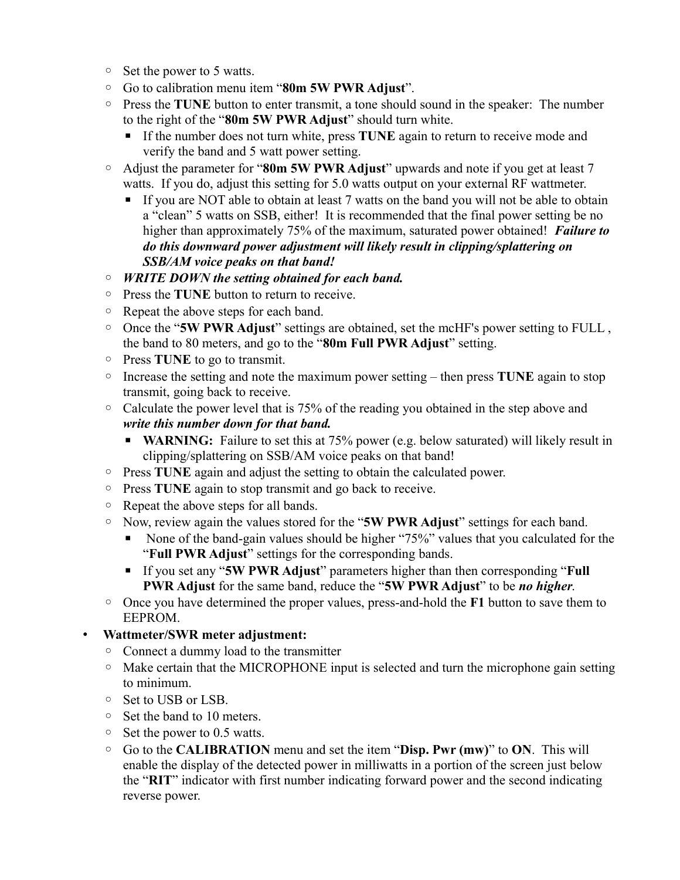- Set the power to 5 watts.
- Go to calibration menu item "**80m 5W PWR Adjust**".
- Press the **TUNE** button to enter transmit, a tone should sound in the speaker: The number to the right of the "**80m 5W PWR Adjust**" should turn white.
	- If the number does not turn white, press **TUNE** again to return to receive mode and verify the band and 5 watt power setting.
- Adjust the parameter for "**80m 5W PWR Adjust**" upwards and note if you get at least 7 watts. If you do, adjust this setting for 5.0 watts output on your external RF wattmeter.
	- **If you are NOT able to obtain at least 7 watts on the band you will not be able to obtain** a "clean" 5 watts on SSB, either! It is recommended that the final power setting be no higher than approximately 75% of the maximum, saturated power obtained! *Failure to do this downward power adjustment will likely result in clipping/splattering on SSB/AM voice peaks on that band!*
- *WRITE DOWN the setting obtained for each band.*
- Press the **TUNE** button to return to receive.
- Repeat the above steps for each band.
- Once the "**5W PWR Adjust**" settings are obtained, set the mcHF's power setting to FULL , the band to 80 meters, and go to the "**80m Full PWR Adjust**" setting.
- Press **TUNE** to go to transmit.
- Increase the setting and note the maximum power setting then press **TUNE** again to stop transmit, going back to receive.
- Calculate the power level that is 75% of the reading you obtained in the step above and *write this number down for that band.*
	- **WARNING:** Failure to set this at 75% power (e.g. below saturated) will likely result in clipping/splattering on SSB/AM voice peaks on that band!
- Press **TUNE** again and adjust the setting to obtain the calculated power.
- Press **TUNE** again to stop transmit and go back to receive.
- Repeat the above steps for all bands.
- Now, review again the values stored for the "**5W PWR Adjust**" settings for each band.
	- None of the band-gain values should be higher "75%" values that you calculated for the "**Full PWR Adjust**" settings for the corresponding bands.
	- If you set any "**5W PWR Adjust**" parameters higher than then corresponding "**Full PWR Adjust** for the same band, reduce the "**5W PWR Adjust**" to be *no higher*.
- Once you have determined the proper values, press-and-hold the **F1** button to save them to EEPROM.

## • **Wattmeter/SWR meter adjustment:**

- Connect a dummy load to the transmitter
- Make certain that the MICROPHONE input is selected and turn the microphone gain setting to minimum.
- Set to USB or LSB.
- Set the band to 10 meters.
- Set the power to 0.5 watts.
- Go to the **CALIBRATION** menu and set the item "**Disp. Pwr (mw)**" to **ON**. This will enable the display of the detected power in milliwatts in a portion of the screen just below the "**RIT**" indicator with first number indicating forward power and the second indicating reverse power.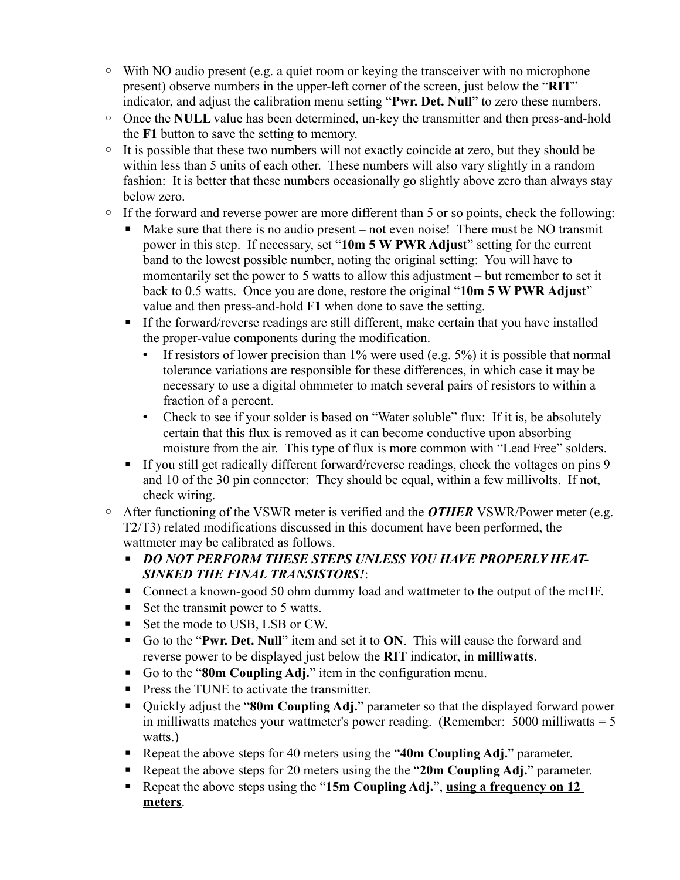- With NO audio present (e.g. a quiet room or keying the transceiver with no microphone present) observe numbers in the upper-left corner of the screen, just below the "**RIT**" indicator, and adjust the calibration menu setting "**Pwr. Det. Null**" to zero these numbers.
- Once the **NULL** value has been determined, un-key the transmitter and then press-and-hold the **F1** button to save the setting to memory.
- It is possible that these two numbers will not exactly coincide at zero, but they should be within less than 5 units of each other. These numbers will also vary slightly in a random fashion: It is better that these numbers occasionally go slightly above zero than always stay below zero.
- If the forward and reverse power are more different than 5 or so points, check the following:
	- Make sure that there is no audio present not even noise! There must be NO transmit power in this step. If necessary, set "**10m 5 W PWR Adjust**" setting for the current band to the lowest possible number, noting the original setting: You will have to momentarily set the power to 5 watts to allow this adjustment – but remember to set it back to 0.5 watts. Once you are done, restore the original "**10m 5 W PWR Adjust**" value and then press-and-hold **F1** when done to save the setting.
	- **If the forward/reverse readings are still different, make certain that you have installed** the proper-value components during the modification.
		- If resistors of lower precision than  $1\%$  were used (e.g.  $5\%$ ) it is possible that normal tolerance variations are responsible for these differences, in which case it may be necessary to use a digital ohmmeter to match several pairs of resistors to within a fraction of a percent.
		- Check to see if your solder is based on "Water soluble" flux: If it is, be absolutely certain that this flux is removed as it can become conductive upon absorbing moisture from the air. This type of flux is more common with "Lead Free" solders.
	- **If you still get radically different forward/reverse readings, check the voltages on pins 9** and 10 of the 30 pin connector: They should be equal, within a few millivolts. If not, check wiring.
- After functioning of the VSWR meter is verified and the *OTHER* VSWR/Power meter (e.g. T2/T3) related modifications discussed in this document have been performed, the wattmeter may be calibrated as follows.
	- *DO NOT PERFORM THESE STEPS UNLESS YOU HAVE PROPERLY HEAT-SINKED THE FINAL TRANSISTORS!*:
	- Connect a known-good 50 ohm dummy load and wattmeter to the output of the mcHF.
	- $\blacksquare$  Set the transmit power to 5 watts.
	- Set the mode to USB, LSB or CW.
	- Go to the "Pwr. Det. Null" item and set it to ON. This will cause the forward and reverse power to be displayed just below the **RIT** indicator, in **milliwatts**.
	- Go to the "80m Coupling Adj." item in the configuration menu.
	- Press the TUNE to activate the transmitter.
	- Quickly adjust the "80m Coupling Adj." parameter so that the displayed forward power in milliwatts matches your wattmeter's power reading. (Remember:  $5000$  milliwatts =  $5$ ) watts.)
	- Repeat the above steps for 40 meters using the "40m Coupling Adj." parameter.
	- Repeat the above steps for 20 meters using the the "20m Coupling Adj." parameter.
	- Repeat the above steps using the "15m Coupling Adj.", using a frequency on 12 **meters**.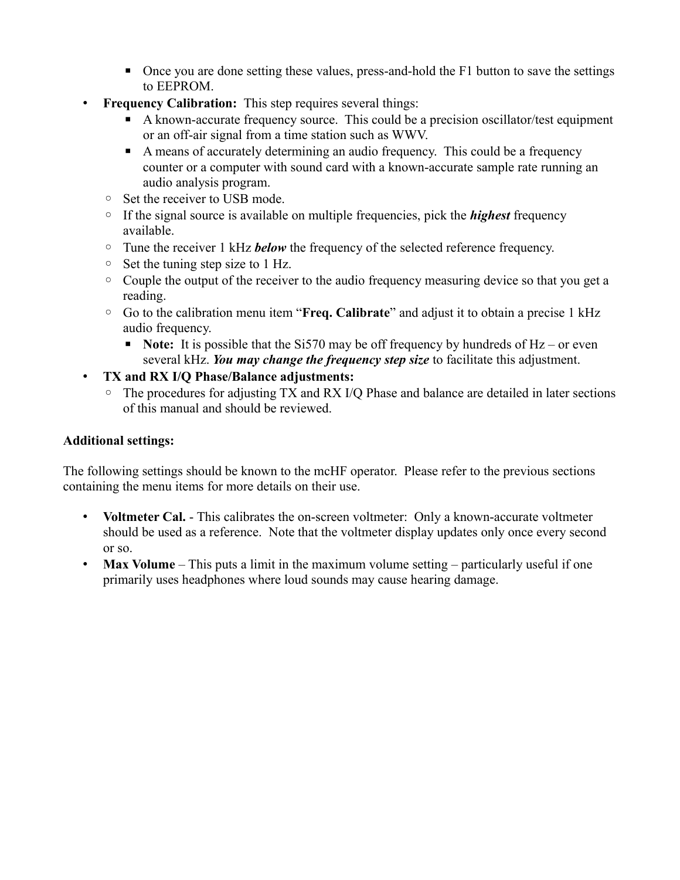- Once you are done setting these values, press-and-hold the F1 button to save the settings to EEPROM.
- **Frequency Calibration:** This step requires several things:
	- A known-accurate frequency source. This could be a precision oscillator/test equipment or an off-air signal from a time station such as WWV.
	- A means of accurately determining an audio frequency. This could be a frequency counter or a computer with sound card with a known-accurate sample rate running an audio analysis program.
	- Set the receiver to USB mode.
	- If the signal source is available on multiple frequencies, pick the *highest* frequency available.
	- Tune the receiver 1 kHz *below* the frequency of the selected reference frequency.
	- Set the tuning step size to 1 Hz.
	- Couple the output of the receiver to the audio frequency measuring device so that you get a reading.
	- Go to the calibration menu item "**Freq. Calibrate**" and adjust it to obtain a precise 1 kHz audio frequency.
		- **Note:** It is possible that the Si570 may be off frequency by hundreds of Hz or even several kHz. *You may change the frequency step size* to facilitate this adjustment.
- **TX and RX I/Q Phase/Balance adjustments:**
	- The procedures for adjusting TX and RX I/Q Phase and balance are detailed in later sections of this manual and should be reviewed.

## **Additional settings:**

The following settings should be known to the mcHF operator. Please refer to the previous sections containing the menu items for more details on their use.

- **Voltmeter Cal.** This calibrates the on-screen voltmeter: Only a known-accurate voltmeter should be used as a reference. Note that the voltmeter display updates only once every second or so.
- **Max Volume** This puts a limit in the maximum volume setting particularly useful if one primarily uses headphones where loud sounds may cause hearing damage.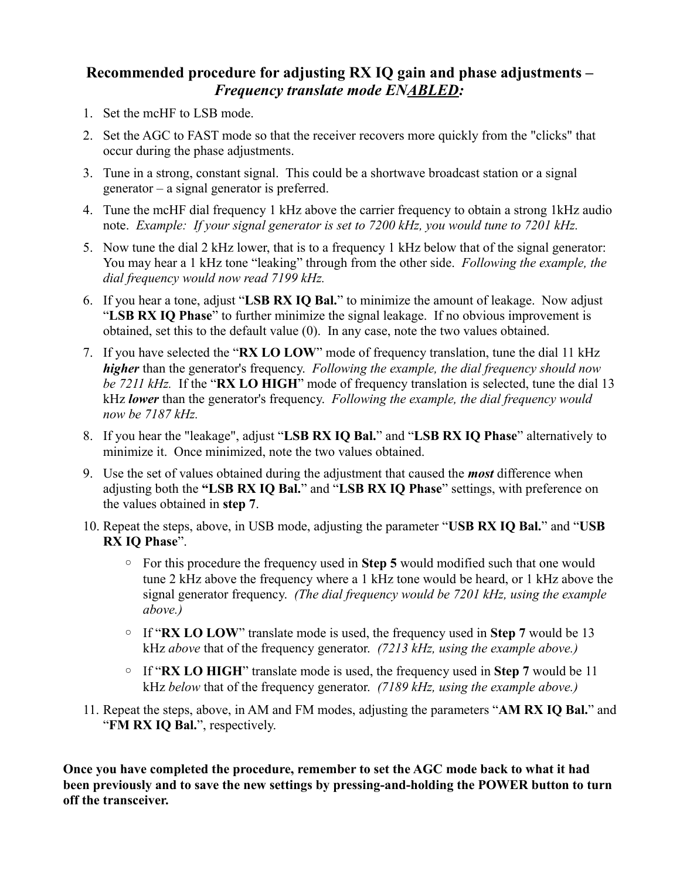## **Recommended procedure for adjusting RX IQ gain and phase adjustments –** *Frequency translate mode ENABLED:*

- 1. Set the mcHF to LSB mode.
- 2. Set the AGC to FAST mode so that the receiver recovers more quickly from the "clicks" that occur during the phase adjustments.
- 3. Tune in a strong, constant signal. This could be a shortwave broadcast station or a signal generator – a signal generator is preferred.
- 4. Tune the mcHF dial frequency 1 kHz above the carrier frequency to obtain a strong 1kHz audio note. *Example: If your signal generator is set to 7200 kHz, you would tune to 7201 kHz.*
- 5. Now tune the dial 2 kHz lower, that is to a frequency 1 kHz below that of the signal generator: You may hear a 1 kHz tone "leaking" through from the other side. *Following the example, the dial frequency would now read 7199 kHz.*
- 6. If you hear a tone, adjust "**LSB RX IQ Bal.**" to minimize the amount of leakage. Now adjust "**LSB RX IQ Phase**" to further minimize the signal leakage. If no obvious improvement is obtained, set this to the default value (0). In any case, note the two values obtained.
- 7. If you have selected the "**RX LO LOW**" mode of frequency translation, tune the dial 11 kHz *higher* than the generator's frequency. *Following the example, the dial frequency should now be 7211 kHz.* If the "**RX LO HIGH**" mode of frequency translation is selected, tune the dial 13 kHz *lower* than the generator's frequency. *Following the example, the dial frequency would now be 7187 kHz.*
- 8. If you hear the "leakage", adjust "**LSB RX IQ Bal.**" and "**LSB RX IQ Phase**" alternatively to minimize it. Once minimized, note the two values obtained.
- 9. Use the set of values obtained during the adjustment that caused the *most* difference when adjusting both the **"LSB RX IQ Bal.**" and "**LSB RX IQ Phase**" settings, with preference on the values obtained in **step 7**.
- 10. Repeat the steps, above, in USB mode, adjusting the parameter "**USB RX IQ Bal.**" and "**USB RX IQ Phase**".
	- For this procedure the frequency used in **Step 5** would modified such that one would tune 2 kHz above the frequency where a 1 kHz tone would be heard, or 1 kHz above the signal generator frequency. *(The dial frequency would be 7201 kHz, using the example above.)*
	- If "**RX LO LOW**" translate mode is used, the frequency used in **Step 7** would be 13 kHz *above* that of the frequency generator. *(7213 kHz, using the example above.)*
	- If "**RX LO HIGH**" translate mode is used, the frequency used in **Step 7** would be 11 kHz *below* that of the frequency generator. *(7189 kHz, using the example above.)*
- 11. Repeat the steps, above, in AM and FM modes, adjusting the parameters "**AM RX IQ Bal.**" and "**FM RX IQ Bal.**", respectively.

**Once you have completed the procedure, remember to set the AGC mode back to what it had been previously and to save the new settings by pressing-and-holding the POWER button to turn off the transceiver.**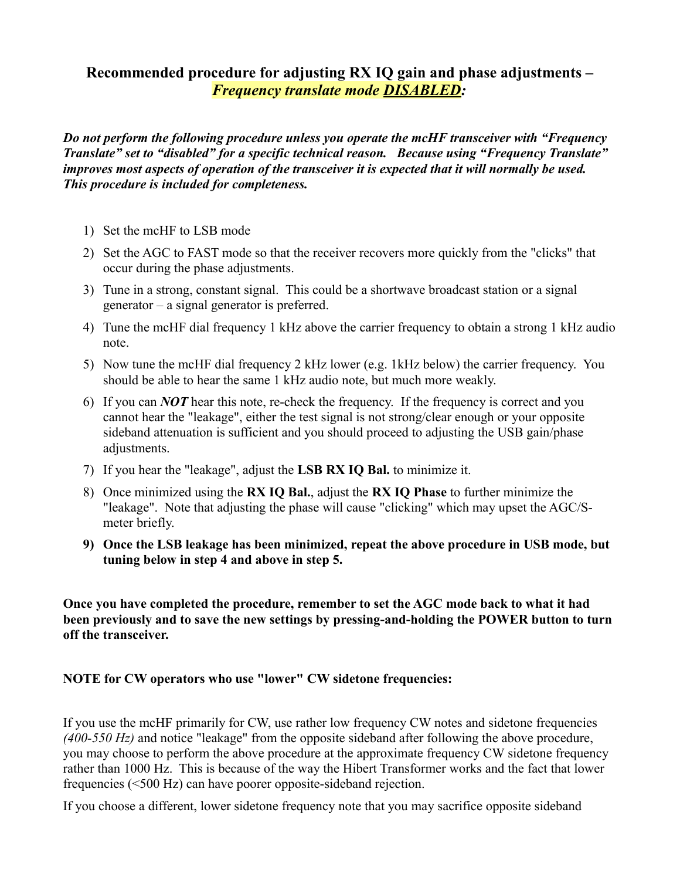## **Recommended procedure for adjusting RX IQ gain and phase adjustments –** *Frequency translate mode DISABLED:*

*Do not perform the following procedure unless you operate the mcHF transceiver with "Frequency Translate" set to "disabled" for a specific technical reason. Because using "Frequency Translate" improves most aspects of operation of the transceiver it is expected that it will normally be used. This procedure is included for completeness.*

- 1) Set the mcHF to LSB mode
- 2) Set the AGC to FAST mode so that the receiver recovers more quickly from the "clicks" that occur during the phase adjustments.
- 3) Tune in a strong, constant signal. This could be a shortwave broadcast station or a signal generator – a signal generator is preferred.
- 4) Tune the mcHF dial frequency 1 kHz above the carrier frequency to obtain a strong 1 kHz audio note.
- 5) Now tune the mcHF dial frequency 2 kHz lower (e.g. 1kHz below) the carrier frequency. You should be able to hear the same 1 kHz audio note, but much more weakly.
- 6) If you can *NOT* hear this note, re-check the frequency. If the frequency is correct and you cannot hear the "leakage", either the test signal is not strong/clear enough or your opposite sideband attenuation is sufficient and you should proceed to adjusting the USB gain/phase adjustments.
- 7) If you hear the "leakage", adjust the **LSB RX IQ Bal.** to minimize it.
- 8) Once minimized using the **RX IQ Bal.**, adjust the **RX IQ Phase** to further minimize the "leakage". Note that adjusting the phase will cause "clicking" which may upset the AGC/Smeter briefly.
- **9) Once the LSB leakage has been minimized, repeat the above procedure in USB mode, but tuning below in step 4 and above in step 5.**

**Once you have completed the procedure, remember to set the AGC mode back to what it had been previously and to save the new settings by pressing-and-holding the POWER button to turn off the transceiver.**

### **NOTE for CW operators who use "lower" CW sidetone frequencies:**

If you use the mcHF primarily for CW, use rather low frequency CW notes and sidetone frequencies *(400-550 Hz)* and notice "leakage" from the opposite sideband after following the above procedure, you may choose to perform the above procedure at the approximate frequency CW sidetone frequency rather than 1000 Hz. This is because of the way the Hibert Transformer works and the fact that lower frequencies (<500 Hz) can have poorer opposite-sideband rejection.

If you choose a different, lower sidetone frequency note that you may sacrifice opposite sideband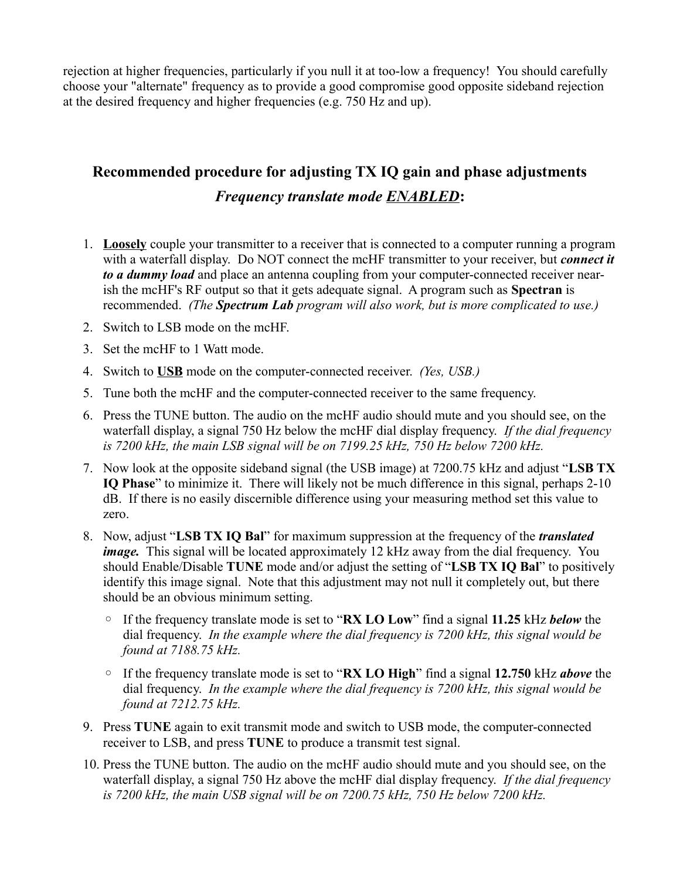rejection at higher frequencies, particularly if you null it at too-low a frequency! You should carefully choose your "alternate" frequency as to provide a good compromise good opposite sideband rejection at the desired frequency and higher frequencies (e.g. 750 Hz and up).

## **Recommended procedure for adjusting TX IQ gain and phase adjustments** *Frequency translate mode ENABLED***:**

- 1. **Loosely** couple your transmitter to a receiver that is connected to a computer running a program with a waterfall display. Do NOT connect the mcHF transmitter to your receiver, but *connect it to a dummy load* and place an antenna coupling from your computer-connected receiver nearish the mcHF's RF output so that it gets adequate signal. A program such as **Spectran** is recommended. *(The Spectrum Lab program will also work, but is more complicated to use.)*
- 2. Switch to LSB mode on the mcHF.
- 3. Set the mcHF to 1 Watt mode.
- 4. Switch to **USB** mode on the computer-connected receiver. *(Yes, USB.)*
- 5. Tune both the mcHF and the computer-connected receiver to the same frequency.
- 6. Press the TUNE button. The audio on the mcHF audio should mute and you should see, on the waterfall display, a signal 750 Hz below the mcHF dial display frequency. *If the dial frequency is 7200 kHz, the main LSB signal will be on 7199.25 kHz, 750 Hz below 7200 kHz.*
- 7. Now look at the opposite sideband signal (the USB image) at 7200.75 kHz and adjust "**LSB TX IQ Phase**" to minimize it. There will likely not be much difference in this signal, perhaps 2-10 dB. If there is no easily discernible difference using your measuring method set this value to zero.
- 8. Now, adjust "**LSB TX IQ Bal**" for maximum suppression at the frequency of the *translated image.* This signal will be located approximately 12 kHz away from the dial frequency. You should Enable/Disable **TUNE** mode and/or adjust the setting of "**LSB TX IQ Bal**" to positively identify this image signal. Note that this adjustment may not null it completely out, but there should be an obvious minimum setting.
	- If the frequency translate mode is set to "**RX LO Low**" find a signal **11.25** kHz *below* the dial frequency. *In the example where the dial frequency is 7200 kHz, this signal would be found at 7188.75 kHz.*
	- If the frequency translate mode is set to "**RX LO High**" find a signal **12.750** kHz *above* the dial frequency. *In the example where the dial frequency is 7200 kHz, this signal would be found at 7212.75 kHz.*
- 9. Press **TUNE** again to exit transmit mode and switch to USB mode, the computer-connected receiver to LSB, and press **TUNE** to produce a transmit test signal.
- 10. Press the TUNE button. The audio on the mcHF audio should mute and you should see, on the waterfall display, a signal 750 Hz above the mcHF dial display frequency. *If the dial frequency is 7200 kHz, the main USB signal will be on 7200.75 kHz, 750 Hz below 7200 kHz.*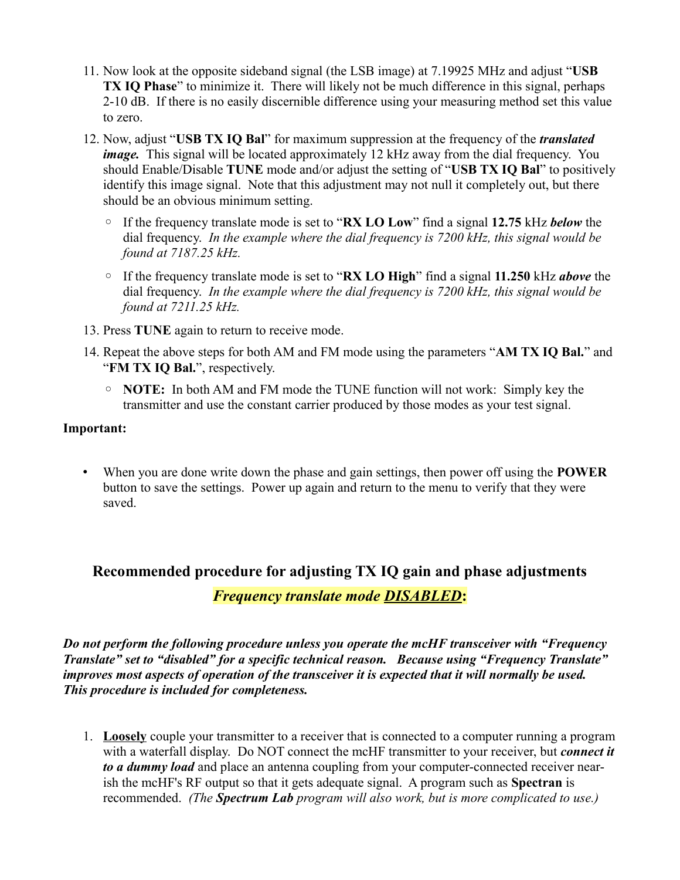- 11. Now look at the opposite sideband signal (the LSB image) at 7.19925 MHz and adjust "**USB TX IQ Phase**" to minimize it. There will likely not be much difference in this signal, perhaps 2-10 dB. If there is no easily discernible difference using your measuring method set this value to zero.
- 12. Now, adjust "**USB TX IQ Bal**" for maximum suppression at the frequency of the *translated image.* This signal will be located approximately 12 kHz away from the dial frequency. You should Enable/Disable **TUNE** mode and/or adjust the setting of "**USB TX IQ Bal**" to positively identify this image signal. Note that this adjustment may not null it completely out, but there should be an obvious minimum setting.
	- If the frequency translate mode is set to "**RX LO Low**" find a signal **12.75** kHz *below* the dial frequency. *In the example where the dial frequency is 7200 kHz, this signal would be found at 7187.25 kHz.*
	- If the frequency translate mode is set to "**RX LO High**" find a signal **11.250** kHz *above* the dial frequency. *In the example where the dial frequency is 7200 kHz, this signal would be found at 7211.25 kHz.*
- 13. Press **TUNE** again to return to receive mode.
- 14. Repeat the above steps for both AM and FM mode using the parameters "**AM TX IQ Bal.**" and "**FM TX IQ Bal.**", respectively.
	- **NOTE:** In both AM and FM mode the TUNE function will not work: Simply key the transmitter and use the constant carrier produced by those modes as your test signal.

### **Important:**

• When you are done write down the phase and gain settings, then power off using the **POWER** button to save the settings. Power up again and return to the menu to verify that they were saved.

# **Recommended procedure for adjusting TX IQ gain and phase adjustments** *Frequency translate mode DISABLED***:**

*Do not perform the following procedure unless you operate the mcHF transceiver with "Frequency Translate" set to "disabled" for a specific technical reason. Because using "Frequency Translate" improves most aspects of operation of the transceiver it is expected that it will normally be used. This procedure is included for completeness.*

1. **Loosely** couple your transmitter to a receiver that is connected to a computer running a program with a waterfall display. Do NOT connect the mcHF transmitter to your receiver, but *connect it to a dummy load* and place an antenna coupling from your computer-connected receiver nearish the mcHF's RF output so that it gets adequate signal. A program such as **Spectran** is recommended. *(The Spectrum Lab program will also work, but is more complicated to use.)*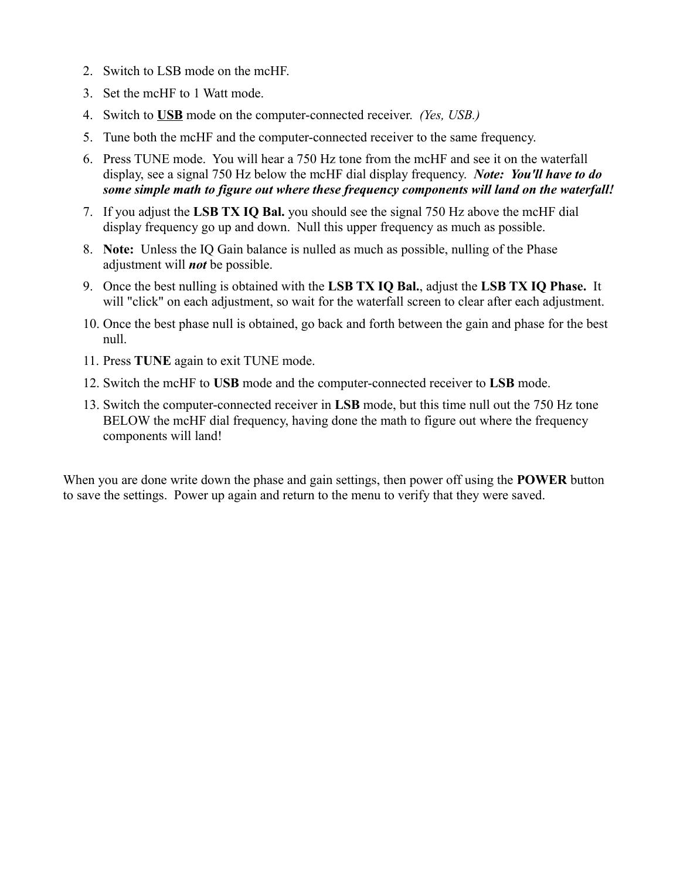- 2. Switch to LSB mode on the mcHF.
- 3. Set the mcHF to 1 Watt mode.
- 4. Switch to **USB** mode on the computer-connected receiver. *(Yes, USB.)*
- 5. Tune both the mcHF and the computer-connected receiver to the same frequency.
- 6. Press TUNE mode. You will hear a 750 Hz tone from the mcHF and see it on the waterfall display, see a signal 750 Hz below the mcHF dial display frequency. *Note: You'll have to do some simple math to figure out where these frequency components will land on the waterfall!*
- 7. If you adjust the **LSB TX IQ Bal.** you should see the signal 750 Hz above the mcHF dial display frequency go up and down. Null this upper frequency as much as possible.
- 8. **Note:** Unless the IQ Gain balance is nulled as much as possible, nulling of the Phase adjustment will *not* be possible.
- 9. Once the best nulling is obtained with the **LSB TX IQ Bal.**, adjust the **LSB TX IQ Phase.** It will "click" on each adjustment, so wait for the waterfall screen to clear after each adjustment.
- 10. Once the best phase null is obtained, go back and forth between the gain and phase for the best null.
- 11. Press **TUNE** again to exit TUNE mode.
- 12. Switch the mcHF to **USB** mode and the computer-connected receiver to **LSB** mode.
- 13. Switch the computer-connected receiver in **LSB** mode, but this time null out the 750 Hz tone BELOW the mcHF dial frequency, having done the math to figure out where the frequency components will land!

When you are done write down the phase and gain settings, then power off using the **POWER** button to save the settings. Power up again and return to the menu to verify that they were saved.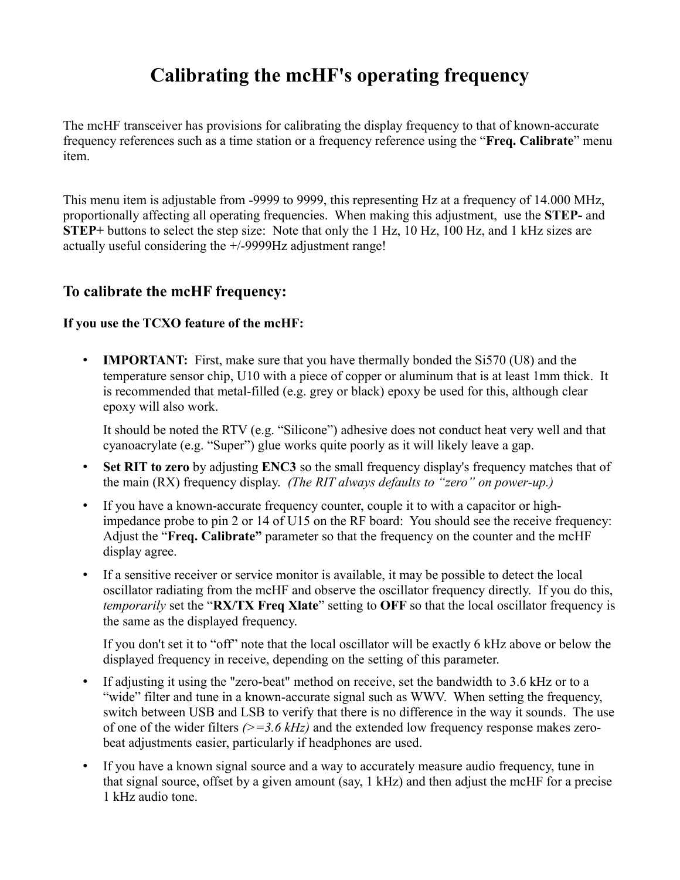# **Calibrating the mcHF's operating frequency**

The mcHF transceiver has provisions for calibrating the display frequency to that of known-accurate frequency references such as a time station or a frequency reference using the "**Freq. Calibrate**" menu item.

This menu item is adjustable from -9999 to 9999, this representing Hz at a frequency of 14.000 MHz, proportionally affecting all operating frequencies. When making this adjustment, use the **STEP-** and **STEP+** buttons to select the step size: Note that only the 1 Hz, 10 Hz, 100 Hz, and 1 kHz sizes are actually useful considering the +/-9999Hz adjustment range!

## **To calibrate the mcHF frequency:**

### **If you use the TCXO feature of the mcHF:**

• **IMPORTANT:** First, make sure that you have thermally bonded the Si570 (U8) and the temperature sensor chip, U10 with a piece of copper or aluminum that is at least 1mm thick. It is recommended that metal-filled (e.g. grey or black) epoxy be used for this, although clear epoxy will also work.

It should be noted the RTV (e.g. "Silicone") adhesive does not conduct heat very well and that cyanoacrylate (e.g. "Super") glue works quite poorly as it will likely leave a gap.

- **Set RIT to zero** by adjusting **ENC3** so the small frequency display's frequency matches that of the main (RX) frequency display. *(The RIT always defaults to "zero" on power-up.)*
- If you have a known-accurate frequency counter, couple it to with a capacitor or highimpedance probe to pin 2 or 14 of U15 on the RF board: You should see the receive frequency: Adjust the "**Freq. Calibrate"** parameter so that the frequency on the counter and the mcHF display agree.
- If a sensitive receiver or service monitor is available, it may be possible to detect the local oscillator radiating from the mcHF and observe the oscillator frequency directly. If you do this, *temporarily* set the "**RX/TX Freq Xlate**" setting to **OFF** so that the local oscillator frequency is the same as the displayed frequency.

If you don't set it to "off" note that the local oscillator will be exactly 6 kHz above or below the displayed frequency in receive, depending on the setting of this parameter.

- If adjusting it using the "zero-beat" method on receive, set the bandwidth to 3.6 kHz or to a "wide" filter and tune in a known-accurate signal such as WWV. When setting the frequency, switch between USB and LSB to verify that there is no difference in the way it sounds. The use of one of the wider filters *(>=3.6 kHz)* and the extended low frequency response makes zerobeat adjustments easier, particularly if headphones are used.
- If you have a known signal source and a way to accurately measure audio frequency, tune in that signal source, offset by a given amount (say, 1 kHz) and then adjust the mcHF for a precise 1 kHz audio tone.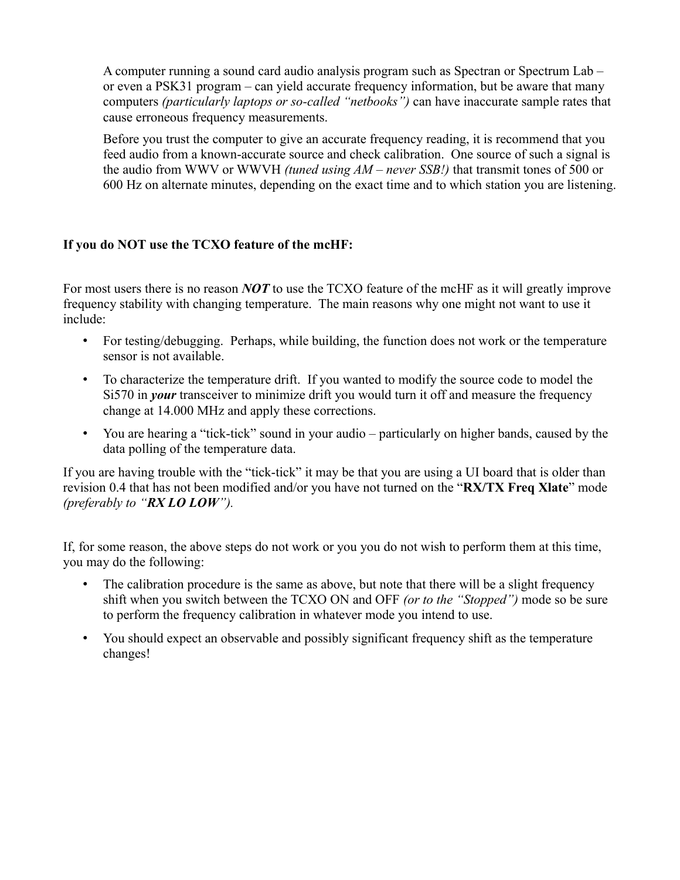A computer running a sound card audio analysis program such as Spectran or Spectrum Lab – or even a PSK31 program – can yield accurate frequency information, but be aware that many computers *(particularly laptops or so-called "netbooks")* can have inaccurate sample rates that cause erroneous frequency measurements.

Before you trust the computer to give an accurate frequency reading, it is recommend that you feed audio from a known-accurate source and check calibration. One source of such a signal is the audio from WWV or WWVH *(tuned using AM – never SSB!)* that transmit tones of 500 or 600 Hz on alternate minutes, depending on the exact time and to which station you are listening.

### **If you do NOT use the TCXO feature of the mcHF:**

For most users there is no reason *NOT* to use the TCXO feature of the mcHF as it will greatly improve frequency stability with changing temperature. The main reasons why one might not want to use it include:

- For testing/debugging. Perhaps, while building, the function does not work or the temperature sensor is not available.
- To characterize the temperature drift. If you wanted to modify the source code to model the Si570 in *your* transceiver to minimize drift you would turn it off and measure the frequency change at 14.000 MHz and apply these corrections.
- You are hearing a "tick-tick" sound in your audio particularly on higher bands, caused by the data polling of the temperature data.

If you are having trouble with the "tick-tick" it may be that you are using a UI board that is older than revision 0.4 that has not been modified and/or you have not turned on the "**RX/TX Freq Xlate**" mode *(preferably to "RX LO LOW").*

If, for some reason, the above steps do not work or you you do not wish to perform them at this time, you may do the following:

- The calibration procedure is the same as above, but note that there will be a slight frequency shift when you switch between the TCXO ON and OFF *(or to the "Stopped")* mode so be sure to perform the frequency calibration in whatever mode you intend to use.
- You should expect an observable and possibly significant frequency shift as the temperature changes!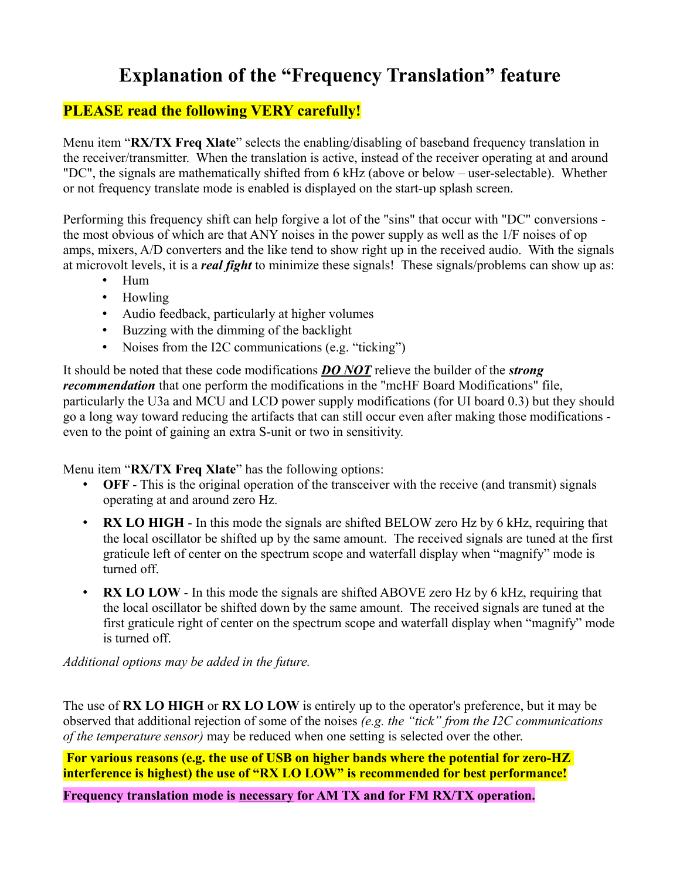# **Explanation of the "Frequency Translation" feature**

## **PLEASE read the following VERY carefully!**

Menu item "**RX/TX Freq Xlate**" selects the enabling/disabling of baseband frequency translation in the receiver/transmitter. When the translation is active, instead of the receiver operating at and around "DC", the signals are mathematically shifted from 6 kHz (above or below – user-selectable). Whether or not frequency translate mode is enabled is displayed on the start-up splash screen.

Performing this frequency shift can help forgive a lot of the "sins" that occur with "DC" conversions the most obvious of which are that ANY noises in the power supply as well as the 1/F noises of op amps, mixers, A/D converters and the like tend to show right up in the received audio. With the signals at microvolt levels, it is a *real fight* to minimize these signals! These signals/problems can show up as:

- Hum
- Howling
- Audio feedback, particularly at higher volumes
- Buzzing with the dimming of the backlight
- Noises from the I2C communications (e.g. "ticking")

It should be noted that these code modifications *DO NOT* relieve the builder of the *strong recommendation* that one perform the modifications in the "mcHF Board Modifications" file, particularly the U3a and MCU and LCD power supply modifications (for UI board 0.3) but they should go a long way toward reducing the artifacts that can still occur even after making those modifications even to the point of gaining an extra S-unit or two in sensitivity.

Menu item "**RX/TX Freq Xlate**" has the following options:

- **OFF** This is the original operation of the transceiver with the receive (and transmit) signals operating at and around zero Hz.
- **RX LO HIGH** In this mode the signals are shifted BELOW zero Hz by 6 kHz, requiring that the local oscillator be shifted up by the same amount. The received signals are tuned at the first graticule left of center on the spectrum scope and waterfall display when "magnify" mode is turned off.
- **RX LO LOW** In this mode the signals are shifted ABOVE zero Hz by 6 kHz, requiring that the local oscillator be shifted down by the same amount. The received signals are tuned at the first graticule right of center on the spectrum scope and waterfall display when "magnify" mode is turned off.

*Additional options may be added in the future.*

The use of **RX LO HIGH** or **RX LO LOW** is entirely up to the operator's preference, but it may be observed that additional rejection of some of the noises *(e.g. the "tick" from the I2C communications of the temperature sensor)* may be reduced when one setting is selected over the other.

 **For various reasons (e.g. the use of USB on higher bands where the potential for zero-HZ interference is highest) the use of "RX LO LOW" is recommended for best performance!**

**Frequency translation mode is necessary for AM TX and for FM RX/TX operation.**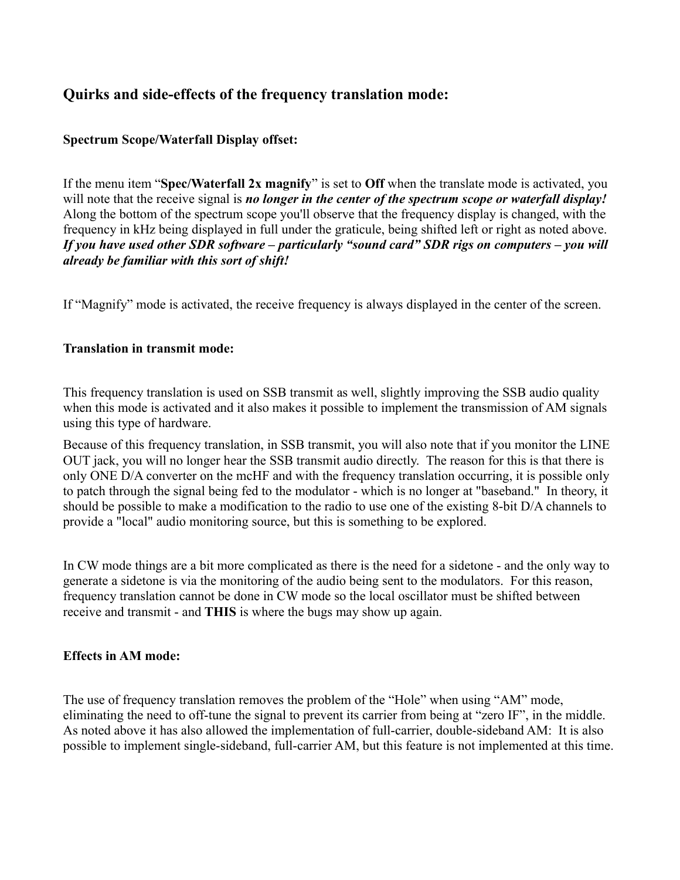#### **Quirks and side-effects of the frequency translation mode:**

#### **Spectrum Scope/Waterfall Display offset:**

If the menu item "**Spec/Waterfall 2x magnify**" is set to **Off** when the translate mode is activated, you will note that the receive signal is *no longer in the center of the spectrum scope or waterfall display!* Along the bottom of the spectrum scope you'll observe that the frequency display is changed, with the frequency in kHz being displayed in full under the graticule, being shifted left or right as noted above. *If you have used other SDR software – particularly "sound card" SDR rigs on computers – you will already be familiar with this sort of shift!*

If "Magnify" mode is activated, the receive frequency is always displayed in the center of the screen.

#### **Translation in transmit mode:**

This frequency translation is used on SSB transmit as well, slightly improving the SSB audio quality when this mode is activated and it also makes it possible to implement the transmission of AM signals using this type of hardware.

Because of this frequency translation, in SSB transmit, you will also note that if you monitor the LINE OUT jack, you will no longer hear the SSB transmit audio directly. The reason for this is that there is only ONE D/A converter on the mcHF and with the frequency translation occurring, it is possible only to patch through the signal being fed to the modulator - which is no longer at "baseband." In theory, it should be possible to make a modification to the radio to use one of the existing 8-bit D/A channels to provide a "local" audio monitoring source, but this is something to be explored.

In CW mode things are a bit more complicated as there is the need for a sidetone - and the only way to generate a sidetone is via the monitoring of the audio being sent to the modulators. For this reason, frequency translation cannot be done in CW mode so the local oscillator must be shifted between receive and transmit - and **THIS** is where the bugs may show up again.

#### **Effects in AM mode:**

The use of frequency translation removes the problem of the "Hole" when using "AM" mode, eliminating the need to off-tune the signal to prevent its carrier from being at "zero IF", in the middle. As noted above it has also allowed the implementation of full-carrier, double-sideband AM: It is also possible to implement single-sideband, full-carrier AM, but this feature is not implemented at this time.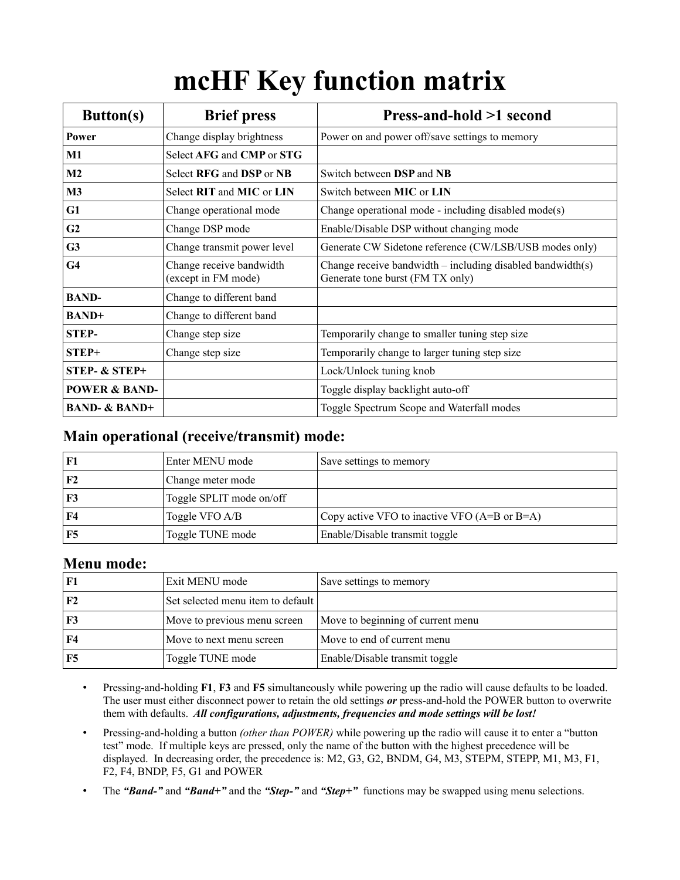# **mcHF Key function matrix**

| <b>Button(s)</b>         | <b>Brief press</b>                              | Press-and-hold >1 second                                                                         |
|--------------------------|-------------------------------------------------|--------------------------------------------------------------------------------------------------|
| Power                    | Change display brightness                       | Power on and power off/save settings to memory                                                   |
| $\bf M1$                 | Select AFG and CMP or STG                       |                                                                                                  |
| M <sub>2</sub>           | Select RFG and DSP or NB                        | Switch between DSP and NB                                                                        |
| $\mathbf{M}3$            | Select RIT and MIC or LIN                       | Switch between <b>MIC</b> or <b>LIN</b>                                                          |
| G1                       | Change operational mode                         | Change operational mode - including disabled mode(s)                                             |
| G <sub>2</sub>           | Change DSP mode                                 | Enable/Disable DSP without changing mode                                                         |
| G <sub>3</sub>           | Change transmit power level                     | Generate CW Sidetone reference (CW/LSB/USB modes only)                                           |
| G <sub>4</sub>           | Change receive bandwidth<br>(except in FM mode) | Change receive bandwidth $-$ including disabled bandwidth(s)<br>Generate tone burst (FM TX only) |
| <b>BAND-</b>             | Change to different band                        |                                                                                                  |
| <b>BAND+</b>             | Change to different band                        |                                                                                                  |
| <b>STEP-</b>             | Change step size                                | Temporarily change to smaller tuning step size                                                   |
| $STEP+$                  | Change step size                                | Temporarily change to larger tuning step size                                                    |
| <b>STEP- &amp; STEP+</b> |                                                 | Lock/Unlock tuning knob                                                                          |
| <b>POWER &amp; BAND-</b> |                                                 | Toggle display backlight auto-off                                                                |
| <b>BAND- &amp; BAND+</b> |                                                 | Toggle Spectrum Scope and Waterfall modes                                                        |

#### **Main operational (receive/transmit) mode:**

| F1             | <b>Enter MENU</b> mode   | Save settings to memory                         |
|----------------|--------------------------|-------------------------------------------------|
| F <sub>2</sub> | Change meter mode        |                                                 |
| F3             | Toggle SPLIT mode on/off |                                                 |
| F4             | Toggle VFO A/B           | Copy active VFO to inactive VFO $(A=$ B or B=A) |
| F5             | Toggle TUNE mode         | Enable/Disable transmit toggle                  |

#### **Menu mode:**

| F1             | Exit MENU mode                    | Save settings to memory           |
|----------------|-----------------------------------|-----------------------------------|
| F <sub>2</sub> | Set selected menu item to default |                                   |
| F3             | Move to previous menu screen      | Move to beginning of current menu |
| F4             | Move to next menu screen          | Move to end of current menu       |
| F5             | Toggle TUNE mode                  | Enable/Disable transmit toggle    |

- Pressing-and-holding **F1**, **F3** and **F5** simultaneously while powering up the radio will cause defaults to be loaded. The user must either disconnect power to retain the old settings *or* press-and-hold the POWER button to overwrite them with defaults. *All configurations, adjustments, frequencies and mode settings will be lost!*
- Pressing-and-holding a button *(other than POWER)* while powering up the radio will cause it to enter a "button test" mode. If multiple keys are pressed, only the name of the button with the highest precedence will be displayed. In decreasing order, the precedence is: M2, G3, G2, BNDM, G4, M3, STEPM, STEPP, M1, M3, F1, F2, F4, BNDP, F5, G1 and POWER
- The *"Band-"* and *"Band+"* and the *"Step-"* and *"Step+"* functions may be swapped using menu selections.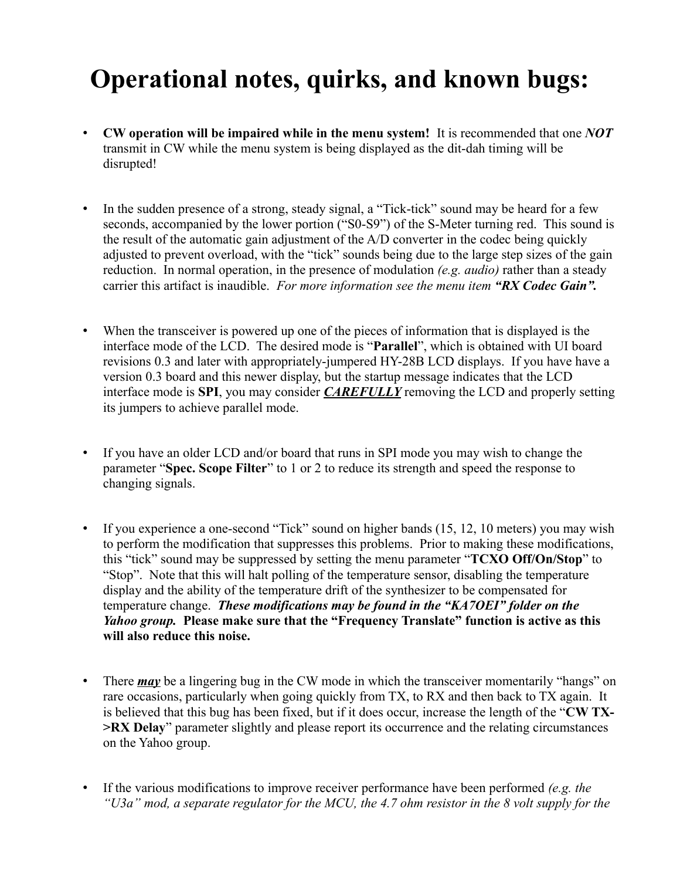# **Operational notes, quirks, and known bugs:**

- **CW operation will be impaired while in the menu system!** It is recommended that one *NOT* transmit in CW while the menu system is being displayed as the dit-dah timing will be disrupted!
- In the sudden presence of a strong, steady signal, a "Tick-tick" sound may be heard for a few seconds, accompanied by the lower portion ("S0-S9") of the S-Meter turning red. This sound is the result of the automatic gain adjustment of the A/D converter in the codec being quickly adjusted to prevent overload, with the "tick" sounds being due to the large step sizes of the gain reduction. In normal operation, in the presence of modulation *(e.g. audio)* rather than a steady carrier this artifact is inaudible. *For more information see the menu item "RX Codec Gain".*
- When the transceiver is powered up one of the pieces of information that is displayed is the interface mode of the LCD. The desired mode is "**Parallel**", which is obtained with UI board revisions 0.3 and later with appropriately-jumpered HY-28B LCD displays. If you have have a version 0.3 board and this newer display, but the startup message indicates that the LCD interface mode is **SPI**, you may consider *CAREFULLY* removing the LCD and properly setting its jumpers to achieve parallel mode.
- If you have an older LCD and/or board that runs in SPI mode you may wish to change the parameter "**Spec. Scope Filter**" to 1 or 2 to reduce its strength and speed the response to changing signals.
- If you experience a one-second "Tick" sound on higher bands (15, 12, 10 meters) you may wish to perform the modification that suppresses this problems. Prior to making these modifications, this "tick" sound may be suppressed by setting the menu parameter "**TCXO Off/On/Stop**" to "Stop". Note that this will halt polling of the temperature sensor, disabling the temperature display and the ability of the temperature drift of the synthesizer to be compensated for temperature change. *These modifications may be found in the "KA7OEI" folder on the Yahoo group.* **Please make sure that the "Frequency Translate" function is active as this will also reduce this noise.**
- There *may* be a lingering bug in the CW mode in which the transceiver momentarily "hangs" on rare occasions, particularly when going quickly from TX, to RX and then back to TX again. It is believed that this bug has been fixed, but if it does occur, increase the length of the "**CW TX- >RX Delay**" parameter slightly and please report its occurrence and the relating circumstances on the Yahoo group.
- If the various modifications to improve receiver performance have been performed *(e.g. the "U3a" mod, a separate regulator for the MCU, the 4.7 ohm resistor in the 8 volt supply for the*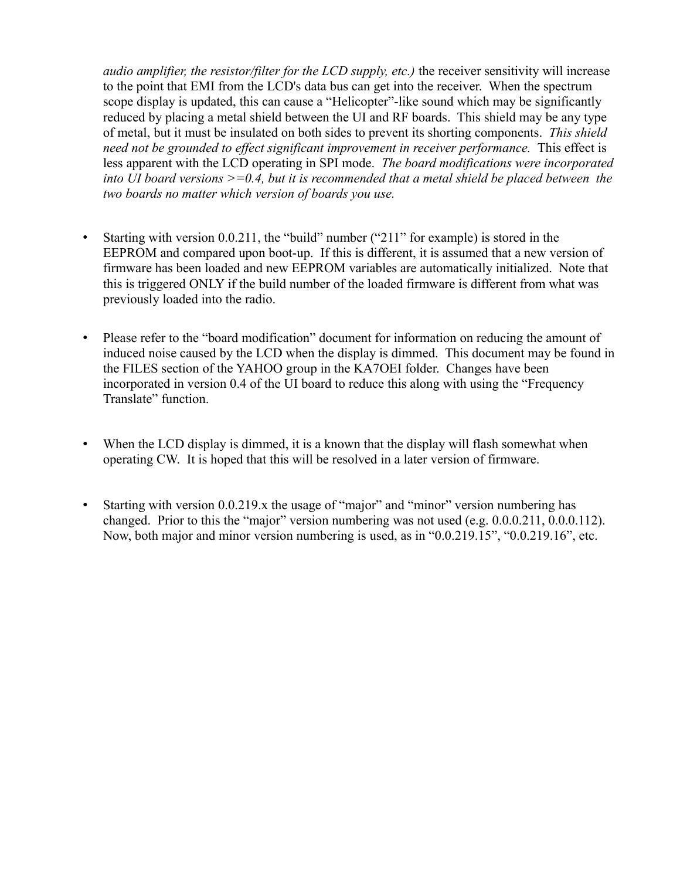*audio amplifier, the resistor/filter for the LCD supply, etc.)* the receiver sensitivity will increase to the point that EMI from the LCD's data bus can get into the receiver. When the spectrum scope display is updated, this can cause a "Helicopter"-like sound which may be significantly reduced by placing a metal shield between the UI and RF boards. This shield may be any type of metal, but it must be insulated on both sides to prevent its shorting components. *This shield need not be grounded to effect significant improvement in receiver performance.* This effect is less apparent with the LCD operating in SPI mode. *The board modifications were incorporated into UI board versions >=0.4, but it is recommended that a metal shield be placed between the two boards no matter which version of boards you use.*

- Starting with version 0.0.211, the "build" number ("211" for example) is stored in the EEPROM and compared upon boot-up. If this is different, it is assumed that a new version of firmware has been loaded and new EEPROM variables are automatically initialized. Note that this is triggered ONLY if the build number of the loaded firmware is different from what was previously loaded into the radio.
- Please refer to the "board modification" document for information on reducing the amount of induced noise caused by the LCD when the display is dimmed. This document may be found in the FILES section of the YAHOO group in the KA7OEI folder. Changes have been incorporated in version 0.4 of the UI board to reduce this along with using the "Frequency Translate" function.
- When the LCD display is dimmed, it is a known that the display will flash somewhat when operating CW. It is hoped that this will be resolved in a later version of firmware.
- Starting with version 0.0.219.x the usage of "major" and "minor" version numbering has changed. Prior to this the "major" version numbering was not used (e.g. 0.0.0.211, 0.0.0.112). Now, both major and minor version numbering is used, as in "0.0.219.15", "0.0.219.16", etc.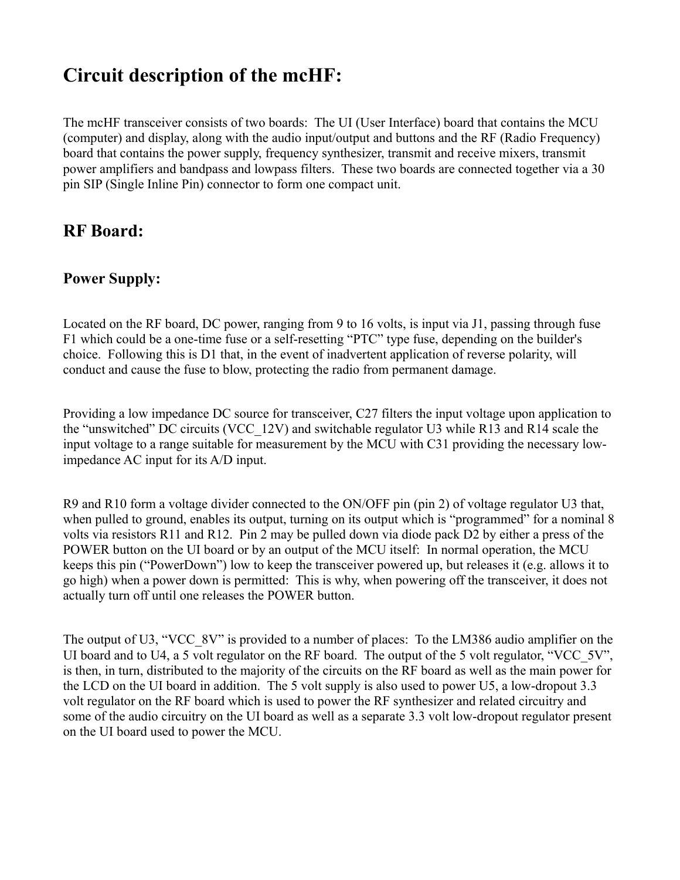# **Circuit description of the mcHF:**

The mcHF transceiver consists of two boards: The UI (User Interface) board that contains the MCU (computer) and display, along with the audio input/output and buttons and the RF (Radio Frequency) board that contains the power supply, frequency synthesizer, transmit and receive mixers, transmit power amplifiers and bandpass and lowpass filters. These two boards are connected together via a 30 pin SIP (Single Inline Pin) connector to form one compact unit.

# **RF Board:**

#### **Power Supply:**

Located on the RF board, DC power, ranging from 9 to 16 volts, is input via J1, passing through fuse F1 which could be a one-time fuse or a self-resetting "PTC" type fuse, depending on the builder's choice. Following this is D1 that, in the event of inadvertent application of reverse polarity, will conduct and cause the fuse to blow, protecting the radio from permanent damage.

Providing a low impedance DC source for transceiver, C27 filters the input voltage upon application to the "unswitched" DC circuits (VCC\_12V) and switchable regulator U3 while R13 and R14 scale the input voltage to a range suitable for measurement by the MCU with C31 providing the necessary lowimpedance AC input for its A/D input.

R9 and R10 form a voltage divider connected to the ON/OFF pin (pin 2) of voltage regulator U3 that, when pulled to ground, enables its output, turning on its output which is "programmed" for a nominal 8 volts via resistors R11 and R12. Pin 2 may be pulled down via diode pack D2 by either a press of the POWER button on the UI board or by an output of the MCU itself: In normal operation, the MCU keeps this pin ("PowerDown") low to keep the transceiver powered up, but releases it (e.g. allows it to go high) when a power down is permitted: This is why, when powering off the transceiver, it does not actually turn off until one releases the POWER button.

The output of U3, "VCC 8V" is provided to a number of places: To the LM386 audio amplifier on the UI board and to U4, a 5 volt regulator on the RF board. The output of the 5 volt regulator, "VCC  $5V$ ", is then, in turn, distributed to the majority of the circuits on the RF board as well as the main power for the LCD on the UI board in addition. The 5 volt supply is also used to power U5, a low-dropout 3.3 volt regulator on the RF board which is used to power the RF synthesizer and related circuitry and some of the audio circuitry on the UI board as well as a separate 3.3 volt low-dropout regulator present on the UI board used to power the MCU.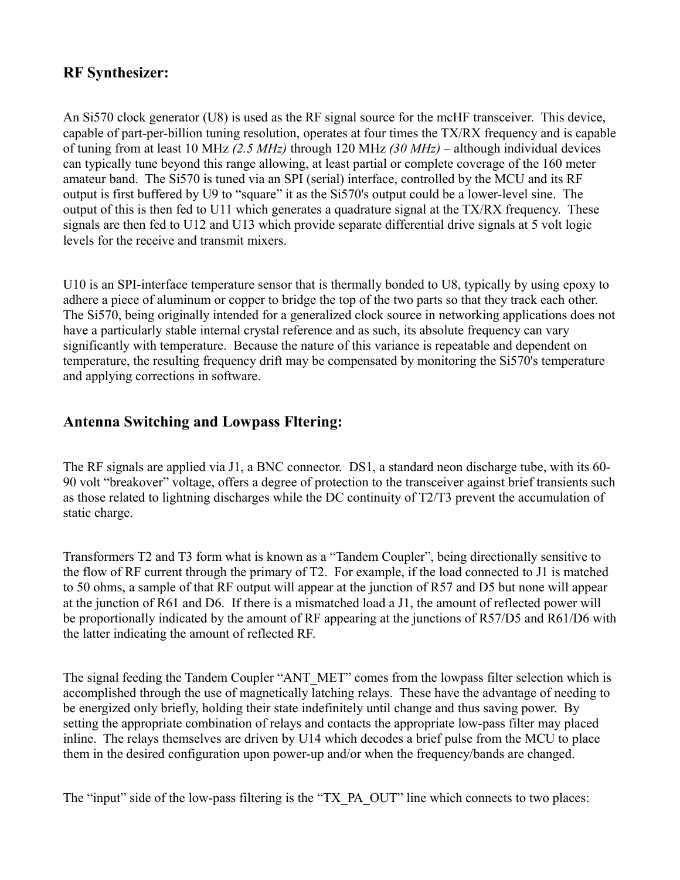### **RF Synthesizer:**

An Si570 clock generator (U8) is used as the RF signal source for the mcHF transceiver. This device, capable of part-per-billion tuning resolution, operates at four times the TX/RX frequency and is capable of tuning from at least 10 MHz *(2.5 MHz)* through 120 MHz *(30 MHz)* – although individual devices can typically tune beyond this range allowing, at least partial or complete coverage of the 160 meter amateur band. The Si570 is tuned via an SPI (serial) interface, controlled by the MCU and its RF output is first buffered by U9 to "square" it as the Si570's output could be a lower-level sine. The output of this is then fed to U11 which generates a quadrature signal at the TX/RX frequency. These signals are then fed to U12 and U13 which provide separate differential drive signals at 5 volt logic levels for the receive and transmit mixers.

U10 is an SPI-interface temperature sensor that is thermally bonded to U8, typically by using epoxy to adhere a piece of aluminum or copper to bridge the top of the two parts so that they track each other. The Si570, being originally intended for a generalized clock source in networking applications does not have a particularly stable internal crystal reference and as such, its absolute frequency can vary significantly with temperature. Because the nature of this variance is repeatable and dependent on temperature, the resulting frequency drift may be compensated by monitoring the Si570's temperature and applying corrections in software.

#### **Antenna Switching and Lowpass Fltering:**

The RF signals are applied via J1, a BNC connector. DS1, a standard neon discharge tube, with its 60- 90 volt "breakover" voltage, offers a degree of protection to the transceiver against brief transients such as those related to lightning discharges while the DC continuity of T2/T3 prevent the accumulation of static charge.

Transformers T2 and T3 form what is known as a "Tandem Coupler", being directionally sensitive to the flow of RF current through the primary of T2. For example, if the load connected to J1 is matched to 50 ohms, a sample of that RF output will appear at the junction of R57 and D5 but none will appear at the junction of R61 and D6. If there is a mismatched load a J1, the amount of reflected power will be proportionally indicated by the amount of RF appearing at the junctions of R57/D5 and R61/D6 with the latter indicating the amount of reflected RF.

The signal feeding the Tandem Coupler "ANT\_MET" comes from the lowpass filter selection which is accomplished through the use of magnetically latching relays. These have the advantage of needing to be energized only briefly, holding their state indefinitely until change and thus saving power. By setting the appropriate combination of relays and contacts the appropriate low-pass filter may placed inline. The relays themselves are driven by U14 which decodes a brief pulse from the MCU to place them in the desired configuration upon power-up and/or when the frequency/bands are changed.

The "input" side of the low-pass filtering is the "TX\_PA\_OUT" line which connects to two places: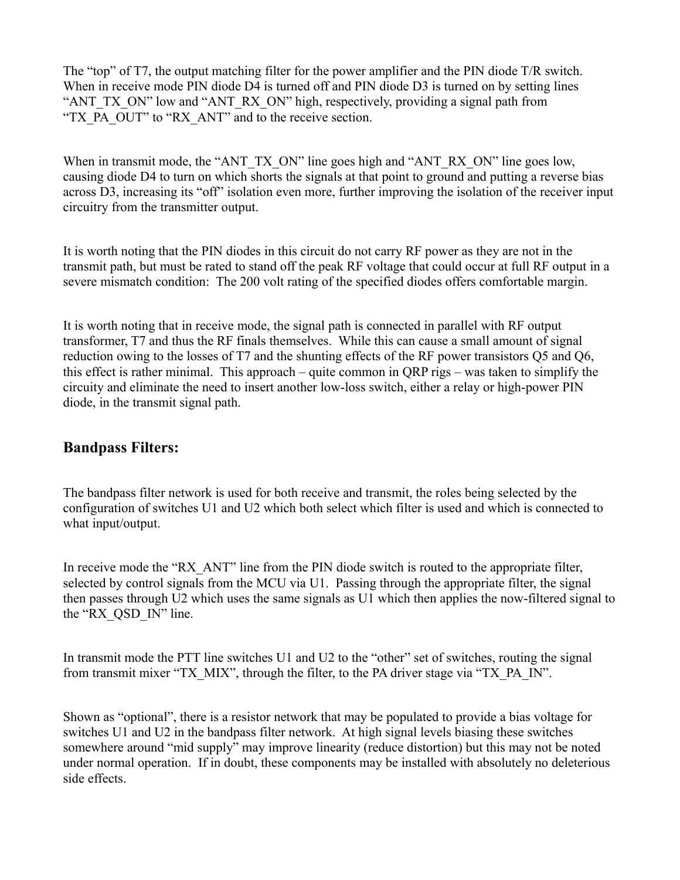The "top" of T7, the output matching filter for the power amplifier and the PIN diode T/R switch. When in receive mode PIN diode D4 is turned off and PIN diode D3 is turned on by setting lines "ANT\_TX\_ON" low and "ANT\_RX\_ON" high, respectively, providing a signal path from "TX\_PA\_OUT" to "RX\_ANT" and to the receive section.

When in transmit mode, the "ANT\_TX\_ON" line goes high and "ANT\_RX\_ON" line goes low, causing diode D4 to turn on which shorts the signals at that point to ground and putting a reverse bias across D3, increasing its "off" isolation even more, further improving the isolation of the receiver input circuitry from the transmitter output.

It is worth noting that the PIN diodes in this circuit do not carry RF power as they are not in the transmit path, but must be rated to stand off the peak RF voltage that could occur at full RF output in a severe mismatch condition: The 200 volt rating of the specified diodes offers comfortable margin.

It is worth noting that in receive mode, the signal path is connected in parallel with RF output transformer, T7 and thus the RF finals themselves. While this can cause a small amount of signal reduction owing to the losses of T7 and the shunting effects of the RF power transistors Q5 and Q6, this effect is rather minimal. This approach – quite common in QRP rigs – was taken to simplify the circuity and eliminate the need to insert another low-loss switch, either a relay or high-power PIN diode, in the transmit signal path.

#### **Bandpass Filters:**

The bandpass filter network is used for both receive and transmit, the roles being selected by the configuration of switches U1 and U2 which both select which filter is used and which is connected to what input/output.

In receive mode the "RX ANT" line from the PIN diode switch is routed to the appropriate filter, selected by control signals from the MCU via U1. Passing through the appropriate filter, the signal then passes through U2 which uses the same signals as U1 which then applies the now-filtered signal to the "RX\_QSD\_IN" line.

In transmit mode the PTT line switches U1 and U2 to the "other" set of switches, routing the signal from transmit mixer "TX\_MIX", through the filter, to the PA driver stage via "TX\_PA\_IN".

Shown as "optional", there is a resistor network that may be populated to provide a bias voltage for switches U1 and U2 in the bandpass filter network. At high signal levels biasing these switches somewhere around "mid supply" may improve linearity (reduce distortion) but this may not be noted under normal operation. If in doubt, these components may be installed with absolutely no deleterious side effects.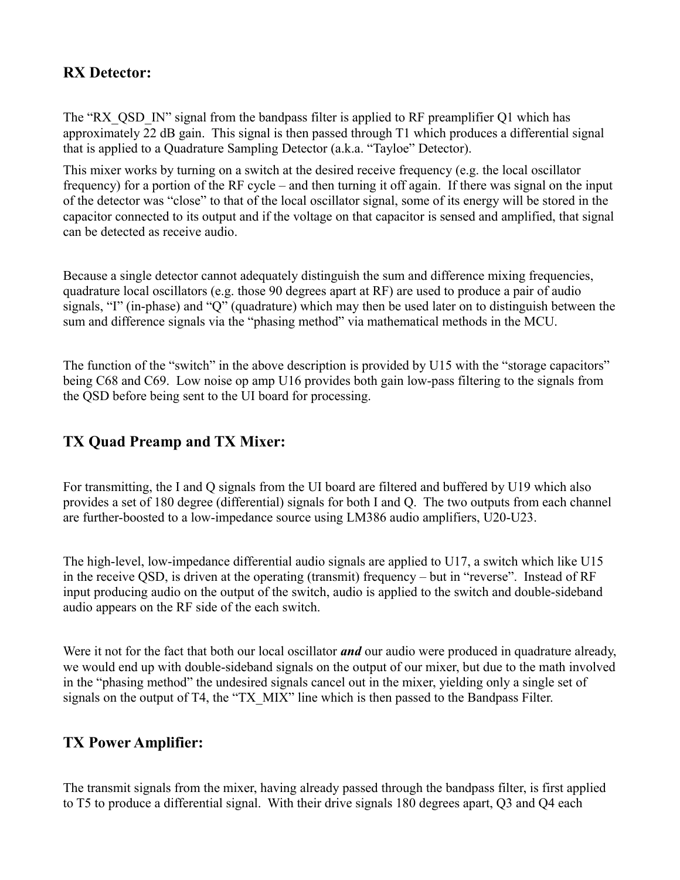### **RX Detector:**

The "RX OSD IN" signal from the bandpass filter is applied to RF preamplifier O1 which has approximately 22 dB gain. This signal is then passed through T1 which produces a differential signal that is applied to a Quadrature Sampling Detector (a.k.a. "Tayloe" Detector).

This mixer works by turning on a switch at the desired receive frequency (e.g. the local oscillator frequency) for a portion of the RF cycle – and then turning it off again. If there was signal on the input of the detector was "close" to that of the local oscillator signal, some of its energy will be stored in the capacitor connected to its output and if the voltage on that capacitor is sensed and amplified, that signal can be detected as receive audio.

Because a single detector cannot adequately distinguish the sum and difference mixing frequencies, quadrature local oscillators (e.g. those 90 degrees apart at RF) are used to produce a pair of audio signals, "I" (in-phase) and "Q" (quadrature) which may then be used later on to distinguish between the sum and difference signals via the "phasing method" via mathematical methods in the MCU.

The function of the "switch" in the above description is provided by U15 with the "storage capacitors" being C68 and C69. Low noise op amp U16 provides both gain low-pass filtering to the signals from the QSD before being sent to the UI board for processing.

#### **TX Quad Preamp and TX Mixer:**

For transmitting, the I and Q signals from the UI board are filtered and buffered by U19 which also provides a set of 180 degree (differential) signals for both I and Q. The two outputs from each channel are further-boosted to a low-impedance source using LM386 audio amplifiers, U20-U23.

The high-level, low-impedance differential audio signals are applied to U17, a switch which like U15 in the receive QSD, is driven at the operating (transmit) frequency – but in "reverse". Instead of RF input producing audio on the output of the switch, audio is applied to the switch and double-sideband audio appears on the RF side of the each switch.

Were it not for the fact that both our local oscillator *and* our audio were produced in quadrature already, we would end up with double-sideband signals on the output of our mixer, but due to the math involved in the "phasing method" the undesired signals cancel out in the mixer, yielding only a single set of signals on the output of T4, the "TX MIX" line which is then passed to the Bandpass Filter.

#### **TX Power Amplifier:**

The transmit signals from the mixer, having already passed through the bandpass filter, is first applied to T5 to produce a differential signal. With their drive signals 180 degrees apart, Q3 and Q4 each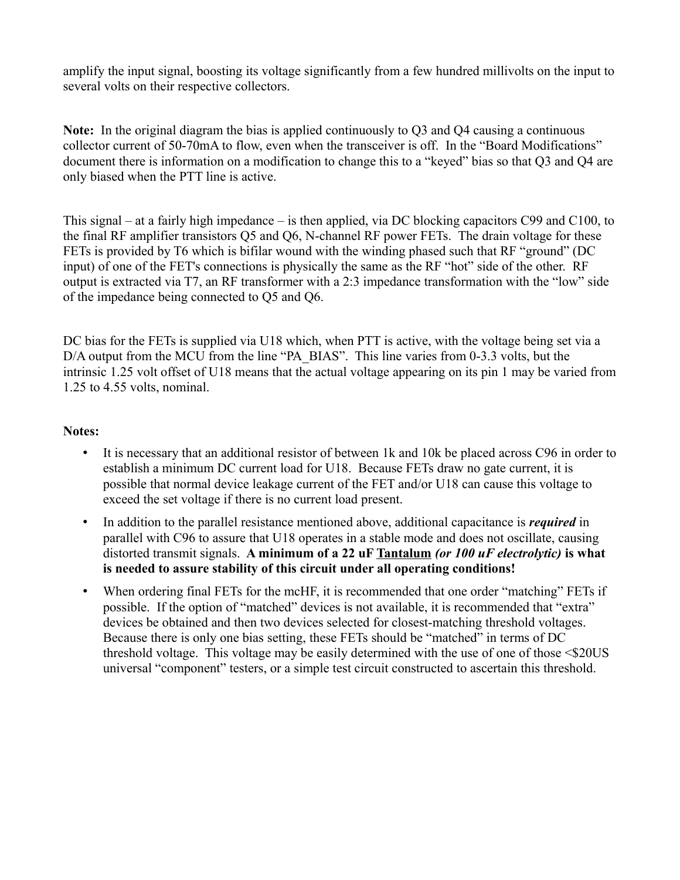amplify the input signal, boosting its voltage significantly from a few hundred millivolts on the input to several volts on their respective collectors.

**Note:** In the original diagram the bias is applied continuously to Q3 and Q4 causing a continuous collector current of 50-70mA to flow, even when the transceiver is off. In the "Board Modifications" document there is information on a modification to change this to a "keyed" bias so that Q3 and Q4 are only biased when the PTT line is active.

This signal – at a fairly high impedance – is then applied, via DC blocking capacitors C99 and C100, to the final RF amplifier transistors Q5 and Q6, N-channel RF power FETs. The drain voltage for these FETs is provided by T6 which is bifilar wound with the winding phased such that RF "ground" (DC input) of one of the FET's connections is physically the same as the RF "hot" side of the other. RF output is extracted via T7, an RF transformer with a 2:3 impedance transformation with the "low" side of the impedance being connected to Q5 and Q6.

DC bias for the FETs is supplied via U18 which, when PTT is active, with the voltage being set via a D/A output from the MCU from the line "PA\_BIAS". This line varies from 0-3.3 volts, but the intrinsic 1.25 volt offset of U18 means that the actual voltage appearing on its pin 1 may be varied from 1.25 to 4.55 volts, nominal.

#### **Notes:**

- It is necessary that an additional resistor of between 1k and 10k be placed across C96 in order to establish a minimum DC current load for U18. Because FETs draw no gate current, it is possible that normal device leakage current of the FET and/or U18 can cause this voltage to exceed the set voltage if there is no current load present.
- In addition to the parallel resistance mentioned above, additional capacitance is *required* in parallel with C96 to assure that U18 operates in a stable mode and does not oscillate, causing distorted transmit signals. **A minimum of a 22 uF Tantalum** *(or 100 uF electrolytic)* **is what is needed to assure stability of this circuit under all operating conditions!**
- When ordering final FETs for the mcHF, it is recommended that one order "matching" FETs if possible. If the option of "matched" devices is not available, it is recommended that "extra" devices be obtained and then two devices selected for closest-matching threshold voltages. Because there is only one bias setting, these FETs should be "matched" in terms of DC threshold voltage. This voltage may be easily determined with the use of one of those <\$20US universal "component" testers, or a simple test circuit constructed to ascertain this threshold.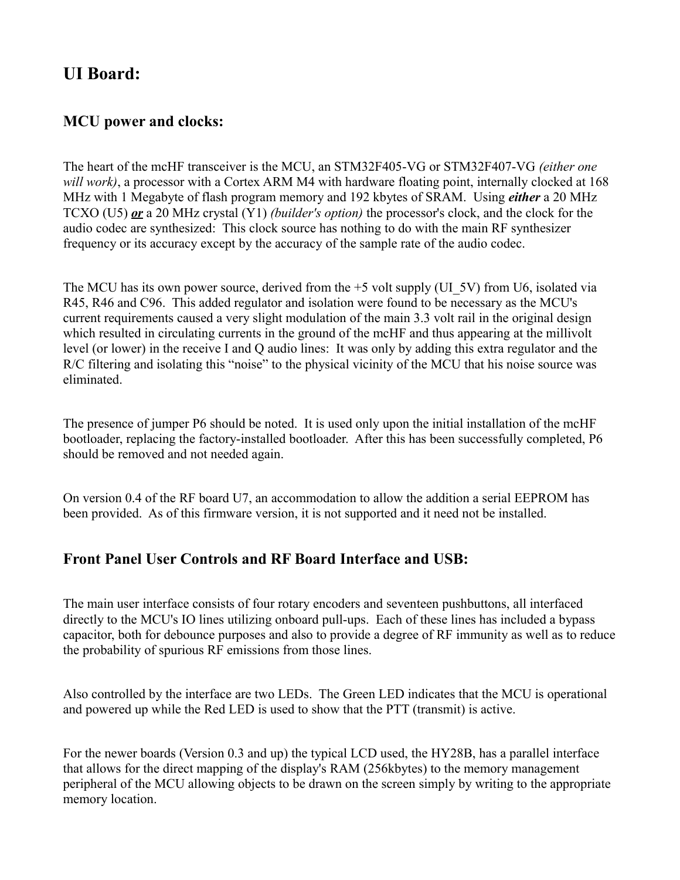## **UI Board:**

### **MCU power and clocks:**

The heart of the mcHF transceiver is the MCU, an STM32F405-VG or STM32F407-VG *(either one will work)*, a processor with a Cortex ARM M4 with hardware floating point, internally clocked at 168 MHz with 1 Megabyte of flash program memory and 192 kbytes of SRAM. Using *either* a 20 MHz TCXO (U5) *or* a 20 MHz crystal (Y1) *(builder's option)* the processor's clock, and the clock for the audio codec are synthesized: This clock source has nothing to do with the main RF synthesizer frequency or its accuracy except by the accuracy of the sample rate of the audio codec.

The MCU has its own power source, derived from the  $+5$  volt supply (UI 5V) from U6, isolated via R45, R46 and C96. This added regulator and isolation were found to be necessary as the MCU's current requirements caused a very slight modulation of the main 3.3 volt rail in the original design which resulted in circulating currents in the ground of the mcHF and thus appearing at the millivolt level (or lower) in the receive I and Q audio lines: It was only by adding this extra regulator and the R/C filtering and isolating this "noise" to the physical vicinity of the MCU that his noise source was eliminated.

The presence of jumper P6 should be noted. It is used only upon the initial installation of the mcHF bootloader, replacing the factory-installed bootloader. After this has been successfully completed, P6 should be removed and not needed again.

On version 0.4 of the RF board U7, an accommodation to allow the addition a serial EEPROM has been provided. As of this firmware version, it is not supported and it need not be installed.

#### **Front Panel User Controls and RF Board Interface and USB:**

The main user interface consists of four rotary encoders and seventeen pushbuttons, all interfaced directly to the MCU's IO lines utilizing onboard pull-ups. Each of these lines has included a bypass capacitor, both for debounce purposes and also to provide a degree of RF immunity as well as to reduce the probability of spurious RF emissions from those lines.

Also controlled by the interface are two LEDs. The Green LED indicates that the MCU is operational and powered up while the Red LED is used to show that the PTT (transmit) is active.

For the newer boards (Version 0.3 and up) the typical LCD used, the HY28B, has a parallel interface that allows for the direct mapping of the display's RAM (256kbytes) to the memory management peripheral of the MCU allowing objects to be drawn on the screen simply by writing to the appropriate memory location.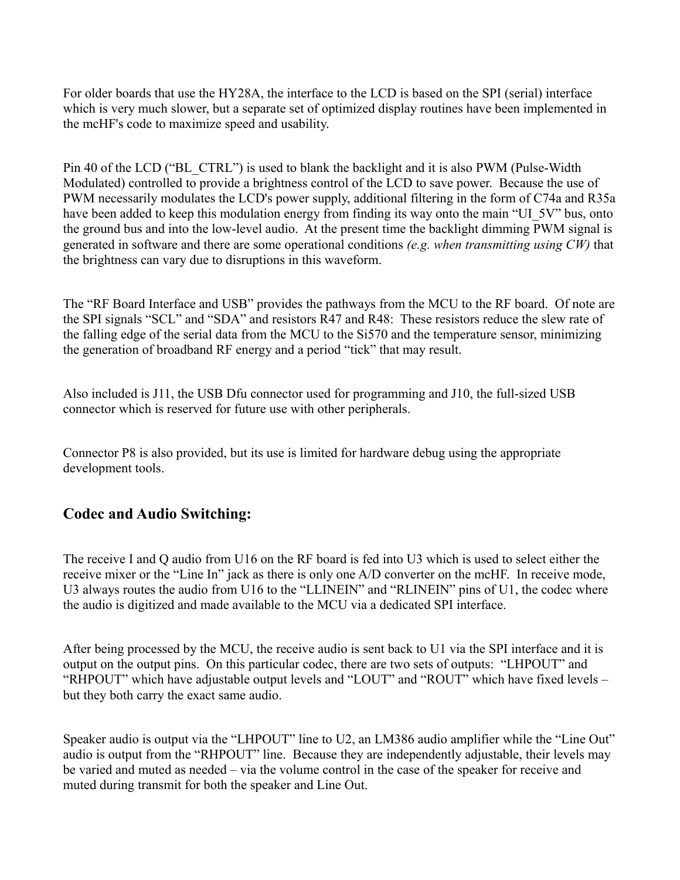For older boards that use the HY28A, the interface to the LCD is based on the SPI (serial) interface which is very much slower, but a separate set of optimized display routines have been implemented in the mcHF's code to maximize speed and usability.

Pin 40 of the LCD ("BL\_CTRL") is used to blank the backlight and it is also PWM (Pulse-Width Modulated) controlled to provide a brightness control of the LCD to save power. Because the use of PWM necessarily modulates the LCD's power supply, additional filtering in the form of C74a and R35a have been added to keep this modulation energy from finding its way onto the main "UI\_5V" bus, onto the ground bus and into the low-level audio. At the present time the backlight dimming PWM signal is generated in software and there are some operational conditions *(e.g. when transmitting using CW)* that the brightness can vary due to disruptions in this waveform.

The "RF Board Interface and USB" provides the pathways from the MCU to the RF board. Of note are the SPI signals "SCL" and "SDA" and resistors R47 and R48: These resistors reduce the slew rate of the falling edge of the serial data from the MCU to the Si570 and the temperature sensor, minimizing the generation of broadband RF energy and a period "tick" that may result.

Also included is J11, the USB Dfu connector used for programming and J10, the full-sized USB connector which is reserved for future use with other peripherals.

Connector P8 is also provided, but its use is limited for hardware debug using the appropriate development tools.

#### **Codec and Audio Switching:**

The receive I and Q audio from U16 on the RF board is fed into U3 which is used to select either the receive mixer or the "Line In" jack as there is only one A/D converter on the mcHF. In receive mode, U3 always routes the audio from U16 to the "LLINEIN" and "RLINEIN" pins of U1, the codec where the audio is digitized and made available to the MCU via a dedicated SPI interface.

After being processed by the MCU, the receive audio is sent back to U1 via the SPI interface and it is output on the output pins. On this particular codec, there are two sets of outputs: "LHPOUT" and "RHPOUT" which have adjustable output levels and "LOUT" and "ROUT" which have fixed levels – but they both carry the exact same audio.

Speaker audio is output via the "LHPOUT" line to U2, an LM386 audio amplifier while the "Line Out" audio is output from the "RHPOUT" line. Because they are independently adjustable, their levels may be varied and muted as needed – via the volume control in the case of the speaker for receive and muted during transmit for both the speaker and Line Out.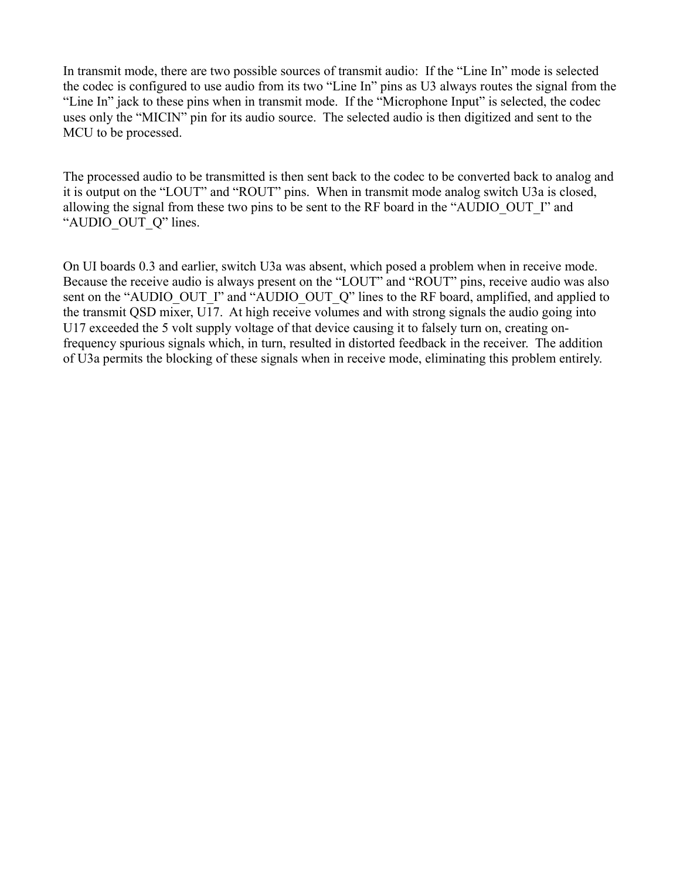In transmit mode, there are two possible sources of transmit audio: If the "Line In" mode is selected the codec is configured to use audio from its two "Line In" pins as U3 always routes the signal from the "Line In" jack to these pins when in transmit mode. If the "Microphone Input" is selected, the codec uses only the "MICIN" pin for its audio source. The selected audio is then digitized and sent to the MCU to be processed.

The processed audio to be transmitted is then sent back to the codec to be converted back to analog and it is output on the "LOUT" and "ROUT" pins. When in transmit mode analog switch U3a is closed, allowing the signal from these two pins to be sent to the RF board in the "AUDIO\_OUT\_I" and "AUDIO\_OUT\_Q" lines.

On UI boards 0.3 and earlier, switch U3a was absent, which posed a problem when in receive mode. Because the receive audio is always present on the "LOUT" and "ROUT" pins, receive audio was also sent on the "AUDIO\_OUT\_I" and "AUDIO\_OUT\_Q" lines to the RF board, amplified, and applied to the transmit QSD mixer, U17. At high receive volumes and with strong signals the audio going into U17 exceeded the 5 volt supply voltage of that device causing it to falsely turn on, creating onfrequency spurious signals which, in turn, resulted in distorted feedback in the receiver. The addition of U3a permits the blocking of these signals when in receive mode, eliminating this problem entirely.